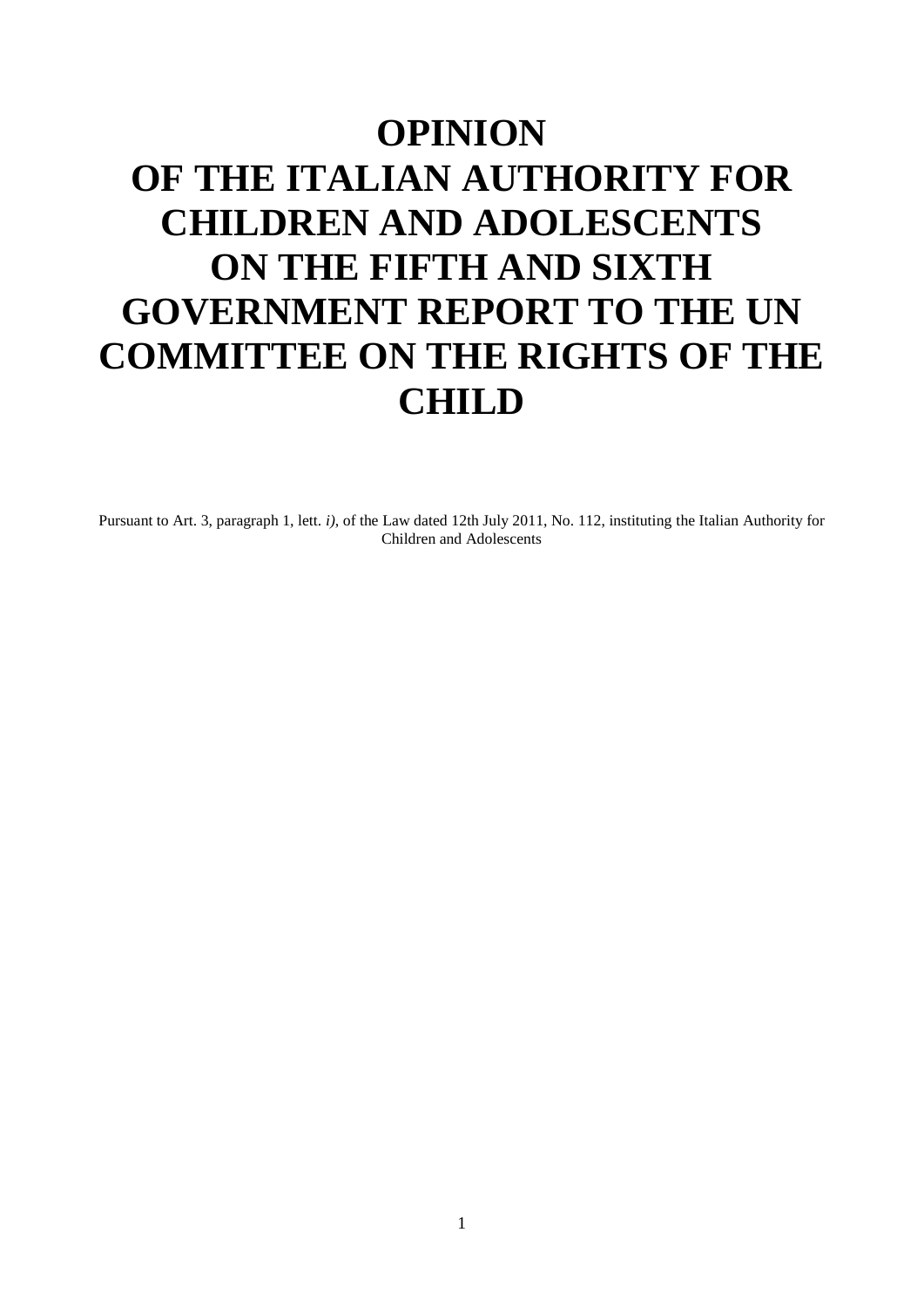# **OPINION OF THE ITALIAN AUTHORITY FOR CHILDREN AND ADOLESCENTS ON THE FIFTH AND SIXTH GOVERNMENT REPORT TO THE UN COMMITTEE ON THE RIGHTS OF THE CHILD**

Pursuant to Art. 3, paragraph 1, lett. *i)*, of the Law dated 12th July 2011, No. 112, instituting the Italian Authority for Children and Adolescents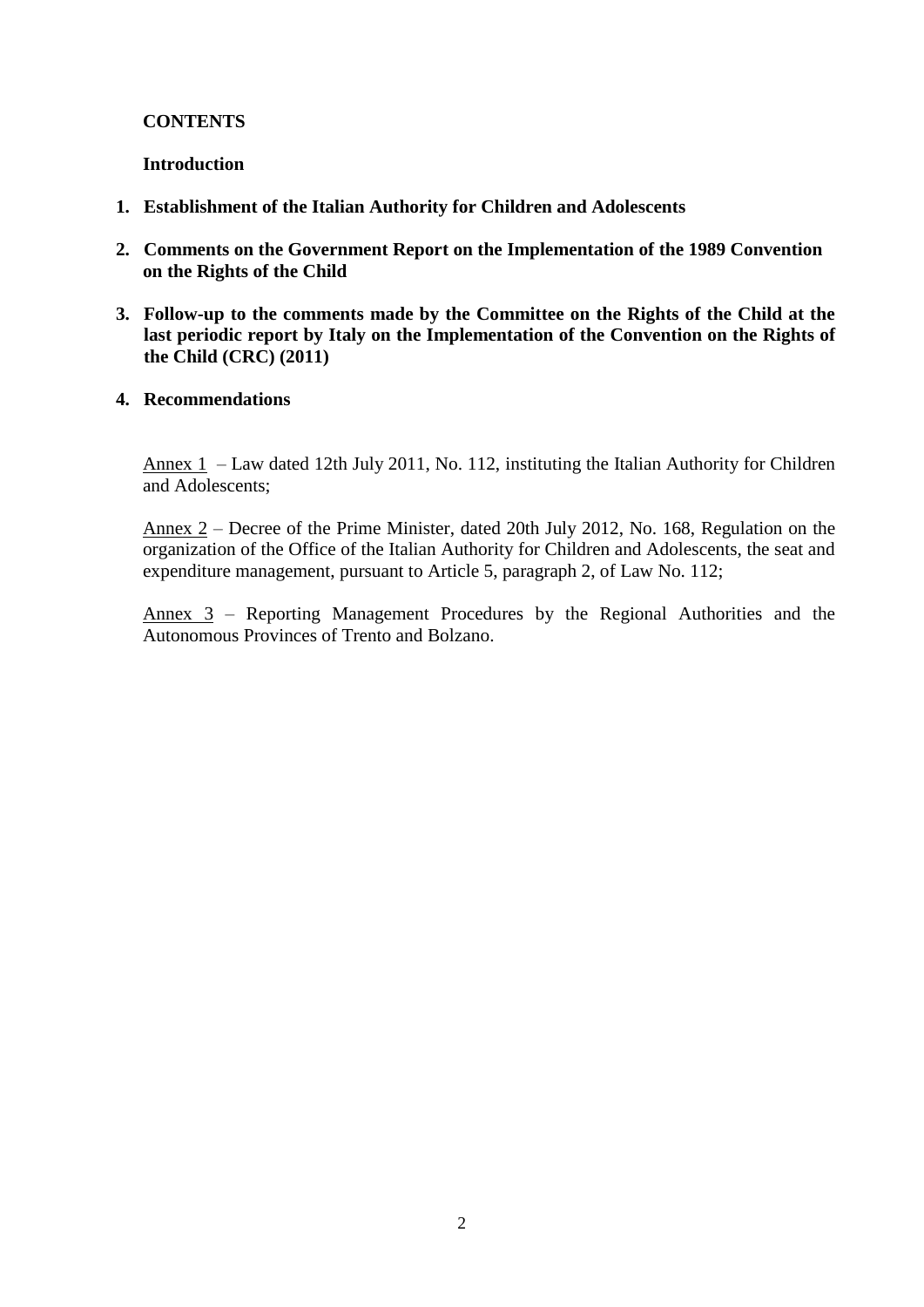# **CONTENTS**

## **Introduction**

- **1. Establishment of the Italian Authority for Children and Adolescents**
- **2. Comments on the Government Report on the Implementation of the 1989 Convention on the Rights of the Child**
- **3. Follow-up to the comments made by the Committee on the Rights of the Child at the last periodic report by Italy on the Implementation of the Convention on the Rights of the Child (CRC) (2011)**
- **4. Recommendations**

Annex 1 – Law dated 12th July 2011, No. 112, instituting the Italian Authority for Children and Adolescents;

Annex 2 – Decree of the Prime Minister, dated 20th July 2012, No. 168, Regulation on the organization of the Office of the Italian Authority for Children and Adolescents, the seat and expenditure management, pursuant to Article 5, paragraph 2, of Law No. 112;

Annex 3 – Reporting Management Procedures by the Regional Authorities and the Autonomous Provinces of Trento and Bolzano.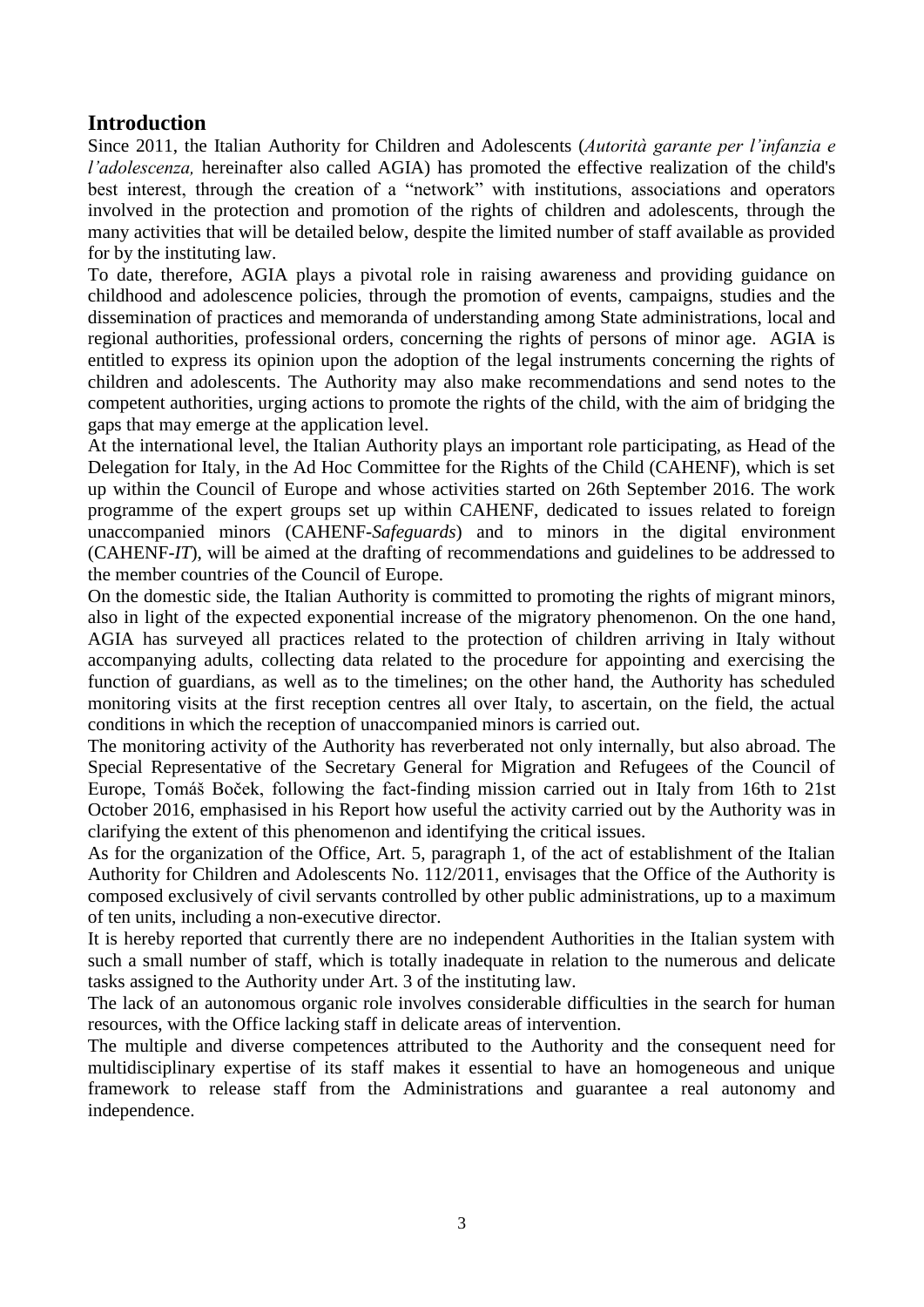# **Introduction**

Since 2011, the Italian Authority for Children and Adolescents (*Autorità garante per l'infanzia e l'adolescenza,* hereinafter also called AGIA) has promoted the effective realization of the child's best interest, through the creation of a "network" with institutions, associations and operators involved in the protection and promotion of the rights of children and adolescents, through the many activities that will be detailed below, despite the limited number of staff available as provided for by the instituting law.

To date, therefore, AGIA plays a pivotal role in raising awareness and providing guidance on childhood and adolescence policies, through the promotion of events, campaigns, studies and the dissemination of practices and memoranda of understanding among State administrations, local and regional authorities, professional orders, concerning the rights of persons of minor age. AGIA is entitled to express its opinion upon the adoption of the legal instruments concerning the rights of children and adolescents. The Authority may also make recommendations and send notes to the competent authorities, urging actions to promote the rights of the child, with the aim of bridging the gaps that may emerge at the application level.

At the international level, the Italian Authority plays an important role participating, as Head of the Delegation for Italy, in the Ad Hoc Committee for the Rights of the Child (CAHENF), which is set up within the Council of Europe and whose activities started on 26th September 2016. The work programme of the expert groups set up within CAHENF, dedicated to issues related to foreign unaccompanied minors (CAHENF-*Safeguards*) and to minors in the digital environment (CAHENF-*IT*), will be aimed at the drafting of recommendations and guidelines to be addressed to the member countries of the Council of Europe.

On the domestic side, the Italian Authority is committed to promoting the rights of migrant minors, also in light of the expected exponential increase of the migratory phenomenon. On the one hand, AGIA has surveyed all practices related to the protection of children arriving in Italy without accompanying adults, collecting data related to the procedure for appointing and exercising the function of guardians, as well as to the timelines; on the other hand, the Authority has scheduled monitoring visits at the first reception centres all over Italy, to ascertain, on the field, the actual conditions in which the reception of unaccompanied minors is carried out.

The monitoring activity of the Authority has reverberated not only internally, but also abroad. The Special Representative of the Secretary General for Migration and Refugees of the Council of Europe, Tomáš Boček, following the fact-finding mission carried out in Italy from 16th to 21st October 2016, emphasised in his Report how useful the activity carried out by the Authority was in clarifying the extent of this phenomenon and identifying the critical issues.

As for the organization of the Office, Art. 5, paragraph 1, of the act of establishment of the Italian Authority for Children and Adolescents No. 112/2011, envisages that the Office of the Authority is composed exclusively of civil servants controlled by other public administrations, up to a maximum of ten units, including a non-executive director.

It is hereby reported that currently there are no independent Authorities in the Italian system with such a small number of staff, which is totally inadequate in relation to the numerous and delicate tasks assigned to the Authority under Art. 3 of the instituting law.

The lack of an autonomous organic role involves considerable difficulties in the search for human resources, with the Office lacking staff in delicate areas of intervention.

The multiple and diverse competences attributed to the Authority and the consequent need for multidisciplinary expertise of its staff makes it essential to have an homogeneous and unique framework to release staff from the Administrations and guarantee a real autonomy and independence.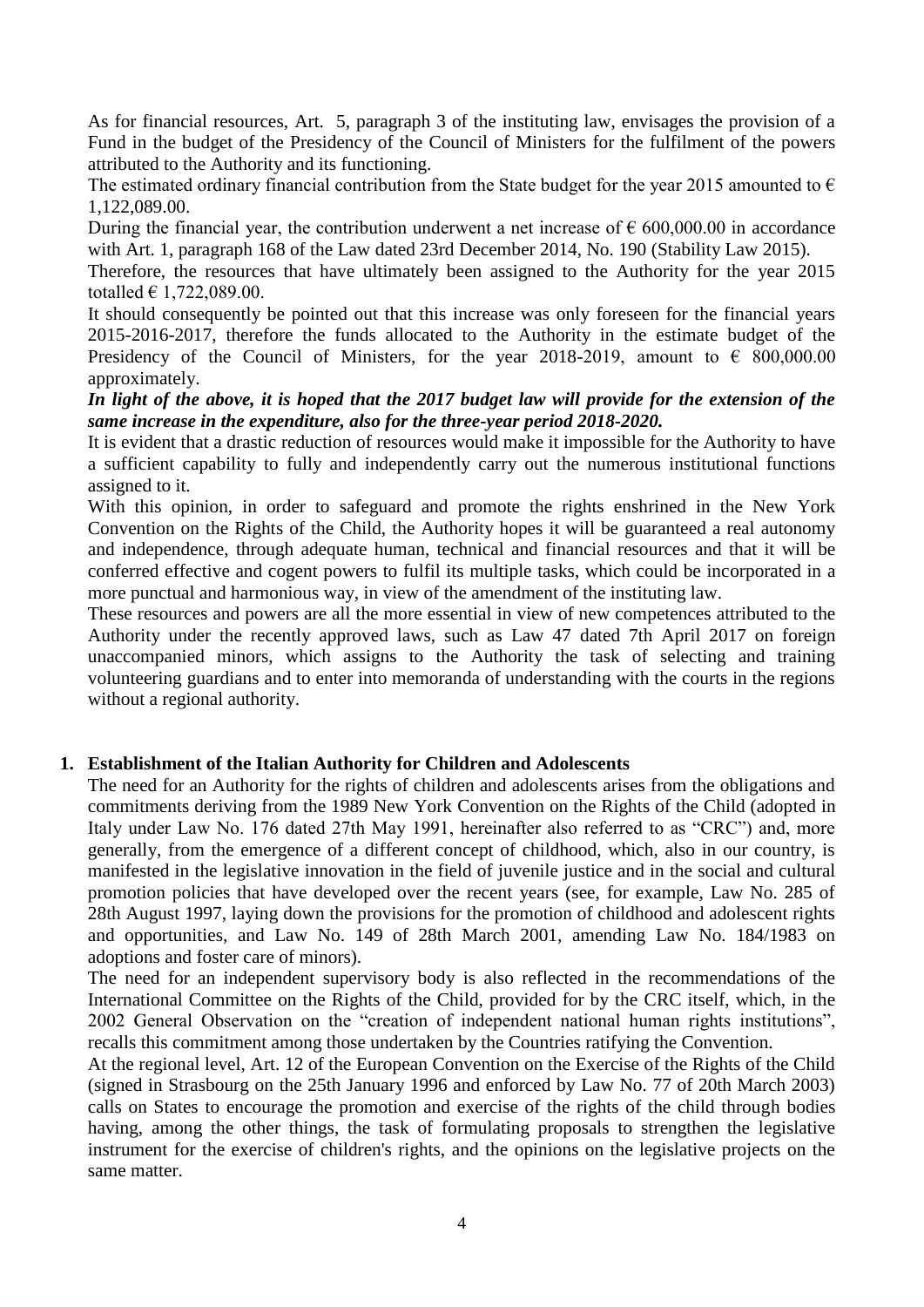As for financial resources, Art. 5, paragraph 3 of the instituting law, envisages the provision of a Fund in the budget of the Presidency of the Council of Ministers for the fulfilment of the powers attributed to the Authority and its functioning.

The estimated ordinary financial contribution from the State budget for the year 2015 amounted to  $\epsilon$ 1,122,089.00.

During the financial year, the contribution underwent a net increase of  $\epsilon$  600,000.00 in accordance with Art. 1, paragraph 168 of the Law dated 23rd December 2014, No. 190 (Stability Law 2015).

Therefore, the resources that have ultimately been assigned to the Authority for the year 2015 totalled  $\in$  1,722,089.00.

It should consequently be pointed out that this increase was only foreseen for the financial years 2015-2016-2017, therefore the funds allocated to the Authority in the estimate budget of the Presidency of the Council of Ministers, for the year 2018-2019, amount to  $\epsilon$  800,000.00 approximately.

## *In light of the above, it is hoped that the 2017 budget law will provide for the extension of the same increase in the expenditure, also for the three-year period 2018-2020.*

It is evident that a drastic reduction of resources would make it impossible for the Authority to have a sufficient capability to fully and independently carry out the numerous institutional functions assigned to it.

With this opinion, in order to safeguard and promote the rights enshrined in the New York Convention on the Rights of the Child, the Authority hopes it will be guaranteed a real autonomy and independence, through adequate human, technical and financial resources and that it will be conferred effective and cogent powers to fulfil its multiple tasks, which could be incorporated in a more punctual and harmonious way, in view of the amendment of the instituting law.

These resources and powers are all the more essential in view of new competences attributed to the Authority under the recently approved laws, such as Law 47 dated 7th April 2017 on foreign unaccompanied minors, which assigns to the Authority the task of selecting and training volunteering guardians and to enter into memoranda of understanding with the courts in the regions without a regional authority.

# **1. Establishment of the Italian Authority for Children and Adolescents**

The need for an Authority for the rights of children and adolescents arises from the obligations and commitments deriving from the 1989 New York Convention on the Rights of the Child (adopted in Italy under Law No. 176 dated 27th May 1991, hereinafter also referred to as "CRC") and, more generally, from the emergence of a different concept of childhood, which, also in our country, is manifested in the legislative innovation in the field of juvenile justice and in the social and cultural promotion policies that have developed over the recent years (see, for example, Law No. 285 of 28th August 1997, laying down the provisions for the promotion of childhood and adolescent rights and opportunities, and Law No. 149 of 28th March 2001, amending Law No. 184/1983 on adoptions and foster care of minors).

The need for an independent supervisory body is also reflected in the recommendations of the International Committee on the Rights of the Child, provided for by the CRC itself, which, in the 2002 General Observation on the "creation of independent national human rights institutions", recalls this commitment among those undertaken by the Countries ratifying the Convention.

At the regional level, Art. 12 of the European Convention on the Exercise of the Rights of the Child (signed in Strasbourg on the 25th January 1996 and enforced by Law No. 77 of 20th March 2003) calls on States to encourage the promotion and exercise of the rights of the child through bodies having, among the other things, the task of formulating proposals to strengthen the legislative instrument for the exercise of children's rights, and the opinions on the legislative projects on the same matter.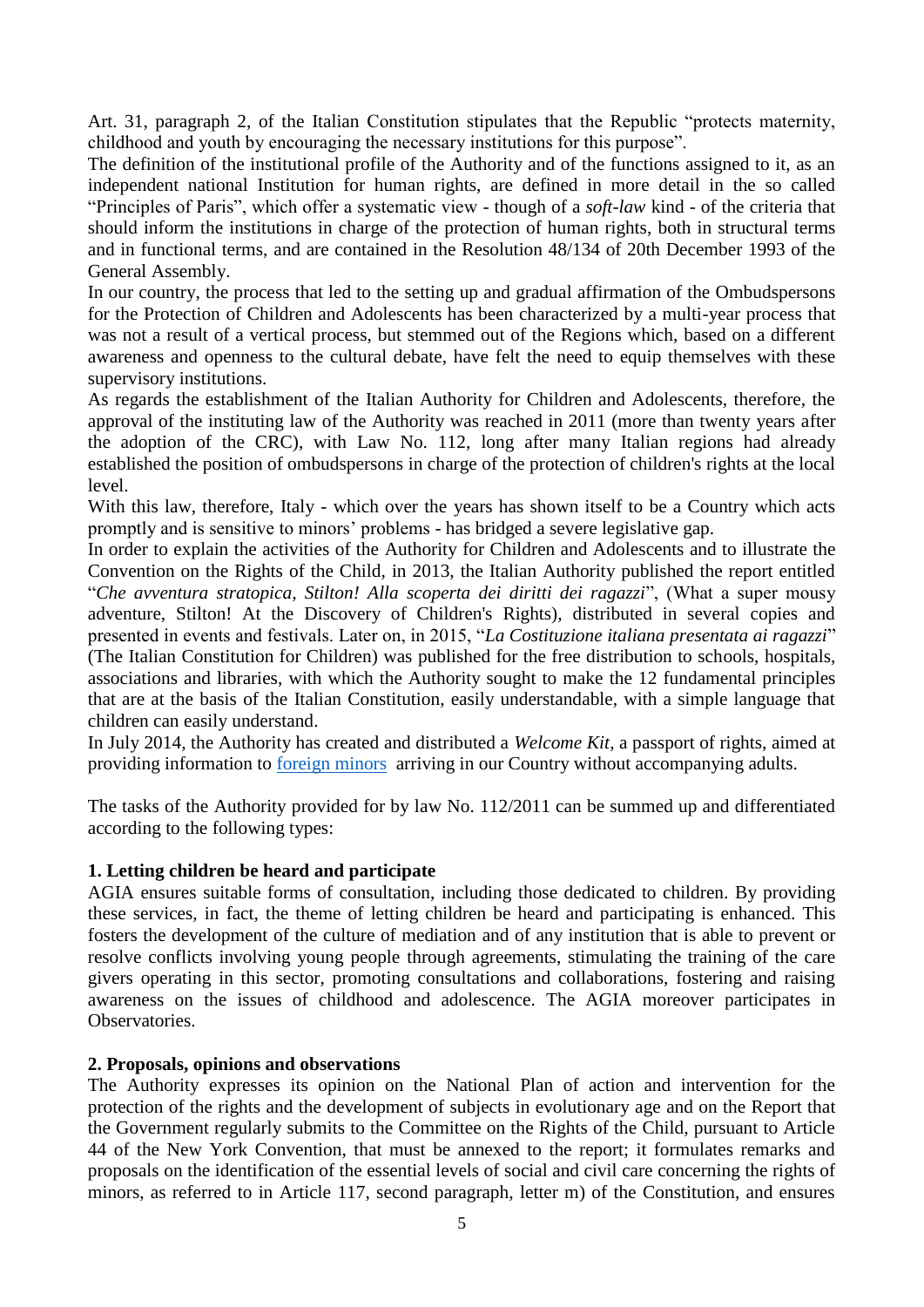Art. 31, paragraph 2, of the Italian Constitution stipulates that the Republic "protects maternity, childhood and youth by encouraging the necessary institutions for this purpose".

The definition of the institutional profile of the Authority and of the functions assigned to it, as an independent national Institution for human rights, are defined in more detail in the so called "Principles of Paris", which offer a systematic view - though of a *soft-law* kind - of the criteria that should inform the institutions in charge of the protection of human rights, both in structural terms and in functional terms, and are contained in the Resolution 48/134 of 20th December 1993 of the General Assembly.

In our country, the process that led to the setting up and gradual affirmation of the Ombudspersons for the Protection of Children and Adolescents has been characterized by a multi-year process that was not a result of a vertical process, but stemmed out of the Regions which, based on a different awareness and openness to the cultural debate, have felt the need to equip themselves with these supervisory institutions.

As regards the establishment of the Italian Authority for Children and Adolescents, therefore, the approval of the instituting law of the Authority was reached in 2011 (more than twenty years after the adoption of the CRC), with Law No. 112, long after many Italian regions had already established the position of ombudspersons in charge of the protection of children's rights at the local level.

With this law, therefore, Italy - which over the years has shown itself to be a Country which acts promptly and is sensitive to minors' problems - has bridged a severe legislative gap.

In order to explain the activities of the Authority for Children and Adolescents and to illustrate the Convention on the Rights of the Child, in 2013, the Italian Authority published the report entitled "*Che avventura stratopica, Stilton! Alla scoperta dei diritti dei ragazzi*", (What a super mousy adventure, Stilton! At the Discovery of Children's Rights), distributed in several copies and presented in events and festivals. Later on, in 2015, "*La Costituzione italiana presentata ai ragazzi*" (The Italian Constitution for Children) was published for the free distribution to schools, hospitals, associations and libraries, with which the Authority sought to make the 12 fundamental principles that are at the basis of the Italian Constitution, easily understandable, with a simple language that children can easily understand.

In July 2014, the Authority has created and distributed a *Welcome Kit*, a passport of rights, aimed at providing information to [foreign minors](http://www.garanteinfanzia.org/news/un-impegno-comune-la-tutela-dei-minori-stranieri-non-accompagnati) arriving in our Country without accompanying adults.

The tasks of the Authority provided for by law No. 112/2011 can be summed up and differentiated according to the following types:

# **1. Letting children be heard and participate**

AGIA ensures suitable forms of consultation, including those dedicated to children. By providing these services, in fact, the theme of letting children be heard and participating is enhanced. This fosters the development of the culture of mediation and of any institution that is able to prevent or resolve conflicts involving young people through agreements, stimulating the training of the care givers operating in this sector, promoting consultations and collaborations, fostering and raising awareness on the issues of childhood and adolescence. The AGIA moreover participates in Observatories.

## **2. Proposals, opinions and observations**

The Authority expresses its opinion on the National Plan of action and intervention for the protection of the rights and the development of subjects in evolutionary age and on the Report that the Government regularly submits to the Committee on the Rights of the Child, pursuant to Article 44 of the New York Convention, that must be annexed to the report; it formulates remarks and proposals on the identification of the essential levels of social and civil care concerning the rights of minors, as referred to in Article 117, second paragraph, letter m) of the Constitution, and ensures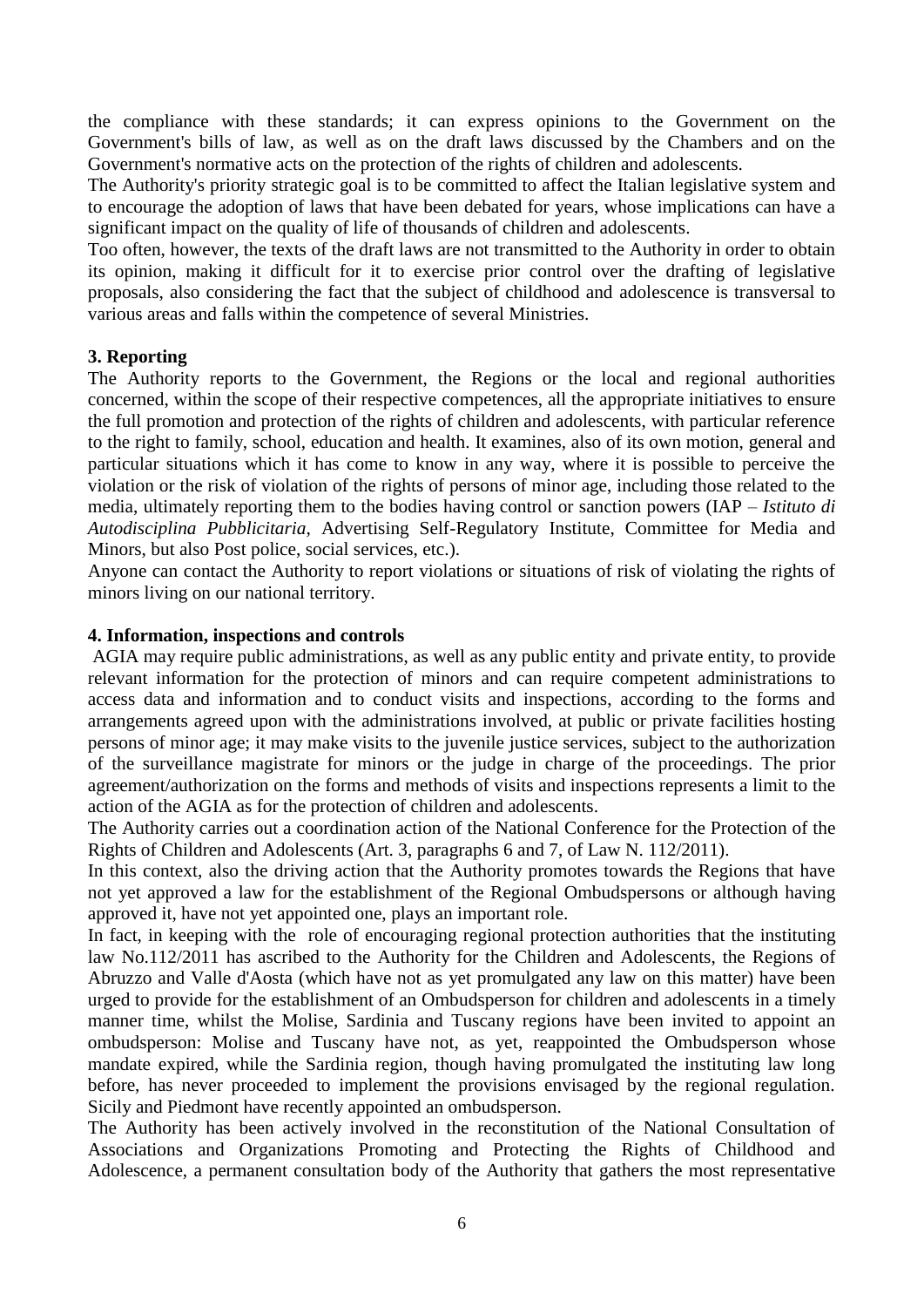the compliance with these standards; it can express opinions to the Government on the Government's bills of law, as well as on the draft laws discussed by the Chambers and on the Government's normative acts on the protection of the rights of children and adolescents.

The Authority's priority strategic goal is to be committed to affect the Italian legislative system and to encourage the adoption of laws that have been debated for years, whose implications can have a significant impact on the quality of life of thousands of children and adolescents.

Too often, however, the texts of the draft laws are not transmitted to the Authority in order to obtain its opinion, making it difficult for it to exercise prior control over the drafting of legislative proposals, also considering the fact that the subject of childhood and adolescence is transversal to various areas and falls within the competence of several Ministries.

# **3. Reporting**

The Authority reports to the Government, the Regions or the local and regional authorities concerned, within the scope of their respective competences, all the appropriate initiatives to ensure the full promotion and protection of the rights of children and adolescents, with particular reference to the right to family, school, education and health. It examines, also of its own motion, general and particular situations which it has come to know in any way, where it is possible to perceive the violation or the risk of violation of the rights of persons of minor age, including those related to the media, ultimately reporting them to the bodies having control or sanction powers (IAP *– Istituto di Autodisciplina Pubblicitaria*, Advertising Self-Regulatory Institute, Committee for Media and Minors, but also Post police, social services, etc.).

Anyone can contact the Authority to report violations or situations of risk of violating the rights of minors living on our national territory.

## **4. Information, inspections and controls**

AGIA may require public administrations, as well as any public entity and private entity, to provide relevant information for the protection of minors and can require competent administrations to access data and information and to conduct visits and inspections, according to the forms and arrangements agreed upon with the administrations involved, at public or private facilities hosting persons of minor age; it may make visits to the juvenile justice services, subject to the authorization of the surveillance magistrate for minors or the judge in charge of the proceedings. The prior agreement/authorization on the forms and methods of visits and inspections represents a limit to the action of the AGIA as for the protection of children and adolescents.

The Authority carries out a coordination action of the National Conference for the Protection of the Rights of Children and Adolescents (Art. 3, paragraphs 6 and 7, of Law N. 112/2011).

In this context, also the driving action that the Authority promotes towards the Regions that have not yet approved a law for the establishment of the Regional Ombudspersons or although having approved it, have not yet appointed one, plays an important role.

In fact, in keeping with the role of encouraging regional protection authorities that the instituting law No.112/2011 has ascribed to the Authority for the Children and Adolescents, the Regions of Abruzzo and Valle d'Aosta (which have not as yet promulgated any law on this matter) have been urged to provide for the establishment of an Ombudsperson for children and adolescents in a timely manner time, whilst the Molise, Sardinia and Tuscany regions have been invited to appoint an ombudsperson: Molise and Tuscany have not, as yet, reappointed the Ombudsperson whose mandate expired, while the Sardinia region, though having promulgated the instituting law long before, has never proceeded to implement the provisions envisaged by the regional regulation. Sicily and Piedmont have recently appointed an ombudsperson.

The Authority has been actively involved in the reconstitution of the National Consultation of Associations and Organizations Promoting and Protecting the Rights of Childhood and Adolescence, a permanent consultation body of the Authority that gathers the most representative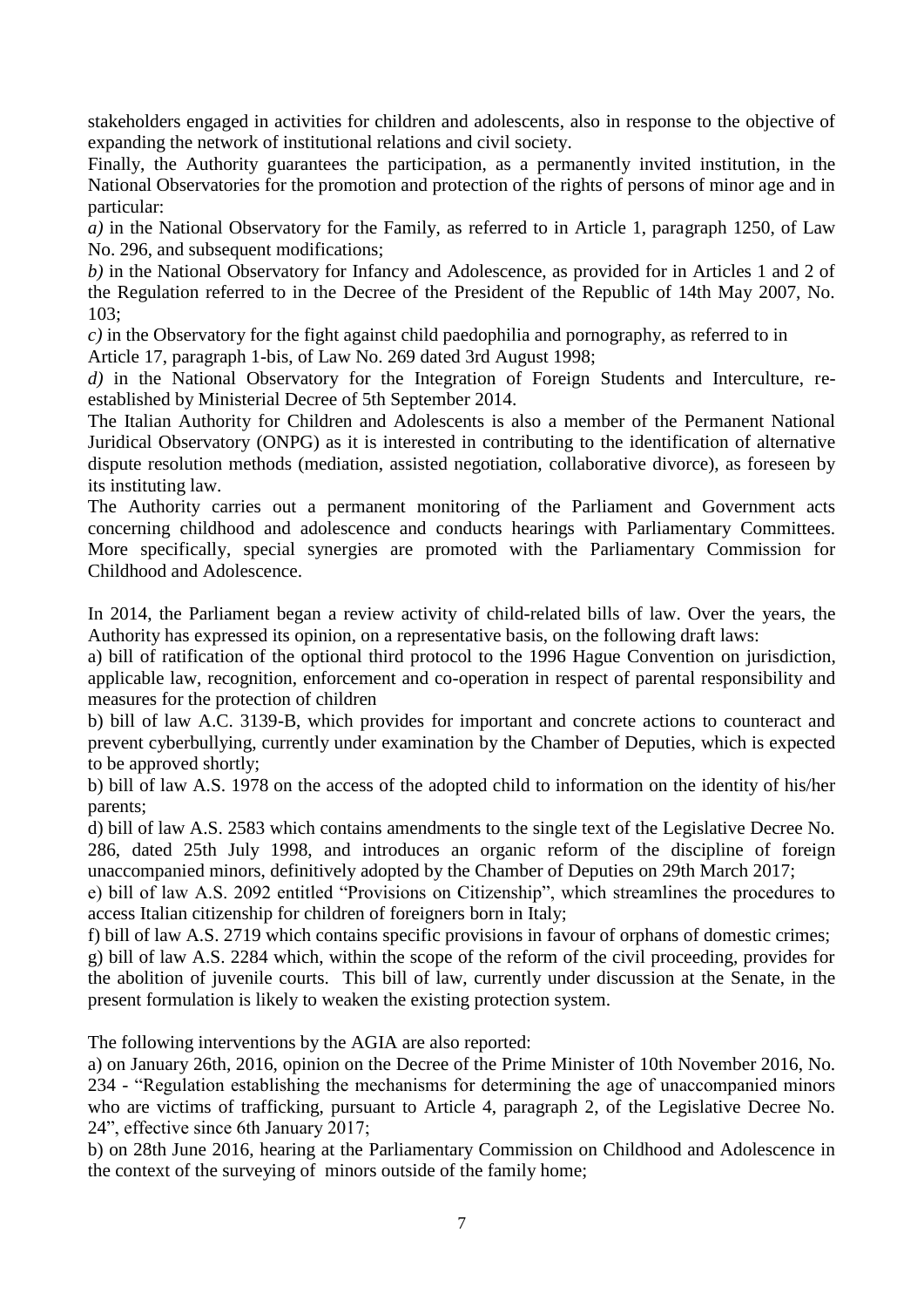stakeholders engaged in activities for children and adolescents, also in response to the objective of expanding the network of institutional relations and civil society.

Finally, the Authority guarantees the participation, as a permanently invited institution, in the National Observatories for the promotion and protection of the rights of persons of minor age and in particular:

*a)* in the National Observatory for the Family, as referred to in Article 1, paragraph 1250, of Law No. 296, and subsequent modifications;

*b)* in the National Observatory for Infancy and Adolescence, as provided for in Articles 1 and 2 of the Regulation referred to in the Decree of the President of the Republic of 14th May 2007, No. 103;

*c)* in the Observatory for the fight against child paedophilia and pornography, as referred to in Article 17, paragraph 1-bis, of Law No. 269 dated 3rd August 1998;

*d)* in the National Observatory for the Integration of Foreign Students and Interculture, reestablished by Ministerial Decree of 5th September 2014.

The Italian Authority for Children and Adolescents is also a member of the Permanent National Juridical Observatory (ONPG) as it is interested in contributing to the identification of alternative dispute resolution methods (mediation, assisted negotiation, collaborative divorce), as foreseen by its instituting law.

The Authority carries out a permanent monitoring of the Parliament and Government acts concerning childhood and adolescence and conducts hearings with Parliamentary Committees. More specifically, special synergies are promoted with the Parliamentary Commission for Childhood and Adolescence.

In 2014, the Parliament began a review activity of child-related bills of law. Over the years, the Authority has expressed its opinion, on a representative basis, on the following draft laws:

a) bill of ratification of the optional third protocol to the 1996 Hague Convention on jurisdiction, applicable law, recognition, enforcement and co-operation in respect of parental responsibility and measures for the protection of children

b) bill of law A.C. 3139-B, which provides for important and concrete actions to counteract and prevent cyberbullying, currently under examination by the Chamber of Deputies, which is expected to be approved shortly;

b) bill of law A.S. 1978 on the access of the adopted child to information on the identity of his/her parents;

d) bill of law A.S. 2583 which contains amendments to the single text of the Legislative Decree No. 286, dated 25th July 1998, and introduces an organic reform of the discipline of foreign unaccompanied minors, definitively adopted by the Chamber of Deputies on 29th March 2017;

e) bill of law A.S. 2092 entitled "Provisions on Citizenship", which streamlines the procedures to access Italian citizenship for children of foreigners born in Italy;

f) bill of law A.S. 2719 which contains specific provisions in favour of orphans of domestic crimes; g) bill of law A.S. 2284 which, within the scope of the reform of the civil proceeding, provides for the abolition of juvenile courts. This bill of law, currently under discussion at the Senate, in the present formulation is likely to weaken the existing protection system.

The following interventions by the AGIA are also reported:

a) on January 26th, 2016, opinion on the Decree of the Prime Minister of 10th November 2016, No. 234 - "Regulation establishing the mechanisms for determining the age of unaccompanied minors who are victims of trafficking, pursuant to Article 4, paragraph 2, of the Legislative Decree No. 24", effective since 6th January 2017;

b) on 28th June 2016, hearing at the Parliamentary Commission on Childhood and Adolescence in the context of the surveying of minors outside of the family home;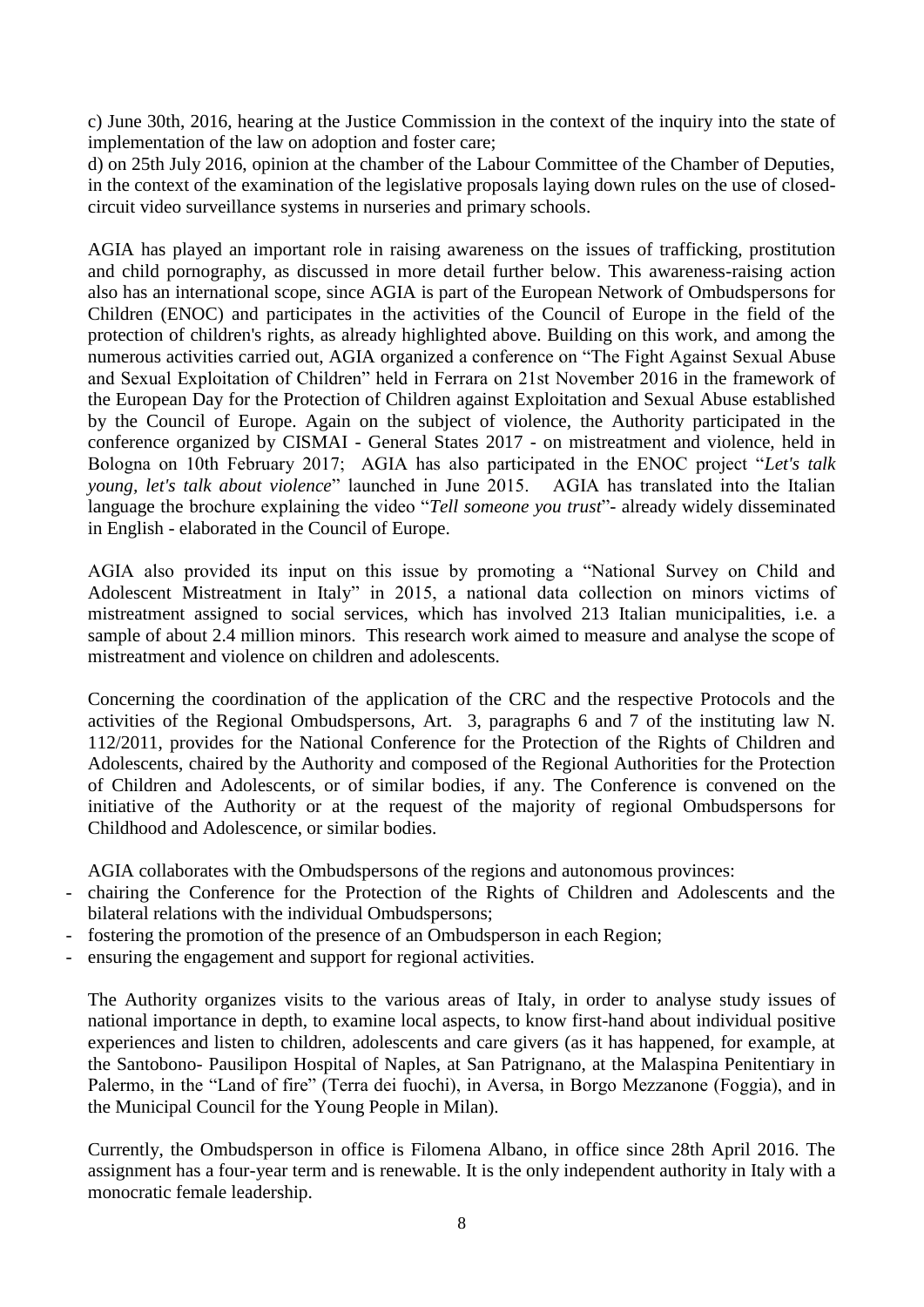c) June 30th, 2016, hearing at the Justice Commission in the context of the inquiry into the state of implementation of the law on adoption and foster care;

d) on 25th July 2016, opinion at the chamber of the Labour Committee of the Chamber of Deputies, in the context of the examination of the legislative proposals laying down rules on the use of closedcircuit video surveillance systems in nurseries and primary schools.

AGIA has played an important role in raising awareness on the issues of trafficking, prostitution and child pornography, as discussed in more detail further below. This awareness-raising action also has an international scope, since AGIA is part of the European Network of Ombudspersons for Children (ENOC) and participates in the activities of the Council of Europe in the field of the protection of children's rights, as already highlighted above. Building on this work, and among the numerous activities carried out, AGIA organized a conference on "The Fight Against Sexual Abuse and Sexual Exploitation of Children" held in Ferrara on 21st November 2016 in the framework of the European Day for the Protection of Children against Exploitation and Sexual Abuse established by the Council of Europe. Again on the subject of violence, the Authority participated in the conference organized by CISMAI - General States 2017 - on mistreatment and violence, held in Bologna on 10th February 2017; AGIA has also participated in the ENOC project "*Let's talk young, let's talk about violence*" launched in June 2015. AGIA has translated into the Italian language the brochure explaining the video "*Tell someone you trust*"- already widely disseminated in English - elaborated in the Council of Europe.

AGIA also provided its input on this issue by promoting a "National Survey on Child and Adolescent Mistreatment in Italy" in 2015, a national data collection on minors victims of mistreatment assigned to social services, which has involved 213 Italian municipalities, i.e. a sample of about 2.4 million minors. This research work aimed to measure and analyse the scope of mistreatment and violence on children and adolescents.

Concerning the coordination of the application of the CRC and the respective Protocols and the activities of the Regional Ombudspersons, Art. 3, paragraphs 6 and 7 of the instituting law N. 112/2011, provides for the National Conference for the Protection of the Rights of Children and Adolescents, chaired by the Authority and composed of the Regional Authorities for the Protection of Children and Adolescents, or of similar bodies, if any. The Conference is convened on the initiative of the Authority or at the request of the majority of regional Ombudspersons for Childhood and Adolescence, or similar bodies.

AGIA collaborates with the Ombudspersons of the regions and autonomous provinces:

- chairing the Conference for the Protection of the Rights of Children and Adolescents and the bilateral relations with the individual Ombudspersons;
- fostering the promotion of the presence of an Ombudsperson in each Region;
- ensuring the engagement and support for regional activities.

The Authority organizes visits to the various areas of Italy, in order to analyse study issues of national importance in depth, to examine local aspects, to know first-hand about individual positive experiences and listen to children, adolescents and care givers (as it has happened, for example, at the Santobono- Pausilipon Hospital of Naples, at San Patrignano, at the Malaspina Penitentiary in Palermo, in the "Land of fire" (Terra dei fuochi), in Aversa, in Borgo Mezzanone (Foggia), and in the Municipal Council for the Young People in Milan).

Currently, the Ombudsperson in office is Filomena Albano, in office since 28th April 2016. The assignment has a four-year term and is renewable. It is the only independent authority in Italy with a monocratic female leadership.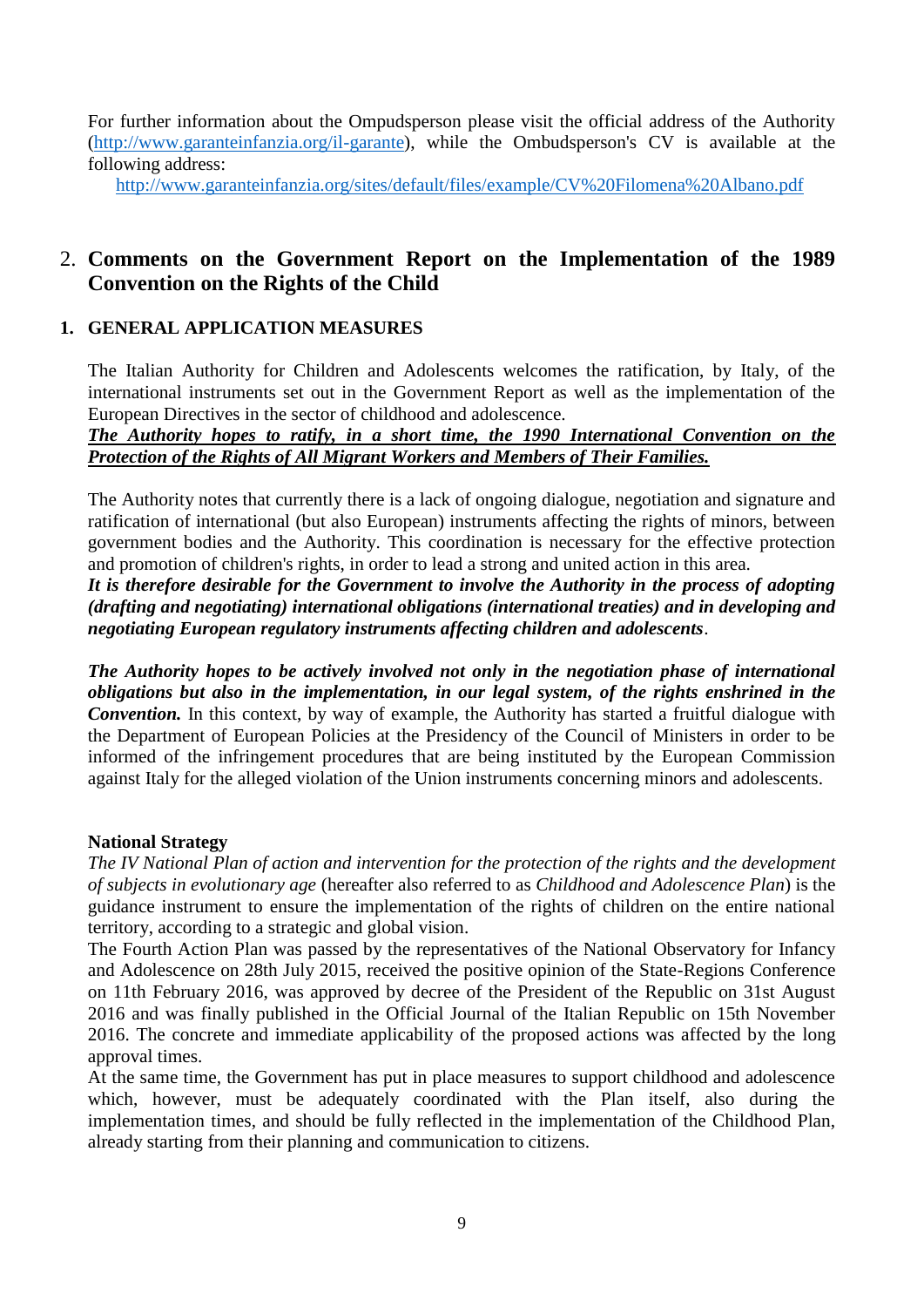For further information about the Ompudsperson please visit the official address of the Authority [\(http://www.garanteinfanzia.org/il-garante\)](http://www.garanteinfanzia.org/il-garante), while the Ombudsperson's CV is available at the following address:

<http://www.garanteinfanzia.org/sites/default/files/example/CV%20Filomena%20Albano.pdf>

# 2. **Comments on the Government Report on the Implementation of the 1989 Convention on the Rights of the Child**

# **1. GENERAL APPLICATION MEASURES**

The Italian Authority for Children and Adolescents welcomes the ratification, by Italy, of the international instruments set out in the Government Report as well as the implementation of the European Directives in the sector of childhood and adolescence.

# *The Authority hopes to ratify, in a short time, the 1990 International Convention on the Protection of the Rights of All Migrant Workers and Members of Their Families.*

The Authority notes that currently there is a lack of ongoing dialogue, negotiation and signature and ratification of international (but also European) instruments affecting the rights of minors, between government bodies and the Authority. This coordination is necessary for the effective protection and promotion of children's rights, in order to lead a strong and united action in this area.

*It is therefore desirable for the Government to involve the Authority in the process of adopting (drafting and negotiating) international obligations (international treaties) and in developing and negotiating European regulatory instruments affecting children and adolescents*.

*The Authority hopes to be actively involved not only in the negotiation phase of international obligations but also in the implementation, in our legal system, of the rights enshrined in the Convention.* In this context, by way of example, the Authority has started a fruitful dialogue with the Department of European Policies at the Presidency of the Council of Ministers in order to be informed of the infringement procedures that are being instituted by the European Commission against Italy for the alleged violation of the Union instruments concerning minors and adolescents.

# **National Strategy**

*The IV National Plan of action and intervention for the protection of the rights and the development of subjects in evolutionary age* (hereafter also referred to as *Childhood and Adolescence Plan*) is the guidance instrument to ensure the implementation of the rights of children on the entire national territory, according to a strategic and global vision.

The Fourth Action Plan was passed by the representatives of the National Observatory for Infancy and Adolescence on 28th July 2015, received the positive opinion of the State-Regions Conference on 11th February 2016, was approved by decree of the President of the Republic on 31st August 2016 and was finally published in the Official Journal of the Italian Republic on 15th November 2016. The concrete and immediate applicability of the proposed actions was affected by the long approval times.

At the same time, the Government has put in place measures to support childhood and adolescence which, however, must be adequately coordinated with the Plan itself, also during the implementation times, and should be fully reflected in the implementation of the Childhood Plan, already starting from their planning and communication to citizens.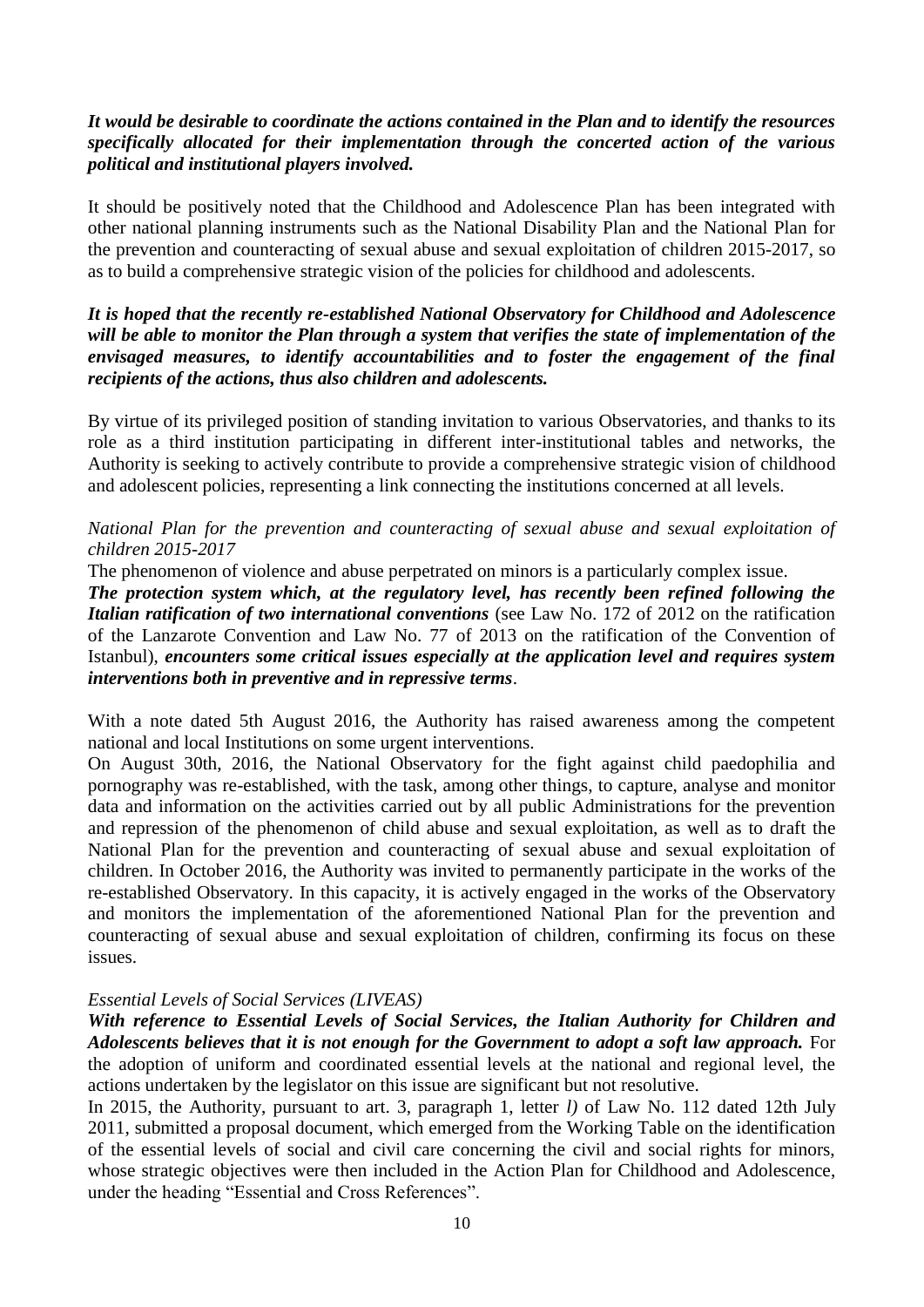## *It would be desirable to coordinate the actions contained in the Plan and to identify the resources specifically allocated for their implementation through the concerted action of the various political and institutional players involved.*

It should be positively noted that the Childhood and Adolescence Plan has been integrated with other national planning instruments such as the National Disability Plan and the National Plan for the prevention and counteracting of sexual abuse and sexual exploitation of children 2015-2017, so as to build a comprehensive strategic vision of the policies for childhood and adolescents.

## *It is hoped that the recently re-established National Observatory for Childhood and Adolescence will be able to monitor the Plan through a system that verifies the state of implementation of the envisaged measures, to identify accountabilities and to foster the engagement of the final recipients of the actions, thus also children and adolescents.*

By virtue of its privileged position of standing invitation to various Observatories, and thanks to its role as a third institution participating in different inter-institutional tables and networks, the Authority is seeking to actively contribute to provide a comprehensive strategic vision of childhood and adolescent policies, representing a link connecting the institutions concerned at all levels.

## *National Plan for the prevention and counteracting of sexual abuse and sexual exploitation of children 2015-2017*

The phenomenon of violence and abuse perpetrated on minors is a particularly complex issue.

*The protection system which, at the regulatory level, has recently been refined following the Italian ratification of two international conventions* (see Law No. 172 of 2012 on the ratification of the Lanzarote Convention and Law No. 77 of 2013 on the ratification of the Convention of Istanbul), *encounters some critical issues especially at the application level and requires system interventions both in preventive and in repressive terms*.

With a note dated 5th August 2016, the Authority has raised awareness among the competent national and local Institutions on some urgent interventions.

On August 30th, 2016, the National Observatory for the fight against child paedophilia and pornography was re-established, with the task, among other things, to capture, analyse and monitor data and information on the activities carried out by all public Administrations for the prevention and repression of the phenomenon of child abuse and sexual exploitation, as well as to draft the National Plan for the prevention and counteracting of sexual abuse and sexual exploitation of children. In October 2016, the Authority was invited to permanently participate in the works of the re-established Observatory. In this capacity, it is actively engaged in the works of the Observatory and monitors the implementation of the aforementioned National Plan for the prevention and counteracting of sexual abuse and sexual exploitation of children, confirming its focus on these issues.

## *Essential Levels of Social Services (LIVEAS)*

*With reference to Essential Levels of Social Services, the Italian Authority for Children and Adolescents believes that it is not enough for the Government to adopt a soft law approach.* For the adoption of uniform and coordinated essential levels at the national and regional level, the actions undertaken by the legislator on this issue are significant but not resolutive.

In 2015, the Authority, pursuant to art. 3, paragraph 1, letter *l)* of Law No. 112 dated 12th July 2011, submitted a proposal document, which emerged from the Working Table on the identification of the essential levels of social and civil care concerning the civil and social rights for minors, whose strategic objectives were then included in the Action Plan for Childhood and Adolescence, under the heading "Essential and Cross References".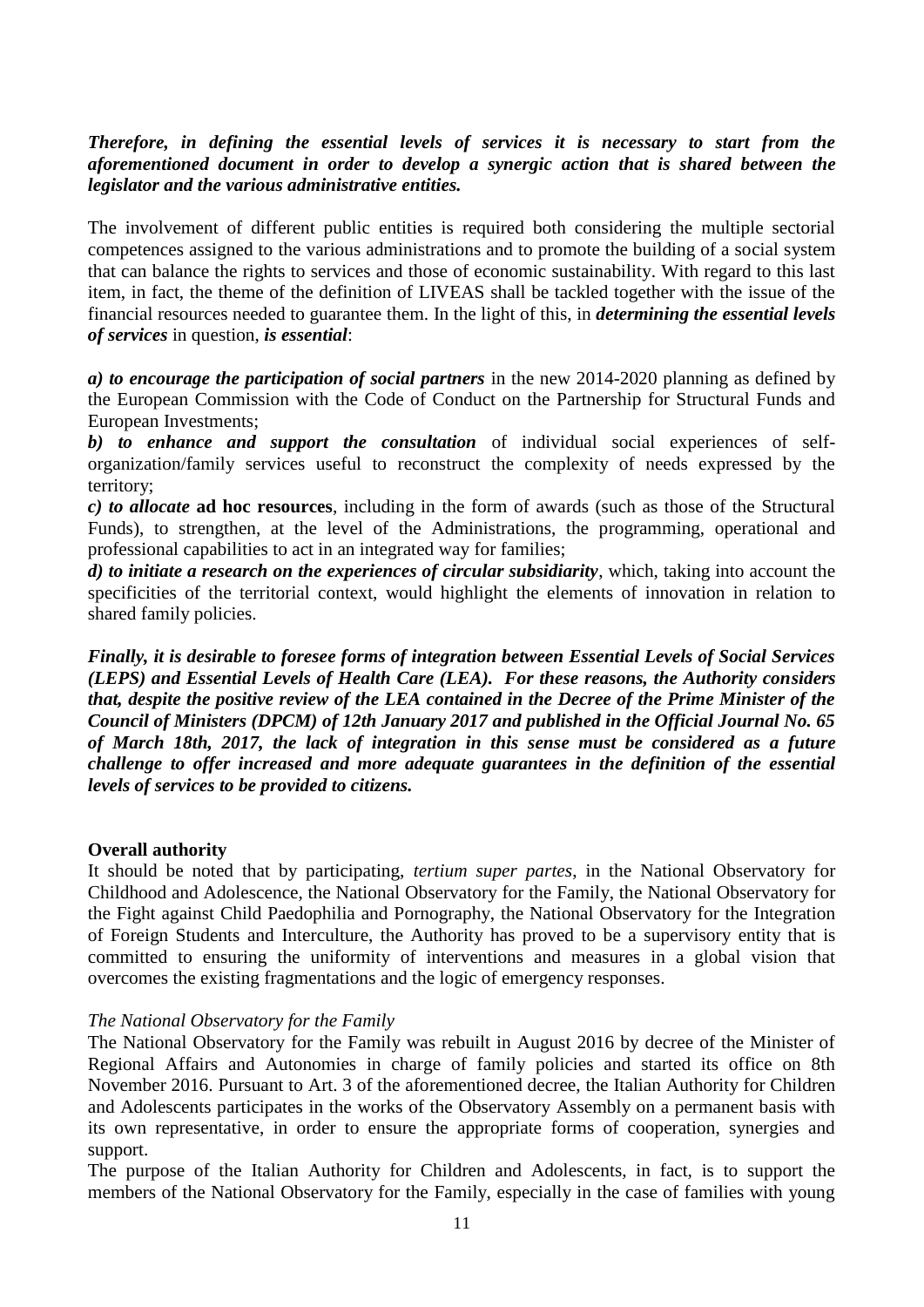## *Therefore, in defining the essential levels of services it is necessary to start from the aforementioned document in order to develop a synergic action that is shared between the legislator and the various administrative entities.*

The involvement of different public entities is required both considering the multiple sectorial competences assigned to the various administrations and to promote the building of a social system that can balance the rights to services and those of economic sustainability. With regard to this last item, in fact, the theme of the definition of LIVEAS shall be tackled together with the issue of the financial resources needed to guarantee them. In the light of this, in *determining the essential levels of services* in question, *is essential*:

*a) to encourage the participation of social partners* in the new 2014-2020 planning as defined by the European Commission with the Code of Conduct on the Partnership for Structural Funds and European Investments;

*b) to enhance and support the consultation* of individual social experiences of selforganization/family services useful to reconstruct the complexity of needs expressed by the territory;

*c) to allocate* **ad hoc resources**, including in the form of awards (such as those of the Structural Funds), to strengthen, at the level of the Administrations, the programming, operational and professional capabilities to act in an integrated way for families;

*d) to initiate a research on the experiences of circular subsidiarity*, which, taking into account the specificities of the territorial context, would highlight the elements of innovation in relation to shared family policies.

*Finally, it is desirable to foresee forms of integration between Essential Levels of Social Services (LEPS) and Essential Levels of Health Care (LEA). For these reasons, the Authority considers that, despite the positive review of the LEA contained in the Decree of the Prime Minister of the Council of Ministers (DPCM) of 12th January 2017 and published in the Official Journal No. 65 of March 18th, 2017, the lack of integration in this sense must be considered as a future challenge to offer increased and more adequate guarantees in the definition of the essential levels of services to be provided to citizens.* 

## **Overall authority**

It should be noted that by participating, *tertium super partes*, in the National Observatory for Childhood and Adolescence, the National Observatory for the Family, the National Observatory for the Fight against Child Paedophilia and Pornography, the National Observatory for the Integration of Foreign Students and Interculture, the Authority has proved to be a supervisory entity that is committed to ensuring the uniformity of interventions and measures in a global vision that overcomes the existing fragmentations and the logic of emergency responses.

## *The National Observatory for the Family*

The National Observatory for the Family was rebuilt in August 2016 by decree of the Minister of Regional Affairs and Autonomies in charge of family policies and started its office on 8th November 2016. Pursuant to Art. 3 of the aforementioned decree, the Italian Authority for Children and Adolescents participates in the works of the Observatory Assembly on a permanent basis with its own representative, in order to ensure the appropriate forms of cooperation, synergies and support.

The purpose of the Italian Authority for Children and Adolescents, in fact, is to support the members of the National Observatory for the Family, especially in the case of families with young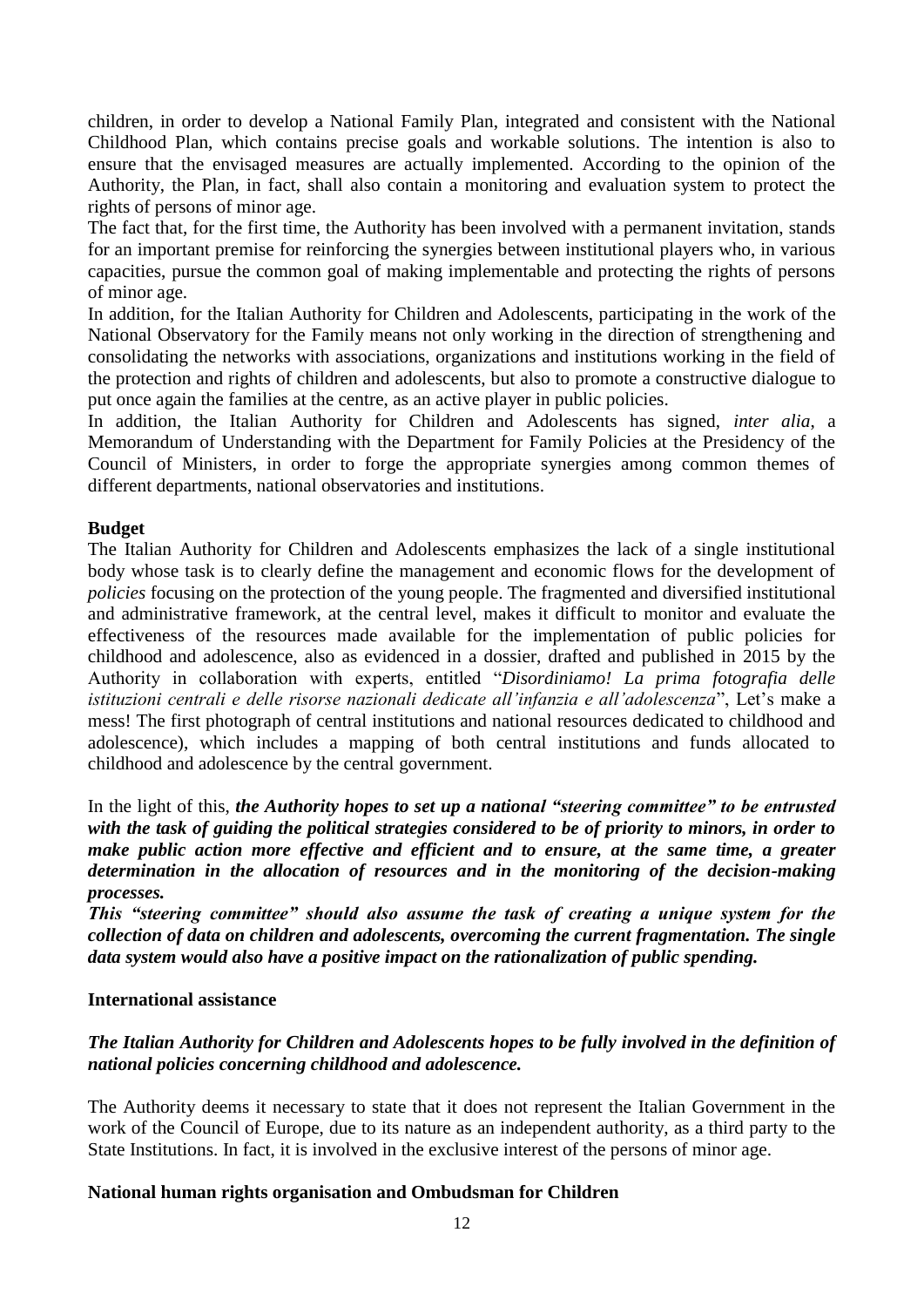children, in order to develop a National Family Plan, integrated and consistent with the National Childhood Plan, which contains precise goals and workable solutions. The intention is also to ensure that the envisaged measures are actually implemented. According to the opinion of the Authority, the Plan, in fact, shall also contain a monitoring and evaluation system to protect the rights of persons of minor age.

The fact that, for the first time, the Authority has been involved with a permanent invitation, stands for an important premise for reinforcing the synergies between institutional players who, in various capacities, pursue the common goal of making implementable and protecting the rights of persons of minor age.

In addition, for the Italian Authority for Children and Adolescents, participating in the work of the National Observatory for the Family means not only working in the direction of strengthening and consolidating the networks with associations, organizations and institutions working in the field of the protection and rights of children and adolescents, but also to promote a constructive dialogue to put once again the families at the centre, as an active player in public policies.

In addition, the Italian Authority for Children and Adolescents has signed, *inter alia*, a Memorandum of Understanding with the Department for Family Policies at the Presidency of the Council of Ministers, in order to forge the appropriate synergies among common themes of different departments, national observatories and institutions.

# **Budget**

The Italian Authority for Children and Adolescents emphasizes the lack of a single institutional body whose task is to clearly define the management and economic flows for the development of *policies* focusing on the protection of the young people. The fragmented and diversified institutional and administrative framework, at the central level, makes it difficult to monitor and evaluate the effectiveness of the resources made available for the implementation of public policies for childhood and adolescence, also as evidenced in a dossier, drafted and published in 2015 by the Authority in collaboration with experts, entitled "*Disordiniamo! La prima fotografia delle istituzioni centrali e delle risorse nazionali dedicate all'infanzia e all'adolescenza*", Let's make a mess! The first photograph of central institutions and national resources dedicated to childhood and adolescence), which includes a mapping of both central institutions and funds allocated to childhood and adolescence by the central government.

In the light of this, *the Authority hopes to set up a national "steering committee" to be entrusted with the task of guiding the political strategies considered to be of priority to minors, in order to make public action more effective and efficient and to ensure, at the same time, a greater determination in the allocation of resources and in the monitoring of the decision-making processes.*

*This "steering committee" should also assume the task of creating a unique system for the collection of data on children and adolescents, overcoming the current fragmentation. The single data system would also have a positive impact on the rationalization of public spending.*

## **International assistance**

# *The Italian Authority for Children and Adolescents hopes to be fully involved in the definition of national policies concerning childhood and adolescence.*

The Authority deems it necessary to state that it does not represent the Italian Government in the work of the Council of Europe, due to its nature as an independent authority, as a third party to the State Institutions. In fact, it is involved in the exclusive interest of the persons of minor age.

## **National human rights organisation and Ombudsman for Children**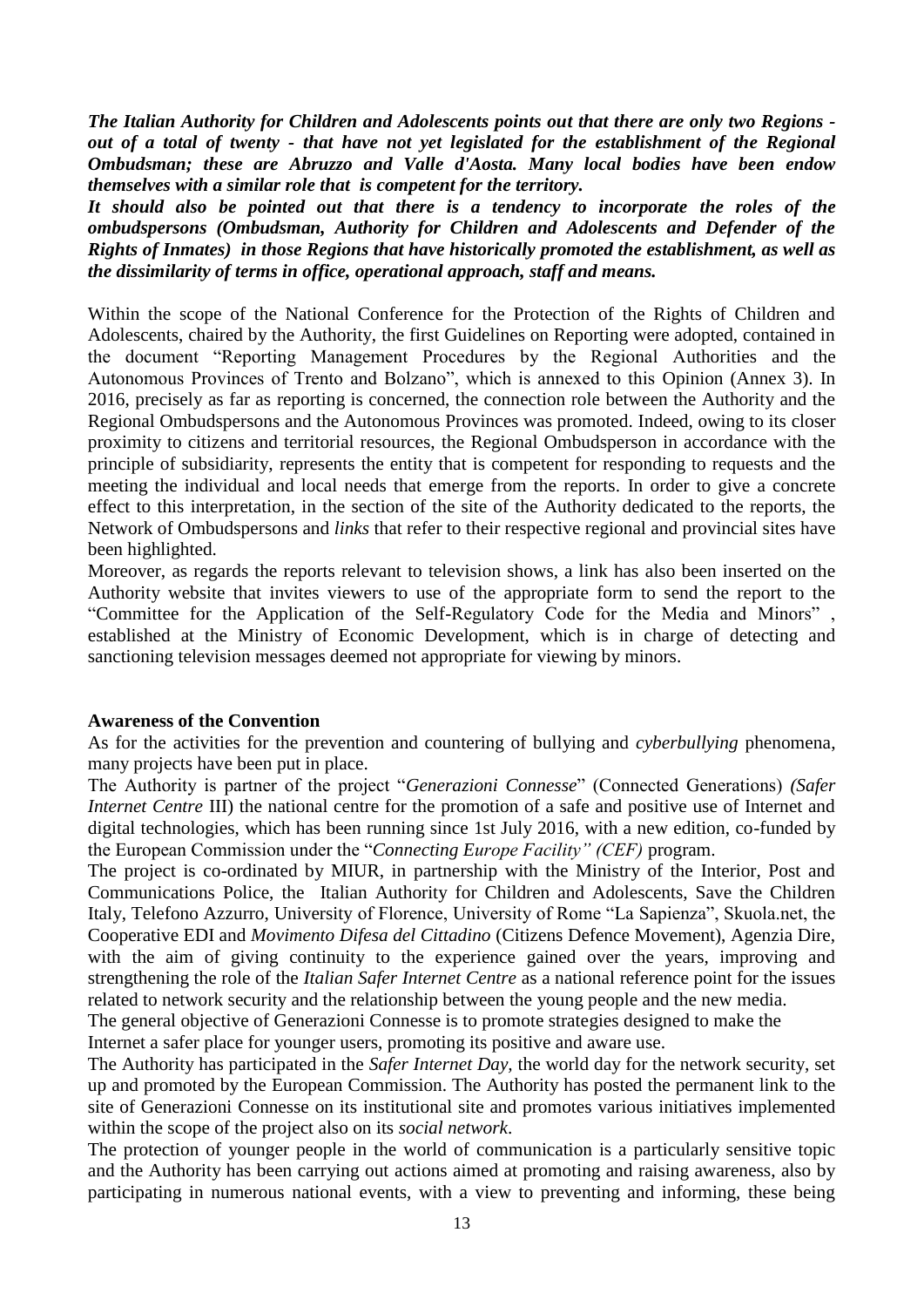*The Italian Authority for Children and Adolescents points out that there are only two Regions out of a total of twenty - that have not yet legislated for the establishment of the Regional Ombudsman; these are Abruzzo and Valle d'Aosta. Many local bodies have been endow themselves with a similar role that is competent for the territory.*

*It should also be pointed out that there is a tendency to incorporate the roles of the ombudspersons (Ombudsman, Authority for Children and Adolescents and Defender of the Rights of Inmates) in those Regions that have historically promoted the establishment, as well as the dissimilarity of terms in office, operational approach, staff and means.*

Within the scope of the National Conference for the Protection of the Rights of Children and Adolescents, chaired by the Authority, the first Guidelines on Reporting were adopted, contained in the document "Reporting Management Procedures by the Regional Authorities and the Autonomous Provinces of Trento and Bolzano", which is annexed to this Opinion (Annex 3). In 2016, precisely as far as reporting is concerned, the connection role between the Authority and the Regional Ombudspersons and the Autonomous Provinces was promoted. Indeed, owing to its closer proximity to citizens and territorial resources, the Regional Ombudsperson in accordance with the principle of subsidiarity, represents the entity that is competent for responding to requests and the meeting the individual and local needs that emerge from the reports. In order to give a concrete effect to this interpretation, in the section of the site of the Authority dedicated to the reports, the Network of Ombudspersons and *links* that refer to their respective regional and provincial sites have been highlighted.

Moreover, as regards the reports relevant to television shows, a link has also been inserted on the Authority website that invites viewers to use of the appropriate form to send the report to the "Committee for the Application of the Self-Regulatory Code for the Media and Minors" , established at the Ministry of Economic Development, which is in charge of detecting and sanctioning television messages deemed not appropriate for viewing by minors.

## **Awareness of the Convention**

As for the activities for the prevention and countering of bullying and *cyberbullying* phenomena, many projects have been put in place.

The Authority is partner of the project "*Generazioni Connesse*" (Connected Generations) *(Safer Internet Centre III*) the national centre for the promotion of a safe and positive use of Internet and digital technologies, which has been running since 1st July 2016, with a new edition, co-funded by the European Commission under the "*Connecting Europe Facility" (CEF)* program.

The project is co-ordinated by MIUR, in partnership with the Ministry of the Interior, Post and Communications Police, the Italian Authority for Children and Adolescents, Save the Children Italy, Telefono Azzurro, University of Florence, University of Rome "La Sapienza", Skuola.net, the Cooperative EDI and *Movimento Difesa del Cittadino* (Citizens Defence Movement), Agenzia Dire, with the aim of giving continuity to the experience gained over the years, improving and strengthening the role of the *Italian Safer Internet Centre* as a national reference point for the issues related to network security and the relationship between the young people and the new media.

The general objective of Generazioni Connesse is to promote strategies designed to make the Internet a safer place for younger users, promoting its positive and aware use.

The Authority has participated in the *Safer Internet Day,* the world day for the network security, set up and promoted by the European Commission. The Authority has posted the permanent link to the site of Generazioni Connesse on its institutional site and promotes various initiatives implemented within the scope of the project also on its *social network*.

The protection of younger people in the world of communication is a particularly sensitive topic and the Authority has been carrying out actions aimed at promoting and raising awareness, also by participating in numerous national events, with a view to preventing and informing, these being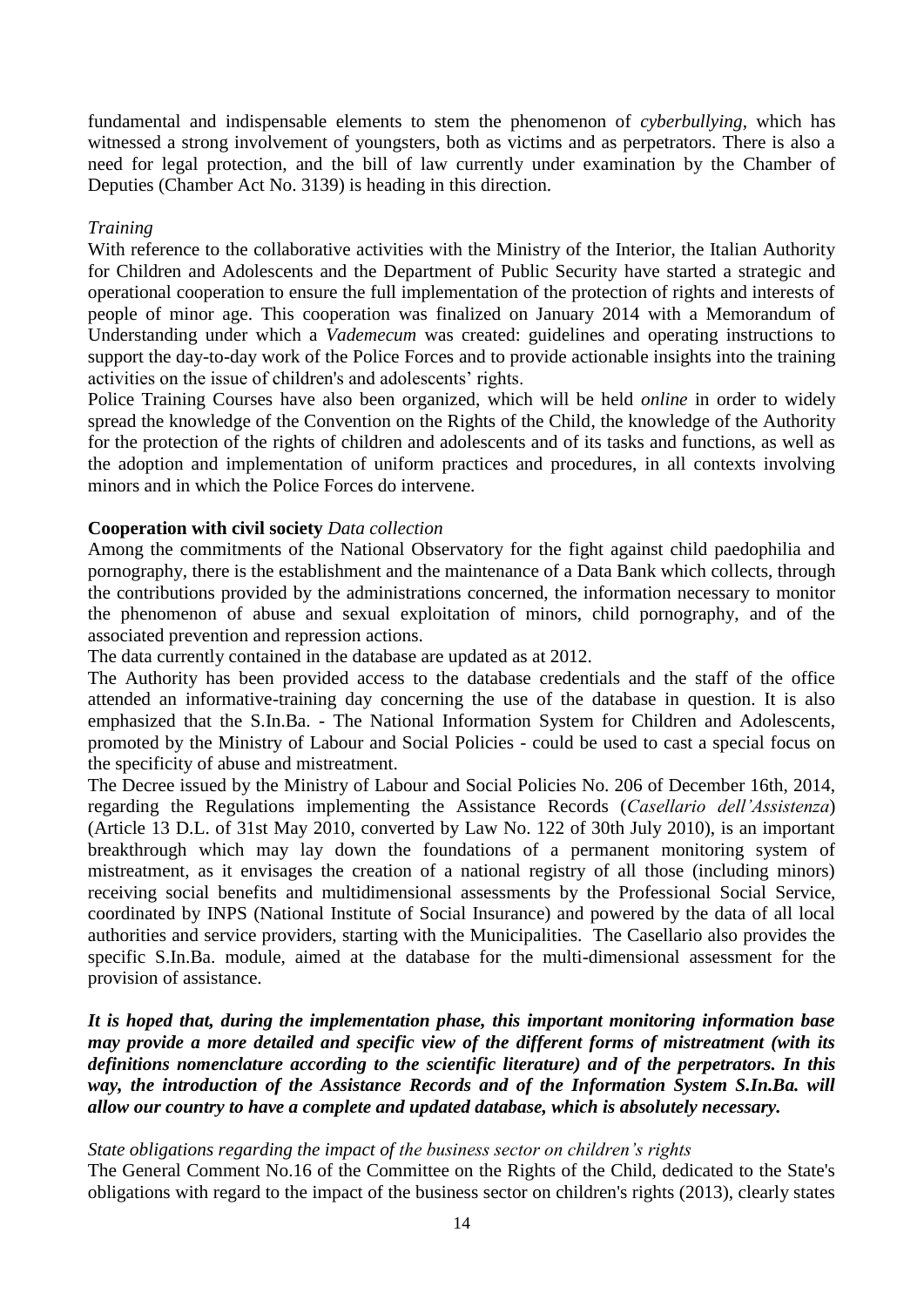fundamental and indispensable elements to stem the phenomenon of *cyberbullying*, which has witnessed a strong involvement of youngsters, both as victims and as perpetrators. There is also a need for legal protection, and the bill of law currently under examination by the Chamber of Deputies (Chamber Act No. 3139) is heading in this direction.

#### *Training*

With reference to the collaborative activities with the Ministry of the Interior, the Italian Authority for Children and Adolescents and the Department of Public Security have started a strategic and operational cooperation to ensure the full implementation of the protection of rights and interests of people of minor age. This cooperation was finalized on January 2014 with a Memorandum of Understanding under which a *[Vademecum](http://www.garanteinfanzia.org/sites/default/files/documenti/Vademecum%20per%20le%20forze%20di%20polizia.pdf)* was created: guidelines and operating instructions to support the day-to-day work of the Police Forces and to provide actionable insights into the training activities on the issue of children's and adolescents' rights.

Police Training Courses have also been organized, which will be held *online* in order to widely spread the knowledge of the Convention on the Rights of the Child, the knowledge of the Authority for the protection of the rights of children and adolescents and of its tasks and functions, as well as the adoption and implementation of uniform practices and procedures, in all contexts involving minors and in which the Police Forces do intervene.

## **Cooperation with civil society** *Data collection*

Among the commitments of the National Observatory for the fight against child paedophilia and pornography, there is the establishment and the maintenance of a Data Bank which collects, through the contributions provided by the administrations concerned, the information necessary to monitor the phenomenon of abuse and sexual exploitation of minors, child pornography, and of the associated prevention and repression actions.

The data currently contained in the database are updated as at 2012.

The Authority has been provided access to the database credentials and the staff of the office attended an informative-training day concerning the use of the database in question. It is also emphasized that the S.In.Ba. - The National Information System for Children and Adolescents, promoted by the Ministry of Labour and Social Policies - could be used to cast a special focus on the specificity of abuse and mistreatment.

The Decree issued by the Ministry of Labour and Social Policies No. 206 of December 16th, 2014, regarding the Regulations implementing the Assistance Records (*Casellario dell'Assistenza*) (Article 13 D.L. of 31st May 2010, converted by Law No. 122 of 30th July 2010), is an important breakthrough which may lay down the foundations of a permanent monitoring system of mistreatment, as it envisages the creation of a national registry of all those (including minors) receiving social benefits and multidimensional assessments by the Professional Social Service, coordinated by INPS (National Institute of Social Insurance) and powered by the data of all local authorities and service providers, starting with the Municipalities. The Casellario also provides the specific S.In.Ba. module, aimed at the database for the multi-dimensional assessment for the provision of assistance.

*It is hoped that, during the implementation phase, this important monitoring information base may provide a more detailed and specific view of the different forms of mistreatment (with its definitions nomenclature according to the scientific literature) and of the perpetrators. In this way, the introduction of the Assistance Records and of the Information System S.In.Ba. will allow our country to have a complete and updated database, which is absolutely necessary.*

#### *State obligations regarding the impact of the business sector on children's rights*

The General Comment No.16 of the Committee on the Rights of the Child, dedicated to the State's obligations with regard to the impact of the business sector on children's rights (2013), clearly states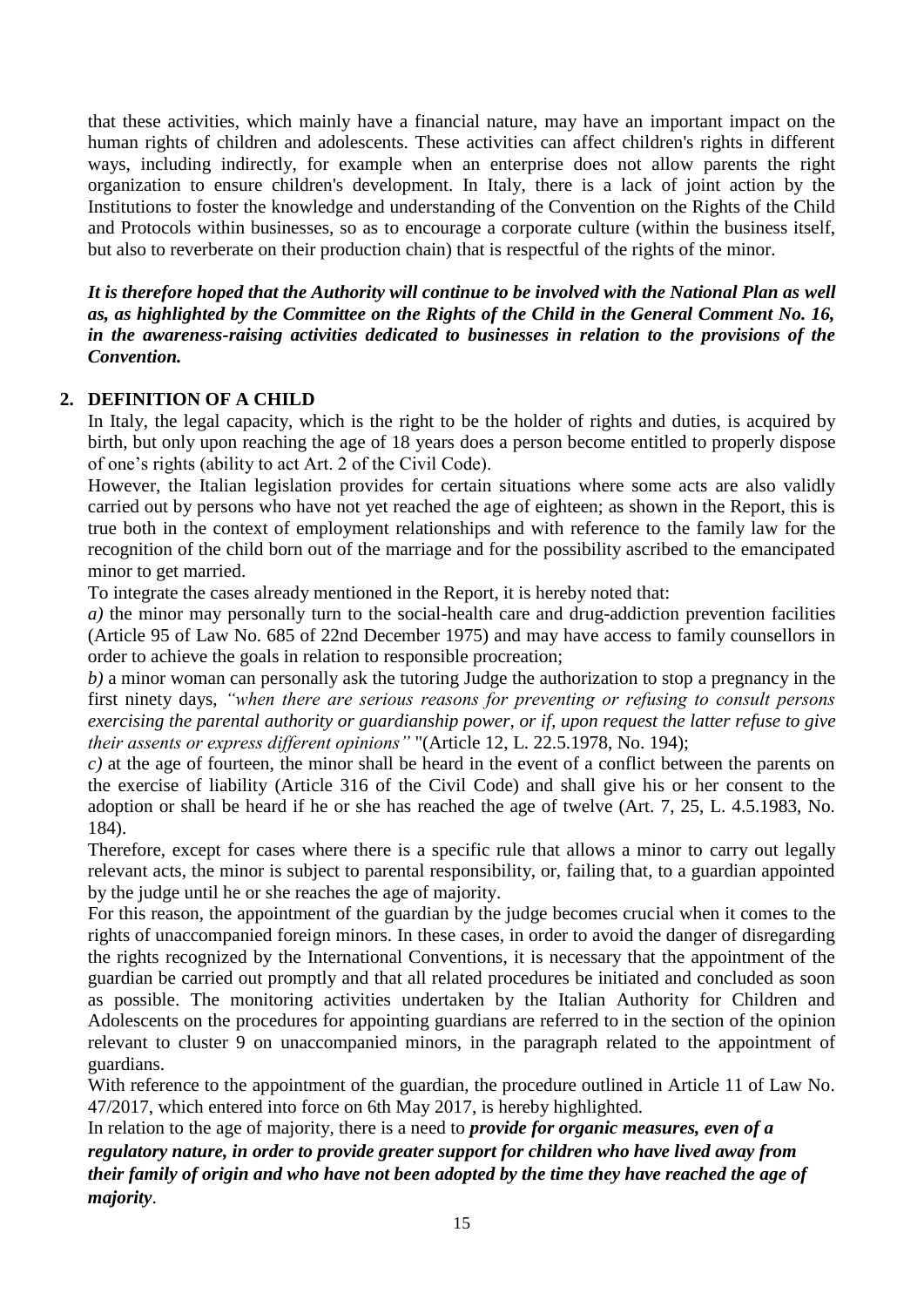that these activities, which mainly have a financial nature, may have an important impact on the human rights of children and adolescents. These activities can affect children's rights in different ways, including indirectly, for example when an enterprise does not allow parents the right organization to ensure children's development. In Italy, there is a lack of joint action by the Institutions to foster the knowledge and understanding of the Convention on the Rights of the Child and Protocols within businesses, so as to encourage a corporate culture (within the business itself, but also to reverberate on their production chain) that is respectful of the rights of the minor.

*It is therefore hoped that the Authority will continue to be involved with the National Plan as well as, as highlighted by the Committee on the Rights of the Child in the General Comment No. 16, in the awareness-raising activities dedicated to businesses in relation to the provisions of the Convention.*

# **2. DEFINITION OF A CHILD**

In Italy, the legal capacity, which is the right to be the holder of rights and duties, is acquired by birth, but only upon reaching the age of 18 years does a person become entitled to properly dispose of one's rights (ability to act Art. 2 of the Civil Code).

However, the Italian legislation provides for certain situations where some acts are also validly carried out by persons who have not yet reached the age of eighteen; as shown in the Report, this is true both in the context of employment relationships and with reference to the family law for the recognition of the child born out of the marriage and for the possibility ascribed to the emancipated minor to get married.

To integrate the cases already mentioned in the Report, it is hereby noted that:

*a*) the minor may personally turn to the social-health care and drug-addiction prevention facilities (Article 95 of Law No. 685 of 22nd December 1975) and may have access to family counsellors in order to achieve the goals in relation to responsible procreation;

*b)* a minor woman can personally ask the tutoring Judge the authorization to stop a pregnancy in the first ninety days, *"when there are serious reasons for preventing or refusing to consult persons exercising the parental authority or guardianship power, or if, upon request the latter refuse to give their assents or express different opinions"* "(Article 12, L. 22.5.1978, No. 194);

*c)* at the age of fourteen, the minor shall be heard in the event of a conflict between the parents on the exercise of liability (Article 316 of the Civil Code) and shall give his or her consent to the adoption or shall be heard if he or she has reached the age of twelve (Art. 7, 25, L. 4.5.1983, No. 184).

Therefore, except for cases where there is a specific rule that allows a minor to carry out legally relevant acts, the minor is subject to parental responsibility, or, failing that, to a guardian appointed by the judge until he or she reaches the age of majority.

For this reason, the appointment of the guardian by the judge becomes crucial when it comes to the rights of unaccompanied foreign minors. In these cases, in order to avoid the danger of disregarding the rights recognized by the International Conventions, it is necessary that the appointment of the guardian be carried out promptly and that all related procedures be initiated and concluded as soon as possible. The monitoring activities undertaken by the Italian Authority for Children and Adolescents on the procedures for appointing guardians are referred to in the section of the opinion relevant to cluster 9 on unaccompanied minors, in the paragraph related to the appointment of guardians.

With reference to the appointment of the guardian, the procedure outlined in Article 11 of Law No. 47/2017, which entered into force on 6th May 2017, is hereby highlighted.

In relation to the age of majority, there is a need to *provide for organic measures, even of a regulatory nature, in order to provide greater support for children who have lived away from their family of origin and who have not been adopted by the time they have reached the age of majority*.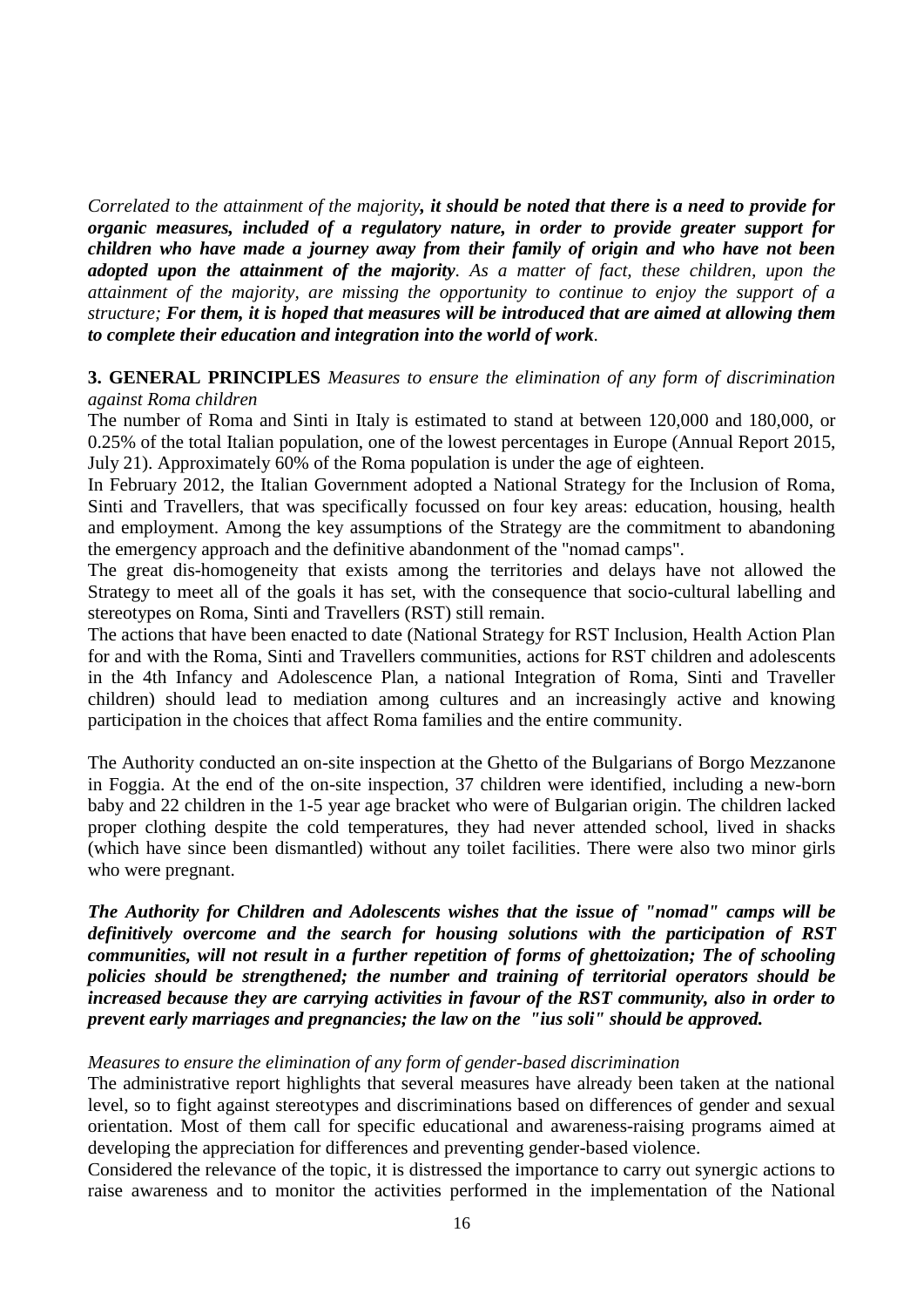*Correlated to the attainment of the majority, it should be noted that there is a need to provide for organic measures, included of a regulatory nature, in order to provide greater support for children who have made a journey away from their family of origin and who have not been adopted upon the attainment of the majority. As a matter of fact, these children, upon the attainment of the majority, are missing the opportunity to continue to enjoy the support of a structure; For them, it is hoped that measures will be introduced that are aimed at allowing them to complete their education and integration into the world of work.*

## **3. GENERAL PRINCIPLES** *Measures to ensure the elimination of any form of discrimination against Roma children*

The number of Roma and Sinti in Italy is estimated to stand at between 120,000 and 180,000, or 0.25% of the total Italian population, one of the lowest percentages in Europe (Annual Report 2015, July 21). Approximately 60% of the Roma population is under the age of eighteen.

In February 2012, the Italian Government adopted a National Strategy for the Inclusion of Roma, Sinti and Travellers, that was specifically focussed on four key areas: education, housing, health and employment. Among the key assumptions of the Strategy are the commitment to abandoning the emergency approach and the definitive abandonment of the "nomad camps".

The great dis-homogeneity that exists among the territories and delays have not allowed the Strategy to meet all of the goals it has set, with the consequence that socio-cultural labelling and stereotypes on Roma, Sinti and Travellers (RST) still remain.

The actions that have been enacted to date (National Strategy for RST Inclusion, Health Action Plan for and with the Roma, Sinti and Travellers communities, actions for RST children and adolescents in the 4th Infancy and Adolescence Plan, a national Integration of Roma, Sinti and Traveller children) should lead to mediation among cultures and an increasingly active and knowing participation in the choices that affect Roma families and the entire community.

The Authority conducted an on-site inspection at the Ghetto of the Bulgarians of Borgo Mezzanone in Foggia. At the end of the on-site inspection, 37 children were identified, including a new-born baby and 22 children in the 1-5 year age bracket who were of Bulgarian origin. The children lacked proper clothing despite the cold temperatures, they had never attended school, lived in shacks (which have since been dismantled) without any toilet facilities. There were also two minor girls who were pregnant.

*The Authority for Children and Adolescents wishes that the issue of "nomad" camps will be definitively overcome and the search for housing solutions with the participation of RST communities, will not result in a further repetition of forms of ghettoization; The of schooling policies should be strengthened; the number and training of territorial operators should be increased because they are carrying activities in favour of the RST community, also in order to prevent early marriages and pregnancies; the law on the "ius soli" should be approved.*

# *Measures to ensure the elimination of any form of gender-based discrimination*

The administrative report highlights that several measures have already been taken at the national level, so to fight against stereotypes and discriminations based on differences of gender and sexual orientation. Most of them call for specific educational and awareness-raising programs aimed at developing the appreciation for differences and preventing gender-based violence.

Considered the relevance of the topic, it is distressed the importance to carry out synergic actions to raise awareness and to monitor the activities performed in the implementation of the National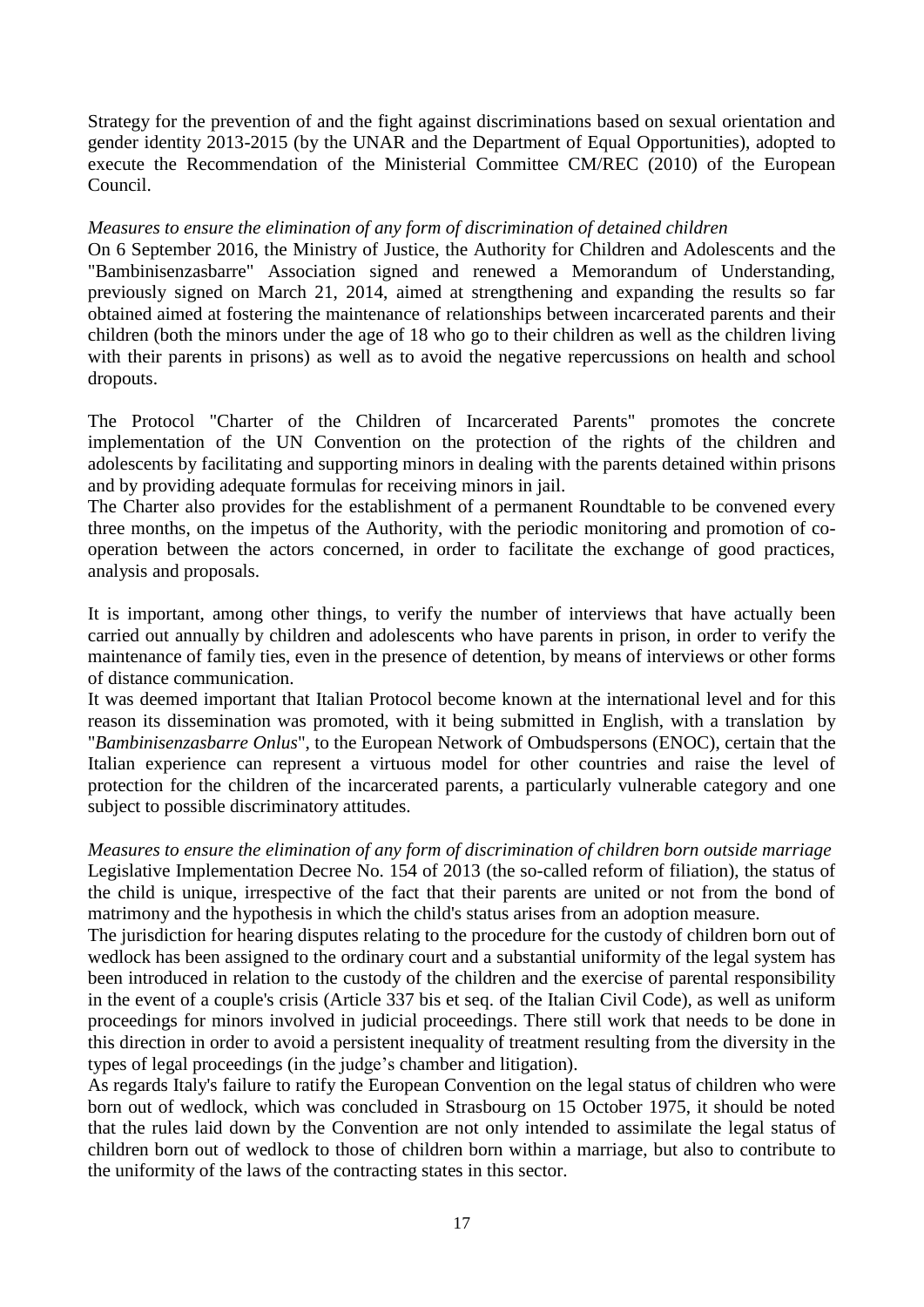Strategy for the prevention of and the fight against discriminations based on sexual orientation and gender identity 2013-2015 (by the UNAR and the Department of Equal Opportunities), adopted to execute the Recommendation of the Ministerial Committee CM/REC (2010) of the European Council.

## *Measures to ensure the elimination of any form of discrimination of detained children*

On 6 September 2016, the Ministry of Justice, the Authority for Children and Adolescents and the "Bambinisenzasbarre" Association signed and renewed a Memorandum of Understanding, previously signed on March 21, 2014, aimed at strengthening and expanding the results so far obtained aimed at fostering the maintenance of relationships between incarcerated parents and their children (both the minors under the age of 18 who go to their children as well as the children living with their parents in prisons) as well as to avoid the negative repercussions on health and school dropouts.

The Protocol "Charter of the Children of Incarcerated Parents" promotes the concrete implementation of the UN Convention on the protection of the rights of the children and adolescents by facilitating and supporting minors in dealing with the parents detained within prisons and by providing adequate formulas for receiving minors in jail.

The Charter also provides for the establishment of a permanent Roundtable to be convened every three months, on the impetus of the Authority, with the periodic monitoring and promotion of cooperation between the actors concerned, in order to facilitate the exchange of good practices, analysis and proposals.

It is important, among other things, to verify the number of interviews that have actually been carried out annually by children and adolescents who have parents in prison, in order to verify the maintenance of family ties, even in the presence of detention, by means of interviews or other forms of distance communication.

It was deemed important that Italian Protocol become known at the international level and for this reason its dissemination was promoted, with it being submitted in English, with a translation by "*Bambinisenzasbarre Onlus*", to the European Network of Ombudspersons (ENOC), certain that the Italian experience can represent a virtuous model for other countries and raise the level of protection for the children of the incarcerated parents, a particularly vulnerable category and one subject to possible discriminatory attitudes.

*Measures to ensure the elimination of any form of discrimination of children born outside marriage*  Legislative Implementation Decree No. 154 of 2013 (the so-called reform of filiation), the status of the child is unique, irrespective of the fact that their parents are united or not from the bond of matrimony and the hypothesis in which the child's status arises from an adoption measure.

The jurisdiction for hearing disputes relating to the procedure for the custody of children born out of wedlock has been assigned to the ordinary court and a substantial uniformity of the legal system has been introduced in relation to the custody of the children and the exercise of parental responsibility in the event of a couple's crisis (Article 337 bis et seq. of the Italian Civil Code), as well as uniform proceedings for minors involved in judicial proceedings. There still work that needs to be done in this direction in order to avoid a persistent inequality of treatment resulting from the diversity in the types of legal proceedings (in the judge's chamber and litigation).

As regards Italy's failure to ratify the European Convention on the legal status of children who were born out of wedlock, which was concluded in Strasbourg on 15 October 1975, it should be noted that the rules laid down by the Convention are not only intended to assimilate the legal status of children born out of wedlock to those of children born within a marriage, but also to contribute to the uniformity of the laws of the contracting states in this sector.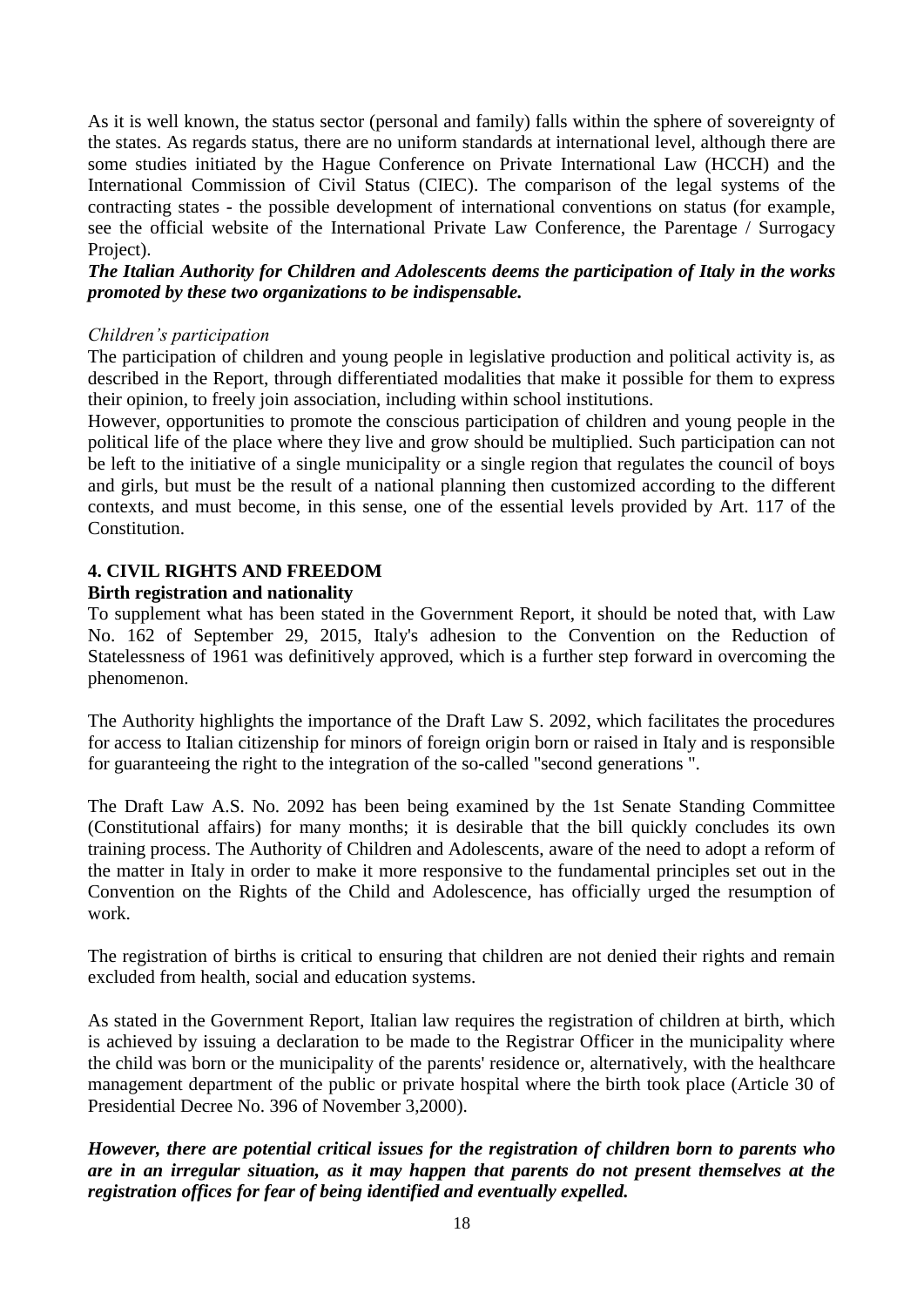As it is well known, the status sector (personal and family) falls within the sphere of sovereignty of the states. As regards status, there are no uniform standards at international level, although there are some studies initiated by the Hague Conference on Private International Law (HCCH) and the International Commission of Civil Status (CIEC). The comparison of the legal systems of the contracting states - the possible development of international conventions on status (for example, see the official website of the International Private Law Conference, the Parentage / Surrogacy Project).

## *The Italian Authority for Children and Adolescents deems the participation of Italy in the works promoted by these two organizations to be indispensable.*

## *Children's participation*

The participation of children and young people in legislative production and political activity is, as described in the Report, through differentiated modalities that make it possible for them to express their opinion, to freely join association, including within school institutions.

However, opportunities to promote the conscious participation of children and young people in the political life of the place where they live and grow should be multiplied. Such participation can not be left to the initiative of a single municipality or a single region that regulates the council of boys and girls, but must be the result of a national planning then customized according to the different contexts, and must become, in this sense, one of the essential levels provided by Art. 117 of the Constitution.

# **4. CIVIL RIGHTS AND FREEDOM**

## **Birth registration and nationality**

To supplement what has been stated in the Government Report, it should be noted that, with Law No. 162 of September 29, 2015, Italy's adhesion to the Convention on the Reduction of Statelessness of 1961 was definitively approved, which is a further step forward in overcoming the phenomenon.

The Authority highlights the importance of the Draft Law S. 2092, which facilitates the procedures for access to Italian citizenship for minors of foreign origin born or raised in Italy and is responsible for guaranteeing the right to the integration of the so-called "second generations ".

The Draft Law A.S. No. 2092 has been being examined by the 1st Senate Standing Committee (Constitutional affairs) for many months; it is desirable that the bill quickly concludes its own training process. The Authority of Children and Adolescents, aware of the need to adopt a reform of the matter in Italy in order to make it more responsive to the fundamental principles set out in the Convention on the Rights of the Child and Adolescence, has officially urged the resumption of work.

The registration of births is critical to ensuring that children are not denied their rights and remain excluded from health, social and education systems.

As stated in the Government Report, Italian law requires the registration of children at birth, which is achieved by issuing a declaration to be made to the Registrar Officer in the municipality where the child was born or the municipality of the parents' residence or, alternatively, with the healthcare management department of the public or private hospital where the birth took place (Article 30 of Presidential Decree No. 396 of November 3,2000).

*However, there are potential critical issues for the registration of children born to parents who are in an irregular situation, as it may happen that parents do not present themselves at the registration offices for fear of being identified and eventually expelled.*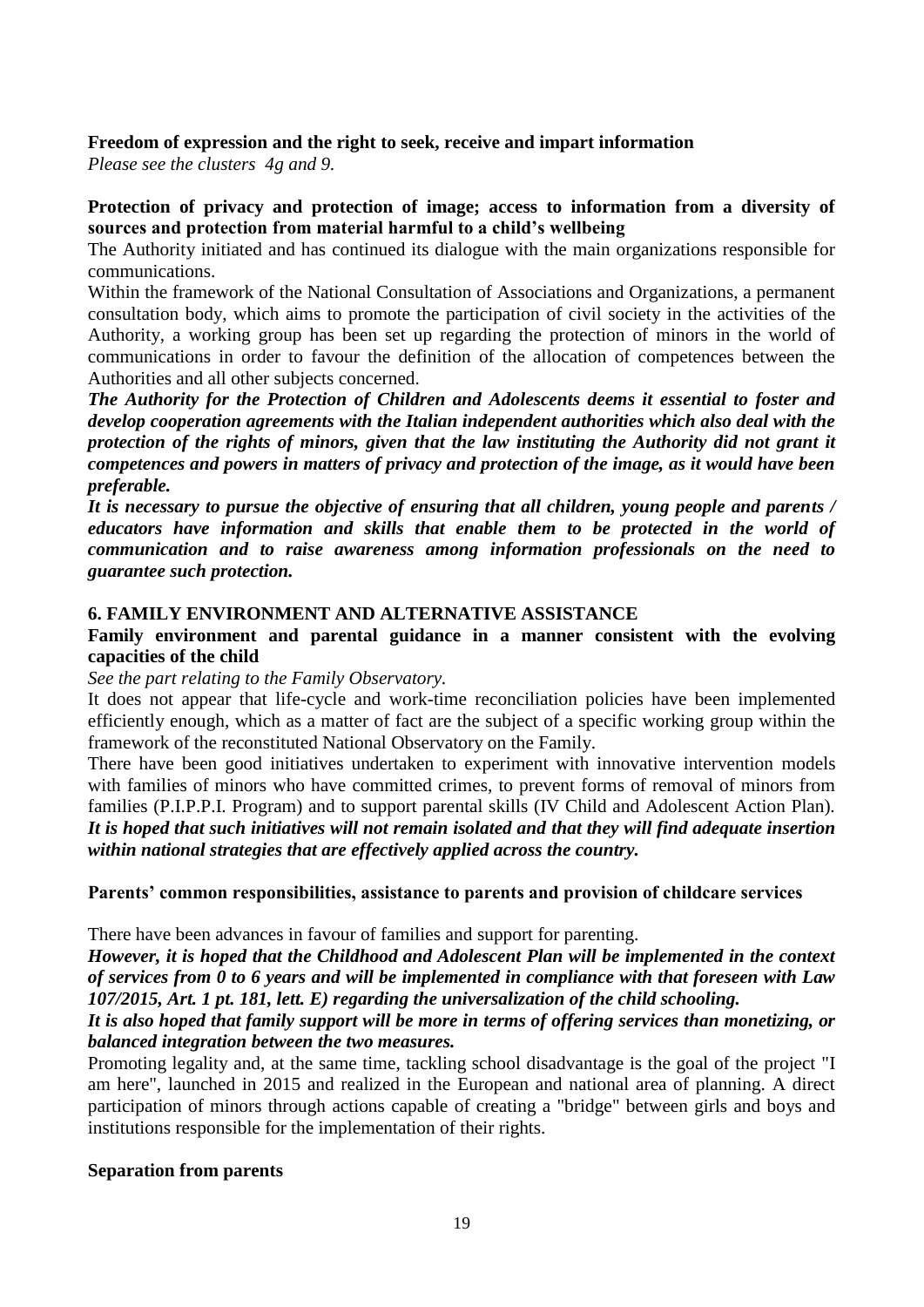## **Freedom of expression and the right to seek, receive and impart information**

*Please see the clusters 4g and 9.*

## **Protection of privacy and protection of image; access to information from a diversity of sources and protection from material harmful to a child's wellbeing**

The Authority initiated and has continued its dialogue with the main organizations responsible for communications.

Within the framework of the National Consultation of Associations and Organizations, a permanent consultation body, which aims to promote the participation of civil society in the activities of the Authority, a working group has been set up regarding the protection of minors in the world of communications in order to favour the definition of the allocation of competences between the Authorities and all other subjects concerned.

*The Authority for the Protection of Children and Adolescents deems it essential to foster and develop cooperation agreements with the Italian independent authorities which also deal with the protection of the rights of minors, given that the law instituting the Authority did not grant it competences and powers in matters of privacy and protection of the image, as it would have been preferable.*

*It is necessary to pursue the objective of ensuring that all children, young people and parents / educators have information and skills that enable them to be protected in the world of communication and to raise awareness among information professionals on the need to guarantee such protection.*

## **6. FAMILY ENVIRONMENT AND ALTERNATIVE ASSISTANCE**

## **Family environment and parental guidance in a manner consistent with the evolving capacities of the child**

*See the part relating to the Family Observatory.*

It does not appear that life-cycle and work-time reconciliation policies have been implemented efficiently enough, which as a matter of fact are the subject of a specific working group within the framework of the reconstituted National Observatory on the Family.

There have been good initiatives undertaken to experiment with innovative intervention models with families of minors who have committed crimes, to prevent forms of removal of minors from families (P.I.P.P.I. Program) and to support parental skills (IV Child and Adolescent Action Plan). *It is hoped that such initiatives will not remain isolated and that they will find adequate insertion within national strategies that are effectively applied across the country.*

## **Parents' common responsibilities, assistance to parents and provision of childcare services**

There have been advances in favour of families and support for parenting.

*However, it is hoped that the Childhood and Adolescent Plan will be implemented in the context of services from 0 to 6 years and will be implemented in compliance with that foreseen with Law 107/2015, Art. 1 pt. 181, lett. E) regarding the universalization of the child schooling.*

## *It is also hoped that family support will be more in terms of offering services than monetizing, or balanced integration between the two measures.*

Promoting legality and, at the same time, tackling school disadvantage is the goal of the project "I am here", launched in 2015 and realized in the European and national area of planning. A direct participation of minors through actions capable of creating a "bridge" between girls and boys and institutions responsible for the implementation of their rights.

## **Separation from parents**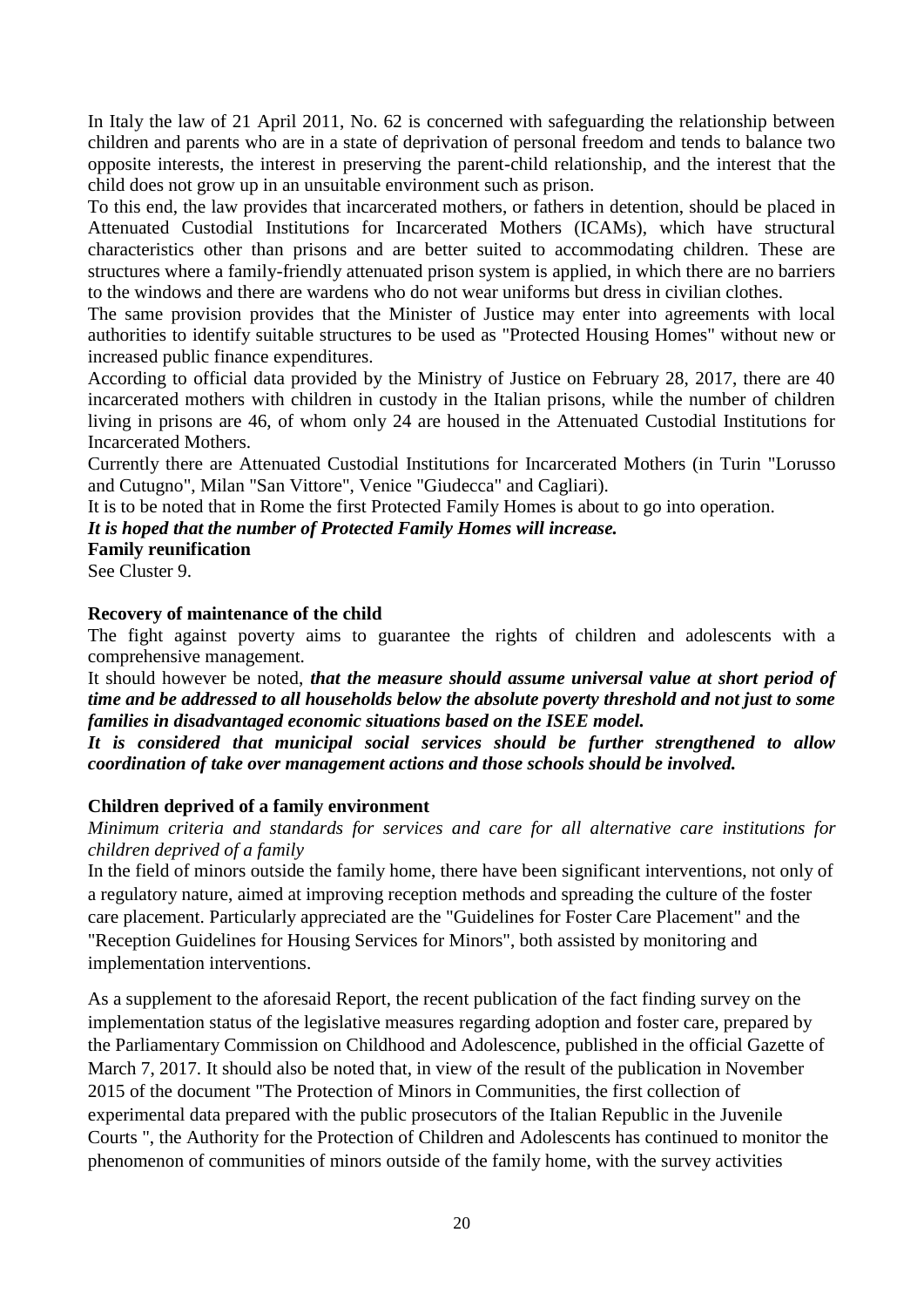In Italy the law of 21 April 2011, No. 62 is concerned with safeguarding the relationship between children and parents who are in a state of deprivation of personal freedom and tends to balance two opposite interests, the interest in preserving the parent-child relationship, and the interest that the child does not grow up in an unsuitable environment such as prison.

To this end, the law provides that incarcerated mothers, or fathers in detention, should be placed in Attenuated Custodial Institutions for Incarcerated Mothers (ICAMs), which have structural characteristics other than prisons and are better suited to accommodating children. These are structures where a family-friendly attenuated prison system is applied, in which there are no barriers to the windows and there are wardens who do not wear uniforms but dress in civilian clothes.

The same provision provides that the Minister of Justice may enter into agreements with local authorities to identify suitable structures to be used as "Protected Housing Homes" without new or increased public finance expenditures.

According to official data provided by the Ministry of Justice on February 28, 2017, there are 40 incarcerated mothers with children in custody in the Italian prisons, while the number of children living in prisons are 46, of whom only 24 are housed in the Attenuated Custodial Institutions for Incarcerated Mothers.

Currently there are Attenuated Custodial Institutions for Incarcerated Mothers (in Turin "Lorusso and Cutugno", Milan "San Vittore", Venice "Giudecca" and Cagliari).

It is to be noted that in Rome the first Protected Family Homes is about to go into operation.

## *It is hoped that the number of Protected Family Homes will increase.*

## **Family reunification**

See Cluster 9.

## **Recovery of maintenance of the child**

The fight against poverty aims to guarantee the rights of children and adolescents with a comprehensive management.

It should however be noted, *that the measure should assume universal value at short period of time and be addressed to all households below the absolute poverty threshold and not just to some families in disadvantaged economic situations based on the ISEE model.*

*It is considered that municipal social services should be further strengthened to allow coordination of take over management actions and those schools should be involved.*

# **Children deprived of a family environment**

*Minimum criteria and standards for services and care for all alternative care institutions for children deprived of a family*

In the field of minors outside the family home, there have been significant interventions, not only of a regulatory nature, aimed at improving reception methods and spreading the culture of the foster care placement. Particularly appreciated are the "Guidelines for Foster Care Placement" and the "Reception Guidelines for Housing Services for Minors", both assisted by monitoring and implementation interventions.

As a supplement to the aforesaid Report, the recent publication of the fact finding survey on the implementation status of the legislative measures regarding adoption and foster care, prepared by the Parliamentary Commission on Childhood and Adolescence, published in the official Gazette of March 7, 2017. It should also be noted that, in view of the result of the publication in November 2015 of the document "The Protection of Minors in Communities, the first collection of experimental data prepared with the public prosecutors of the Italian Republic in the Juvenile Courts ", the Authority for the Protection of Children and Adolescents has continued to monitor the phenomenon of communities of minors outside of the family home, with the survey activities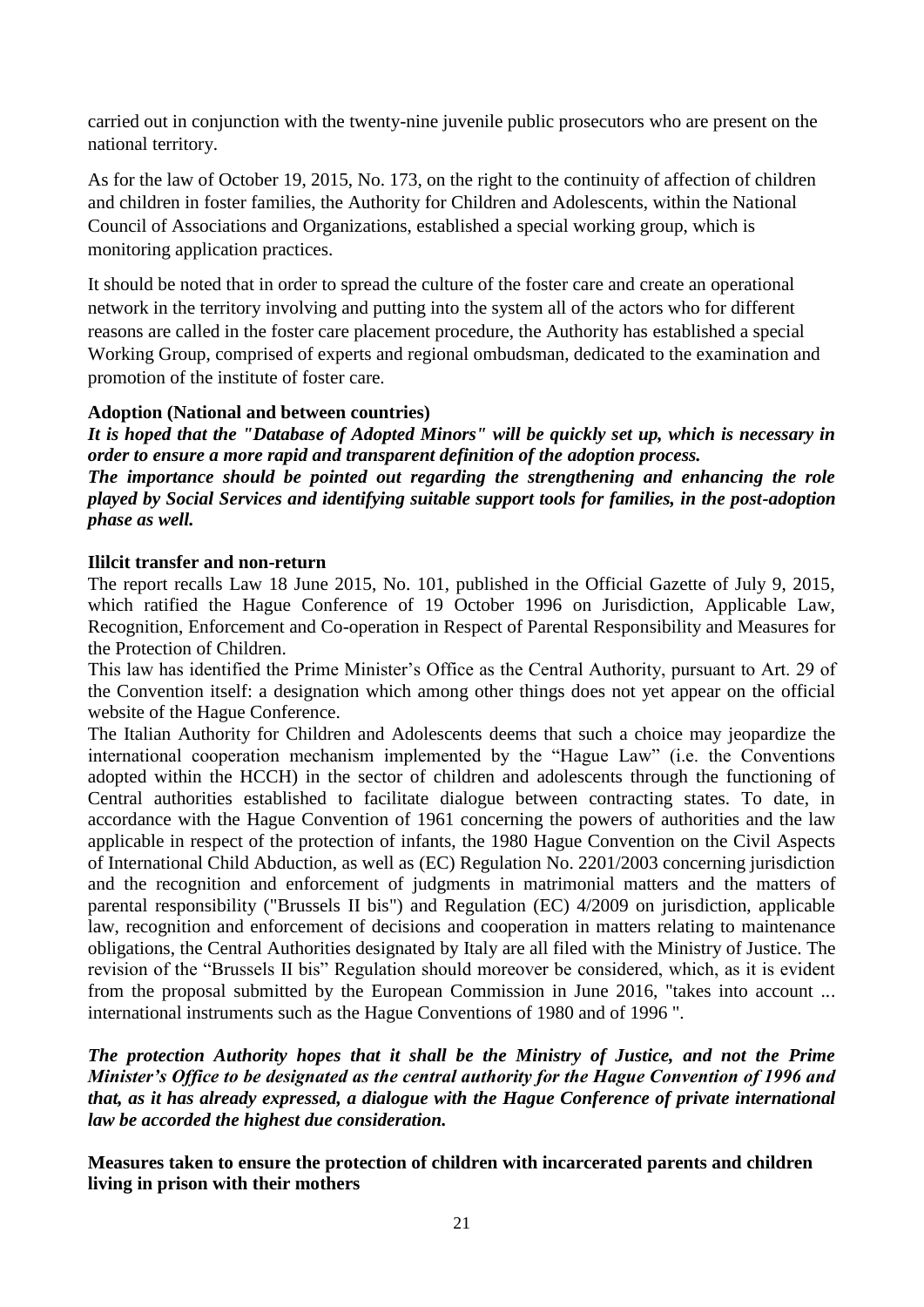carried out in conjunction with the twenty-nine juvenile public prosecutors who are present on the national territory.

As for the law of October 19, 2015, No. 173, on the right to the continuity of affection of children and children in foster families, the Authority for Children and Adolescents, within the National Council of Associations and Organizations, established a special working group, which is monitoring application practices.

It should be noted that in order to spread the culture of the foster care and create an operational network in the territory involving and putting into the system all of the actors who for different reasons are called in the foster care placement procedure, the Authority has established a special Working Group, comprised of experts and regional ombudsman, dedicated to the examination and promotion of the institute of foster care.

# **Adoption (National and between countries)**

*It is hoped that the "Database of Adopted Minors" will be quickly set up, which is necessary in order to ensure a more rapid and transparent definition of the adoption process. The importance should be pointed out regarding the strengthening and enhancing the role played by Social Services and identifying suitable support tools for families, in the post-adoption phase as well.*

## **Ililcit transfer and non-return**

The report recalls Law 18 June 2015, No. 101, published in the Official Gazette of July 9, 2015, which ratified the Hague Conference of 19 October 1996 on Jurisdiction, Applicable Law, Recognition, Enforcement and Co-operation in Respect of Parental Responsibility and Measures for the Protection of Children.

This law has identified the Prime Minister's Office as the Central Authority, pursuant to Art. 29 of the Convention itself: a designation which among other things does not yet appear on the official website of the Hague Conference.

The Italian Authority for Children and Adolescents deems that such a choice may jeopardize the international cooperation mechanism implemented by the "Hague Law" (i.e. the Conventions adopted within the HCCH) in the sector of children and adolescents through the functioning of Central authorities established to facilitate dialogue between contracting states. To date, in accordance with the Hague Convention of 1961 concerning the powers of authorities and the law applicable in respect of the protection of infants, the 1980 Hague Convention on the Civil Aspects of International Child Abduction, as well as (EC) Regulation No. 2201/2003 concerning jurisdiction and the recognition and enforcement of judgments in matrimonial matters and the matters of parental responsibility ("Brussels II bis") and Regulation (EC) 4/2009 on jurisdiction, applicable law, recognition and enforcement of decisions and cooperation in matters relating to maintenance obligations, the Central Authorities designated by Italy are all filed with the Ministry of Justice. The revision of the "Brussels II bis" Regulation should moreover be considered, which, as it is evident from the proposal submitted by the European Commission in June 2016, "takes into account ... international instruments such as the Hague Conventions of 1980 and of 1996 ".

*The protection Authority hopes that it shall be the Ministry of Justice, and not the Prime Minister's Office to be designated as the central authority for the Hague Convention of 1996 and that, as it has already expressed, a dialogue with the Hague Conference of private international law be accorded the highest due consideration.*

**Measures taken to ensure the protection of children with incarcerated parents and children living in prison with their mothers**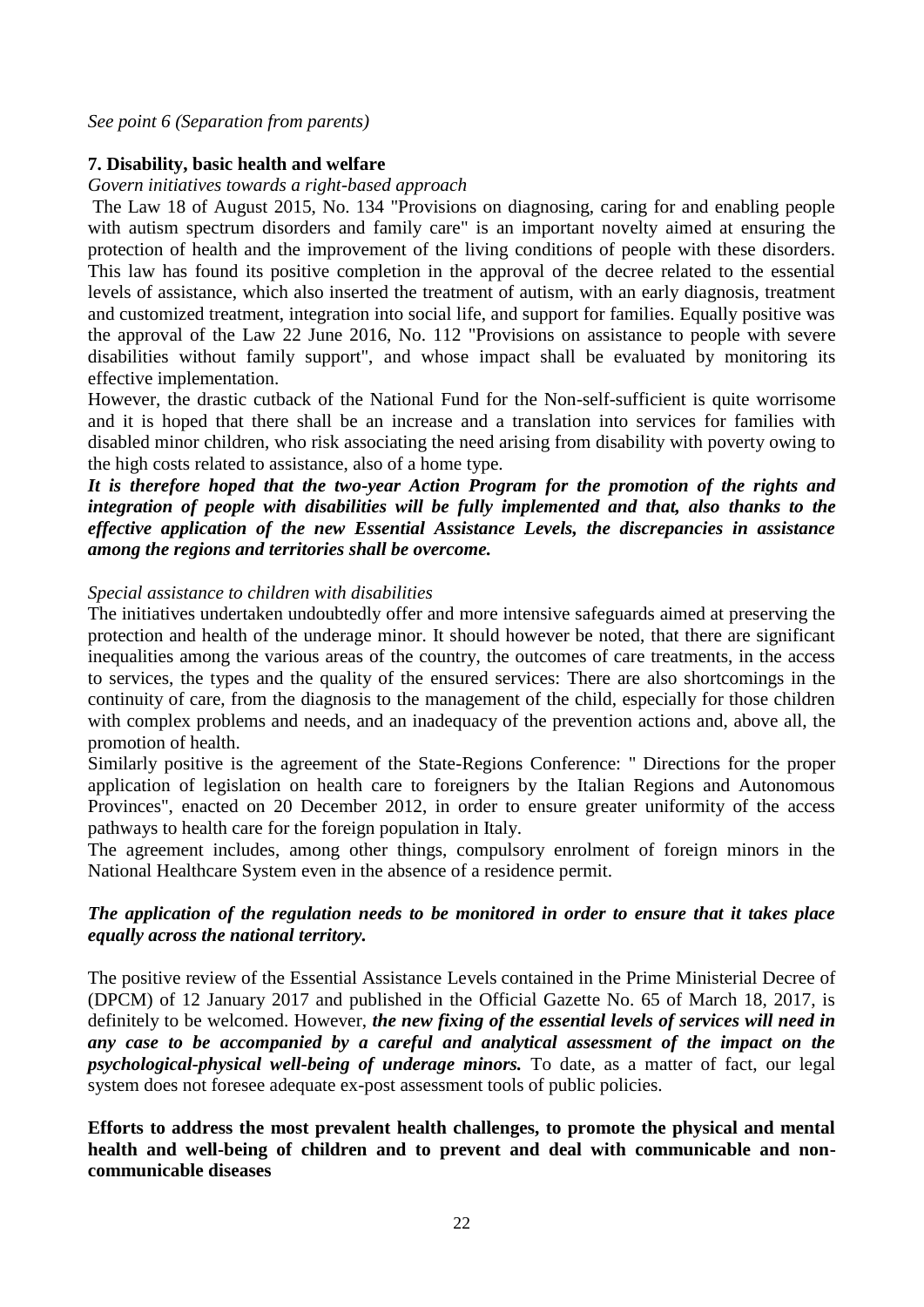*See point 6 (Separation from parents)*

## **7. Disability, basic health and welfare**

*Govern initiatives towards a right-based approach*

The Law 18 of August 2015, No. 134 "Provisions on diagnosing, caring for and enabling people with autism spectrum disorders and family care" is an important novelty aimed at ensuring the protection of health and the improvement of the living conditions of people with these disorders. This law has found its positive completion in the approval of the decree related to the essential levels of assistance, which also inserted the treatment of autism, with an early diagnosis, treatment and customized treatment, integration into social life, and support for families. Equally positive was the approval of the Law 22 June 2016, No. 112 "Provisions on assistance to people with severe disabilities without family support", and whose impact shall be evaluated by monitoring its effective implementation.

However, the drastic cutback of the National Fund for the Non-self-sufficient is quite worrisome and it is hoped that there shall be an increase and a translation into services for families with disabled minor children, who risk associating the need arising from disability with poverty owing to the high costs related to assistance, also of a home type.

*It is therefore hoped that the two-year Action Program for the promotion of the rights and integration of people with disabilities will be fully implemented and that, also thanks to the effective application of the new Essential Assistance Levels, the discrepancies in assistance among the regions and territories shall be overcome.*

#### *Special assistance to children with disabilities*

The initiatives undertaken undoubtedly offer and more intensive safeguards aimed at preserving the protection and health of the underage minor. It should however be noted, that there are significant inequalities among the various areas of the country, the outcomes of care treatments, in the access to services, the types and the quality of the ensured services: There are also shortcomings in the continuity of care, from the diagnosis to the management of the child, especially for those children with complex problems and needs, and an inadequacy of the prevention actions and, above all, the promotion of health.

Similarly positive is the agreement of the State-Regions Conference: " Directions for the proper application of legislation on health care to foreigners by the Italian Regions and Autonomous Provinces", enacted on 20 December 2012, in order to ensure greater uniformity of the access pathways to health care for the foreign population in Italy.

The agreement includes, among other things, compulsory enrolment of foreign minors in the National Healthcare System even in the absence of a residence permit.

## *The application of the regulation needs to be monitored in order to ensure that it takes place equally across the national territory.*

The positive review of the Essential Assistance Levels contained in the Prime Ministerial Decree of (DPCM) of 12 January 2017 and published in the Official Gazette No. 65 of March 18, 2017, is definitely to be welcomed. However, *the new fixing of the essential levels of services will need in any case to be accompanied by a careful and analytical assessment of the impact on the psychological-physical well-being of underage minors.* To date, as a matter of fact, our legal system does not foresee adequate ex-post assessment tools of public policies.

**Efforts to address the most prevalent health challenges, to promote the physical and mental health and well-being of children and to prevent and deal with communicable and noncommunicable diseases**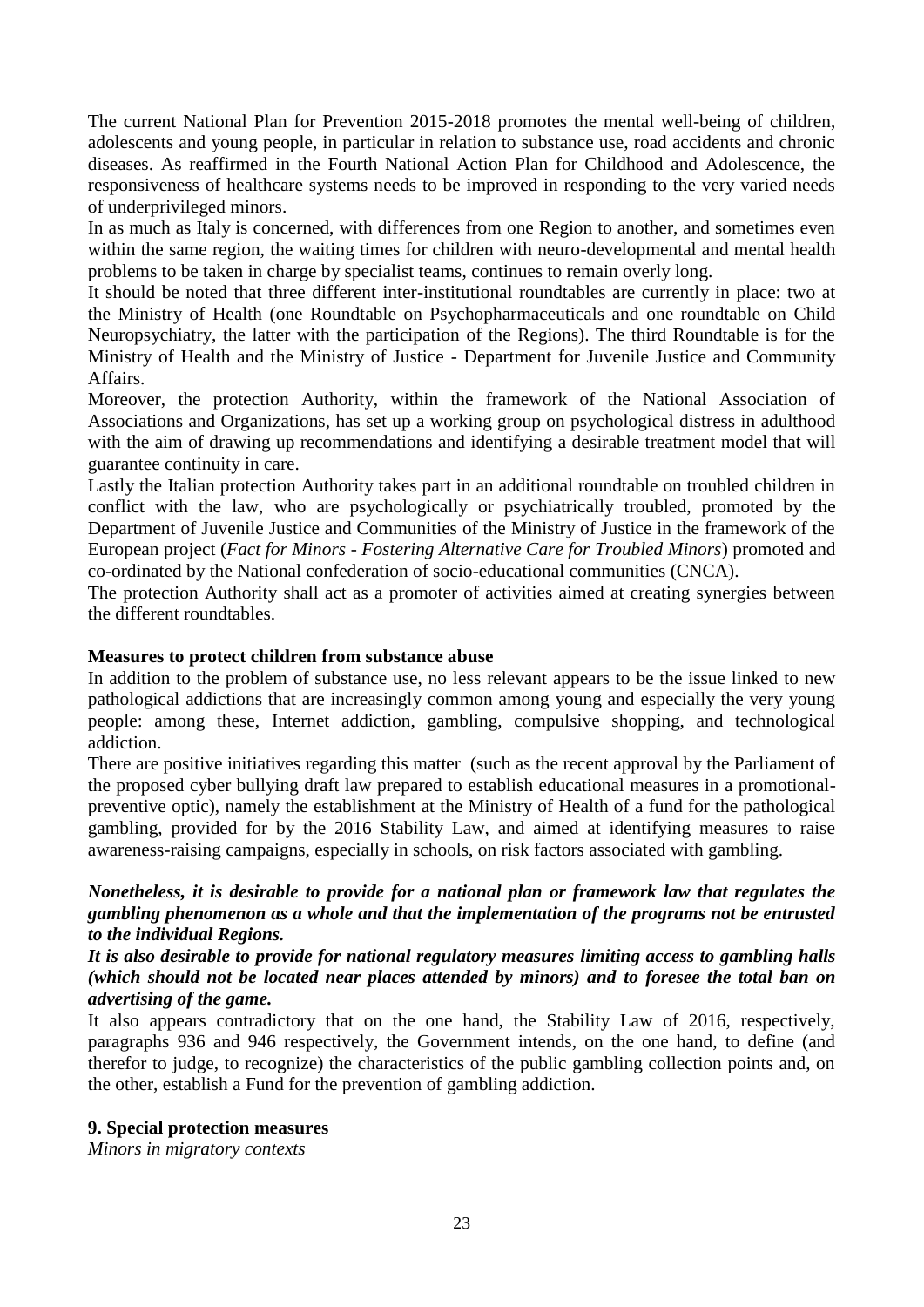The current National Plan for Prevention 2015-2018 promotes the mental well-being of children, adolescents and young people, in particular in relation to substance use, road accidents and chronic diseases. As reaffirmed in the Fourth National Action Plan for Childhood and Adolescence, the responsiveness of healthcare systems needs to be improved in responding to the very varied needs of underprivileged minors.

In as much as Italy is concerned, with differences from one Region to another, and sometimes even within the same region, the waiting times for children with neuro-developmental and mental health problems to be taken in charge by specialist teams, continues to remain overly long.

It should be noted that three different inter-institutional roundtables are currently in place: two at the Ministry of Health (one Roundtable on Psychopharmaceuticals and one roundtable on Child Neuropsychiatry, the latter with the participation of the Regions). The third Roundtable is for the Ministry of Health and the Ministry of Justice - Department for Juvenile Justice and Community Affairs.

Moreover, the protection Authority, within the framework of the National Association of Associations and Organizations, has set up a working group on psychological distress in adulthood with the aim of drawing up recommendations and identifying a desirable treatment model that will guarantee continuity in care.

Lastly the Italian protection Authority takes part in an additional roundtable on troubled children in conflict with the law, who are psychologically or psychiatrically troubled, promoted by the Department of Juvenile Justice and Communities of the Ministry of Justice in the framework of the European project (*Fact for Minors - Fostering Alternative Care for Troubled Minors*) promoted and co-ordinated by the National confederation of socio-educational communities (CNCA).

The protection Authority shall act as a promoter of activities aimed at creating synergies between the different roundtables.

## **Measures to protect children from substance abuse**

In addition to the problem of substance use, no less relevant appears to be the issue linked to new pathological addictions that are increasingly common among young and especially the very young people: among these, Internet addiction, gambling, compulsive shopping, and technological addiction.

There are positive initiatives regarding this matter (such as the recent approval by the Parliament of the proposed cyber bullying draft law prepared to establish educational measures in a promotionalpreventive optic), namely the establishment at the Ministry of Health of a fund for the pathological gambling, provided for by the 2016 Stability Law, and aimed at identifying measures to raise awareness-raising campaigns, especially in schools, on risk factors associated with gambling.

## *Nonetheless, it is desirable to provide for a national plan or framework law that regulates the gambling phenomenon as a whole and that the implementation of the programs not be entrusted to the individual Regions.*

## *It is also desirable to provide for national regulatory measures limiting access to gambling halls (which should not be located near places attended by minors) and to foresee the total ban on advertising of the game.*

It also appears contradictory that on the one hand, the Stability Law of 2016, respectively, paragraphs 936 and 946 respectively, the Government intends, on the one hand, to define (and therefor to judge, to recognize) the characteristics of the public gambling collection points and, on the other, establish a Fund for the prevention of gambling addiction.

## **9. Special protection measures**

*Minors in migratory contexts*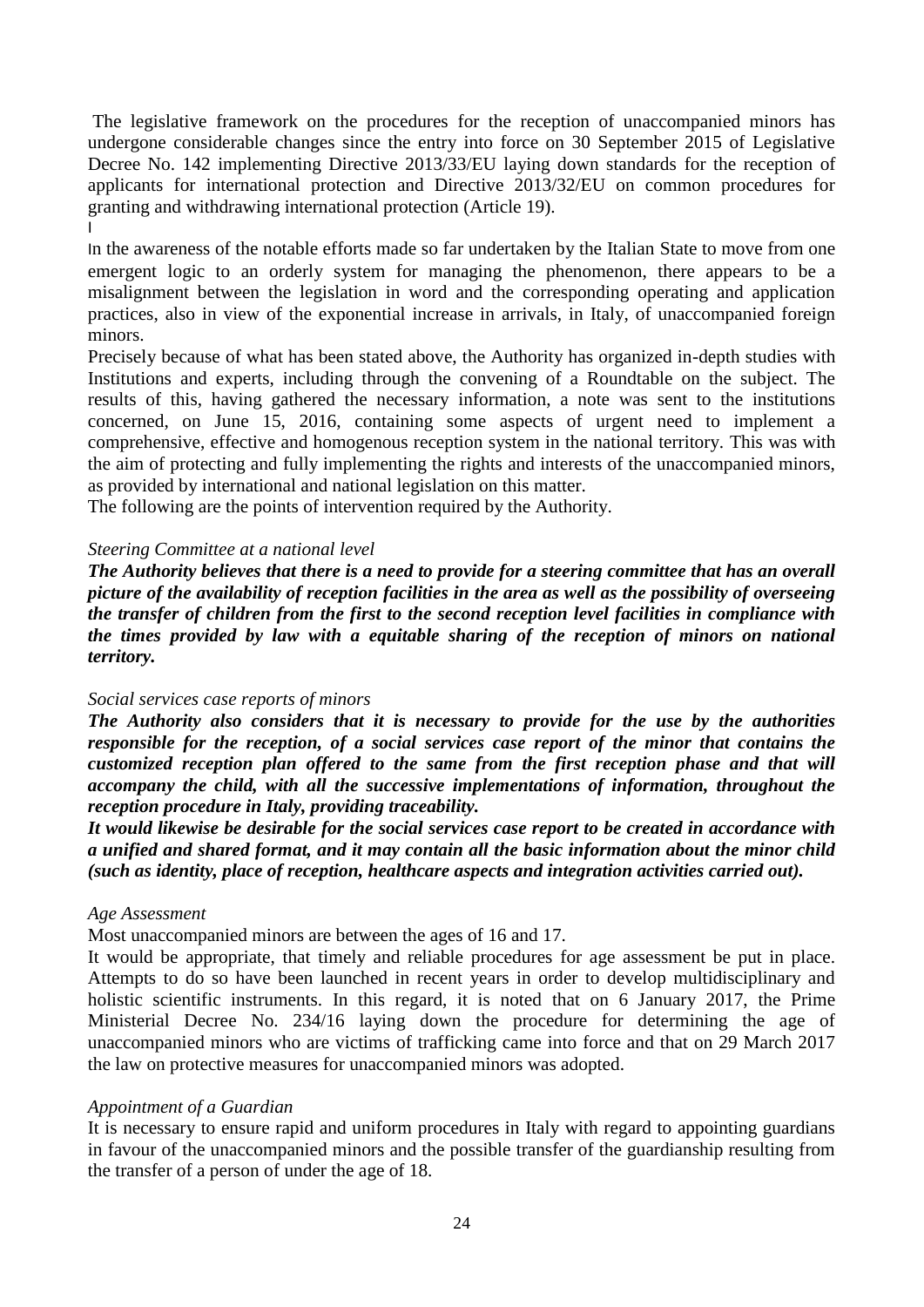The legislative framework on the procedures for the reception of unaccompanied minors has undergone considerable changes since the entry into force on 30 September 2015 of Legislative Decree No. 142 implementing Directive 2013/33/EU laying down standards for the reception of applicants for international protection and Directive 2013/32/EU on common procedures for granting and withdrawing international protection (Article 19). I

In the awareness of the notable efforts made so far undertaken by the Italian State to move from one emergent logic to an orderly system for managing the phenomenon, there appears to be a misalignment between the legislation in word and the corresponding operating and application practices, also in view of the exponential increase in arrivals, in Italy, of unaccompanied foreign minors.

Precisely because of what has been stated above, the Authority has organized in-depth studies with Institutions and experts, including through the convening of a Roundtable on the subject. The results of this, having gathered the necessary information, a note was sent to the institutions concerned, on June 15, 2016, containing some aspects of urgent need to implement a comprehensive, effective and homogenous reception system in the national territory. This was with the aim of protecting and fully implementing the rights and interests of the unaccompanied minors, as provided by international and national legislation on this matter.

The following are the points of intervention required by the Authority.

## *Steering Committee at a national level*

*The Authority believes that there is a need to provide for a steering committee that has an overall picture of the availability of reception facilities in the area as well as the possibility of overseeing the transfer of children from the first to the second reception level facilities in compliance with the times provided by law with a equitable sharing of the reception of minors on national territory.*

# *Social services case reports of minors*

*The Authority also considers that it is necessary to provide for the use by the authorities responsible for the reception, of a social services case report of the minor that contains the customized reception plan offered to the same from the first reception phase and that will accompany the child, with all the successive implementations of information, throughout the reception procedure in Italy, providing traceability.* 

*It would likewise be desirable for the social services case report to be created in accordance with a unified and shared format, and it may contain all the basic information about the minor child (such as identity, place of reception, healthcare aspects and integration activities carried out).*

## *Age Assessment*

Most unaccompanied minors are between the ages of 16 and 17.

It would be appropriate, that timely and reliable procedures for age assessment be put in place. Attempts to do so have been launched in recent years in order to develop multidisciplinary and holistic scientific instruments. In this regard, it is noted that on 6 January 2017, the Prime Ministerial Decree No. 234/16 laying down the procedure for determining the age of unaccompanied minors who are victims of trafficking came into force and that on 29 March 2017 the law on protective measures for unaccompanied minors was adopted.

## *Appointment of a Guardian*

It is necessary to ensure rapid and uniform procedures in Italy with regard to appointing guardians in favour of the unaccompanied minors and the possible transfer of the guardianship resulting from the transfer of a person of under the age of 18.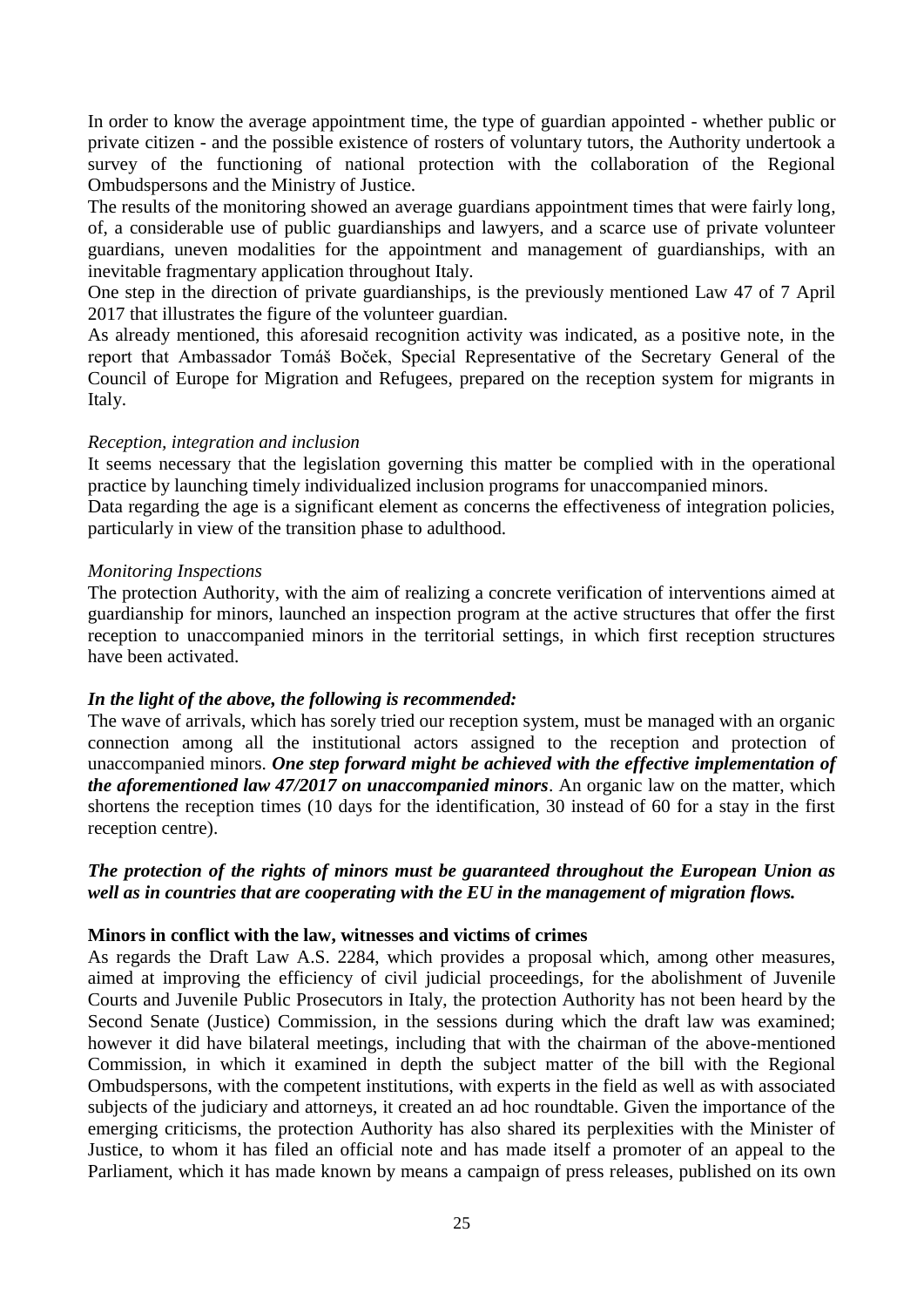In order to know the average appointment time, the type of guardian appointed - whether public or private citizen - and the possible existence of rosters of voluntary tutors, the Authority undertook a survey of the functioning of national protection with the collaboration of the Regional Ombudspersons and the Ministry of Justice.

The results of the monitoring showed an average guardians appointment times that were fairly long, of, a considerable use of public guardianships and lawyers, and a scarce use of private volunteer guardians, uneven modalities for the appointment and management of guardianships, with an inevitable fragmentary application throughout Italy.

One step in the direction of private guardianships, is the previously mentioned Law 47 of 7 April 2017 that illustrates the figure of the volunteer guardian.

As already mentioned, this aforesaid recognition activity was indicated, as a positive note, in the report that Ambassador Tomáš Boček, Special Representative of the Secretary General of the Council of Europe for Migration and Refugees, prepared on the reception system for migrants in Italy.

## *Reception, integration and inclusion*

It seems necessary that the legislation governing this matter be complied with in the operational practice by launching timely individualized inclusion programs for unaccompanied minors.

Data regarding the age is a significant element as concerns the effectiveness of integration policies, particularly in view of the transition phase to adulthood.

#### *Monitoring Inspections*

The protection Authority, with the aim of realizing a concrete verification of interventions aimed at guardianship for minors, launched an inspection program at the active structures that offer the first reception to unaccompanied minors in the territorial settings, in which first reception structures have been activated.

## *In the light of the above, the following is recommended:*

The wave of arrivals, which has sorely tried our reception system, must be managed with an organic connection among all the institutional actors assigned to the reception and protection of unaccompanied minors. *One step forward might be achieved with the effective implementation of the aforementioned law 47/2017 on unaccompanied minors*. An organic law on the matter, which shortens the reception times (10 days for the identification, 30 instead of 60 for a stay in the first reception centre).

## *The protection of the rights of minors must be guaranteed throughout the European Union as well as in countries that are cooperating with the EU in the management of migration flows.*

## **Minors in conflict with the law, witnesses and victims of crimes**

As regards the Draft Law A.S. 2284, which provides a proposal which, among other measures, aimed at improving the efficiency of civil judicial proceedings, for the abolishment of Juvenile Courts and Juvenile Public Prosecutors in Italy, the protection Authority has not been heard by the Second Senate (Justice) Commission, in the sessions during which the draft law was examined; however it did have bilateral meetings, including that with the chairman of the above-mentioned Commission, in which it examined in depth the subject matter of the bill with the Regional Ombudspersons, with the competent institutions, with experts in the field as well as with associated subjects of the judiciary and attorneys, it created an ad hoc roundtable. Given the importance of the emerging criticisms, the protection Authority has also shared its perplexities with the Minister of Justice, to whom it has filed an official note and has made itself a promoter of an appeal to the Parliament, which it has made known by means a campaign of press releases, published on its own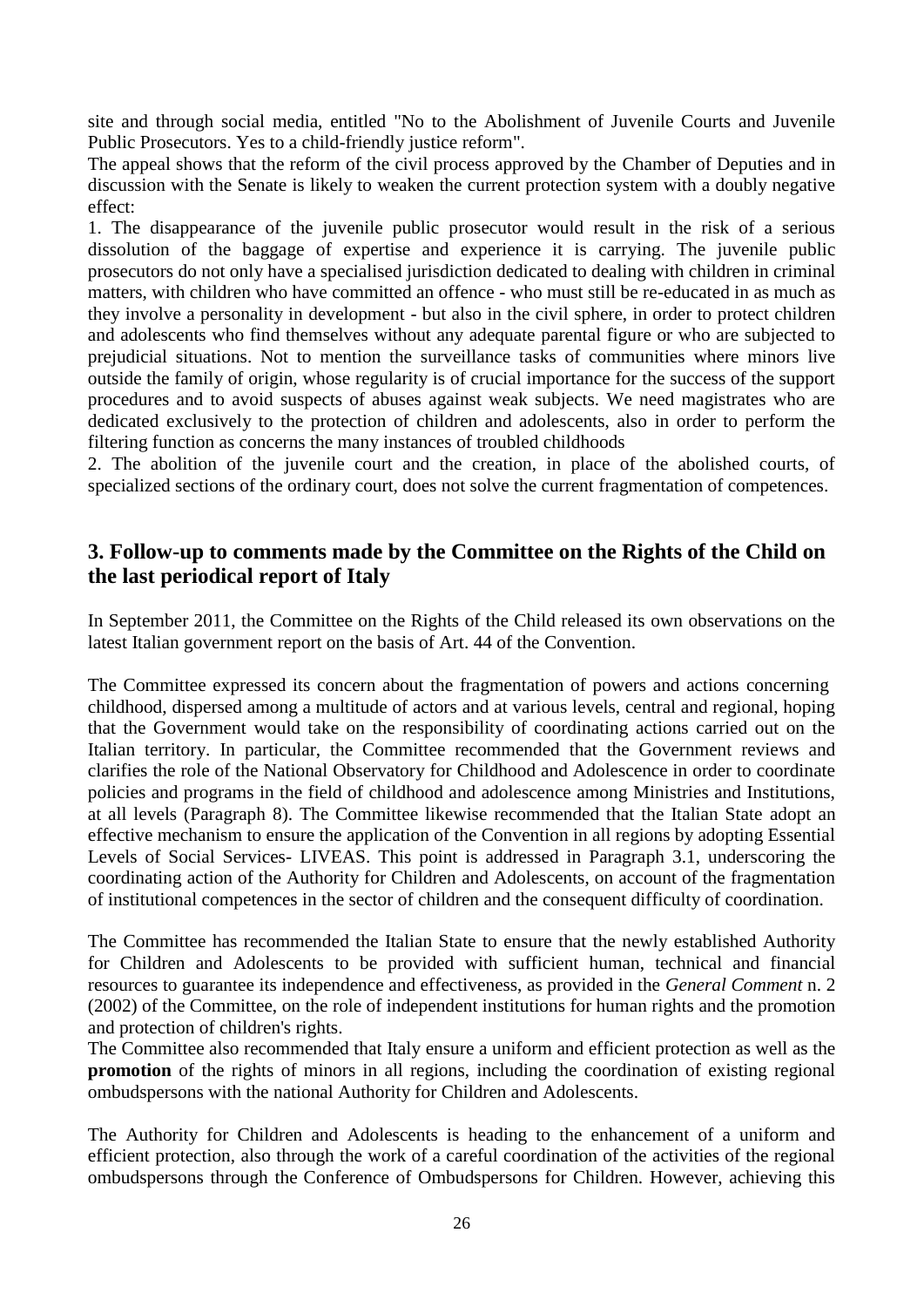site and through social media, entitled "No to the Abolishment of Juvenile Courts and Juvenile Public Prosecutors. Yes to a child-friendly justice reform".

The appeal shows that the reform of the civil process approved by the Chamber of Deputies and in discussion with the Senate is likely to weaken the current protection system with a doubly negative effect:

1. The disappearance of the juvenile public prosecutor would result in the risk of a serious dissolution of the baggage of expertise and experience it is carrying. The juvenile public prosecutors do not only have a specialised jurisdiction dedicated to dealing with children in criminal matters, with children who have committed an offence - who must still be re-educated in as much as they involve a personality in development - but also in the civil sphere, in order to protect children and adolescents who find themselves without any adequate parental figure or who are subjected to prejudicial situations. Not to mention the surveillance tasks of communities where minors live outside the family of origin, whose regularity is of crucial importance for the success of the support procedures and to avoid suspects of abuses against weak subjects. We need magistrates who are dedicated exclusively to the protection of children and adolescents, also in order to perform the filtering function as concerns the many instances of troubled childhoods

2. The abolition of the juvenile court and the creation, in place of the abolished courts, of specialized sections of the ordinary court, does not solve the current fragmentation of competences.

# **3. Follow-up to comments made by the Committee on the Rights of the Child on the last periodical report of Italy**

In September 2011, the Committee on the Rights of the Child released its own observations on the latest Italian government report on the basis of Art. 44 of the Convention.

The Committee expressed its concern about the fragmentation of powers and actions concerning childhood, dispersed among a multitude of actors and at various levels, central and regional, hoping that the Government would take on the responsibility of coordinating actions carried out on the Italian territory. In particular, the Committee recommended that the Government reviews and clarifies the role of the National Observatory for Childhood and Adolescence in order to coordinate policies and programs in the field of childhood and adolescence among Ministries and Institutions, at all levels (Paragraph 8). The Committee likewise recommended that the Italian State adopt an effective mechanism to ensure the application of the Convention in all regions by adopting Essential Levels of Social Services- LIVEAS. This point is addressed in Paragraph 3.1, underscoring the coordinating action of the Authority for Children and Adolescents, on account of the fragmentation of institutional competences in the sector of children and the consequent difficulty of coordination.

The Committee has recommended the Italian State to ensure that the newly established Authority for Children and Adolescents to be provided with sufficient human, technical and financial resources to guarantee its independence and effectiveness, as provided in the *General Comment* n. 2 (2002) of the Committee, on the role of independent institutions for human rights and the promotion and protection of children's rights.

The Committee also recommended that Italy ensure a uniform and efficient protection as well as the **promotion** of the rights of minors in all regions, including the coordination of existing regional ombudspersons with the national Authority for Children and Adolescents.

The Authority for Children and Adolescents is heading to the enhancement of a uniform and efficient protection, also through the work of a careful coordination of the activities of the regional ombudspersons through the Conference of Ombudspersons for Children. However, achieving this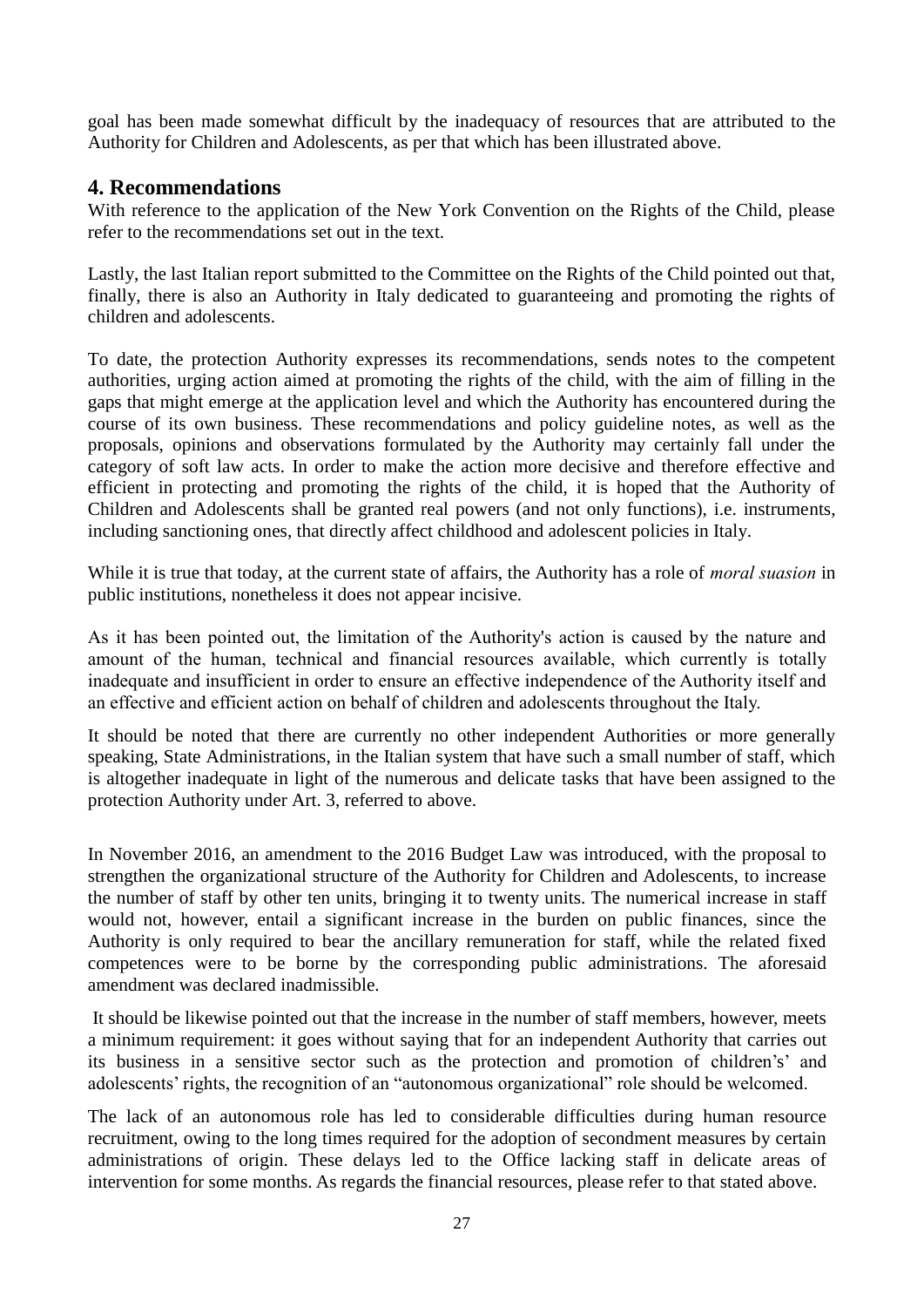goal has been made somewhat difficult by the inadequacy of resources that are attributed to the Authority for Children and Adolescents, as per that which has been illustrated above.

# **4. Recommendations**

With reference to the application of the New York Convention on the Rights of the Child, please refer to the recommendations set out in the text.

Lastly, the last Italian report submitted to the Committee on the Rights of the Child pointed out that, finally, there is also an Authority in Italy dedicated to guaranteeing and promoting the rights of children and adolescents.

To date, the protection Authority expresses its recommendations, sends notes to the competent authorities, urging action aimed at promoting the rights of the child, with the aim of filling in the gaps that might emerge at the application level and which the Authority has encountered during the course of its own business. These recommendations and policy guideline notes, as well as the proposals, opinions and observations formulated by the Authority may certainly fall under the category of soft law acts. In order to make the action more decisive and therefore effective and efficient in protecting and promoting the rights of the child, it is hoped that the Authority of Children and Adolescents shall be granted real powers (and not only functions), i.e. instruments, including sanctioning ones, that directly affect childhood and adolescent policies in Italy.

While it is true that today, at the current state of affairs, the Authority has a role of *moral suasion* in public institutions, nonetheless it does not appear incisive.

As it has been pointed out, the limitation of the Authority's action is caused by the nature and amount of the human, technical and financial resources available, which currently is totally inadequate and insufficient in order to ensure an effective independence of the Authority itself and an effective and efficient action on behalf of children and adolescents throughout the Italy.

It should be noted that there are currently no other independent Authorities or more generally speaking, State Administrations, in the Italian system that have such a small number of staff, which is altogether inadequate in light of the numerous and delicate tasks that have been assigned to the protection Authority under Art. 3, referred to above.

In November 2016, an amendment to the 2016 Budget Law was introduced, with the proposal to strengthen the organizational structure of the Authority for Children and Adolescents, to increase the number of staff by other ten units, bringing it to twenty units. The numerical increase in staff would not, however, entail a significant increase in the burden on public finances, since the Authority is only required to bear the ancillary remuneration for staff, while the related fixed competences were to be borne by the corresponding public administrations. The aforesaid amendment was declared inadmissible.

It should be likewise pointed out that the increase in the number of staff members, however, meets a minimum requirement: it goes without saying that for an independent Authority that carries out its business in a sensitive sector such as the protection and promotion of children's' and adolescents' rights, the recognition of an "autonomous organizational" role should be welcomed.

The lack of an autonomous role has led to considerable difficulties during human resource recruitment, owing to the long times required for the adoption of secondment measures by certain administrations of origin. These delays led to the Office lacking staff in delicate areas of intervention for some months. As regards the financial resources, please refer to that stated above.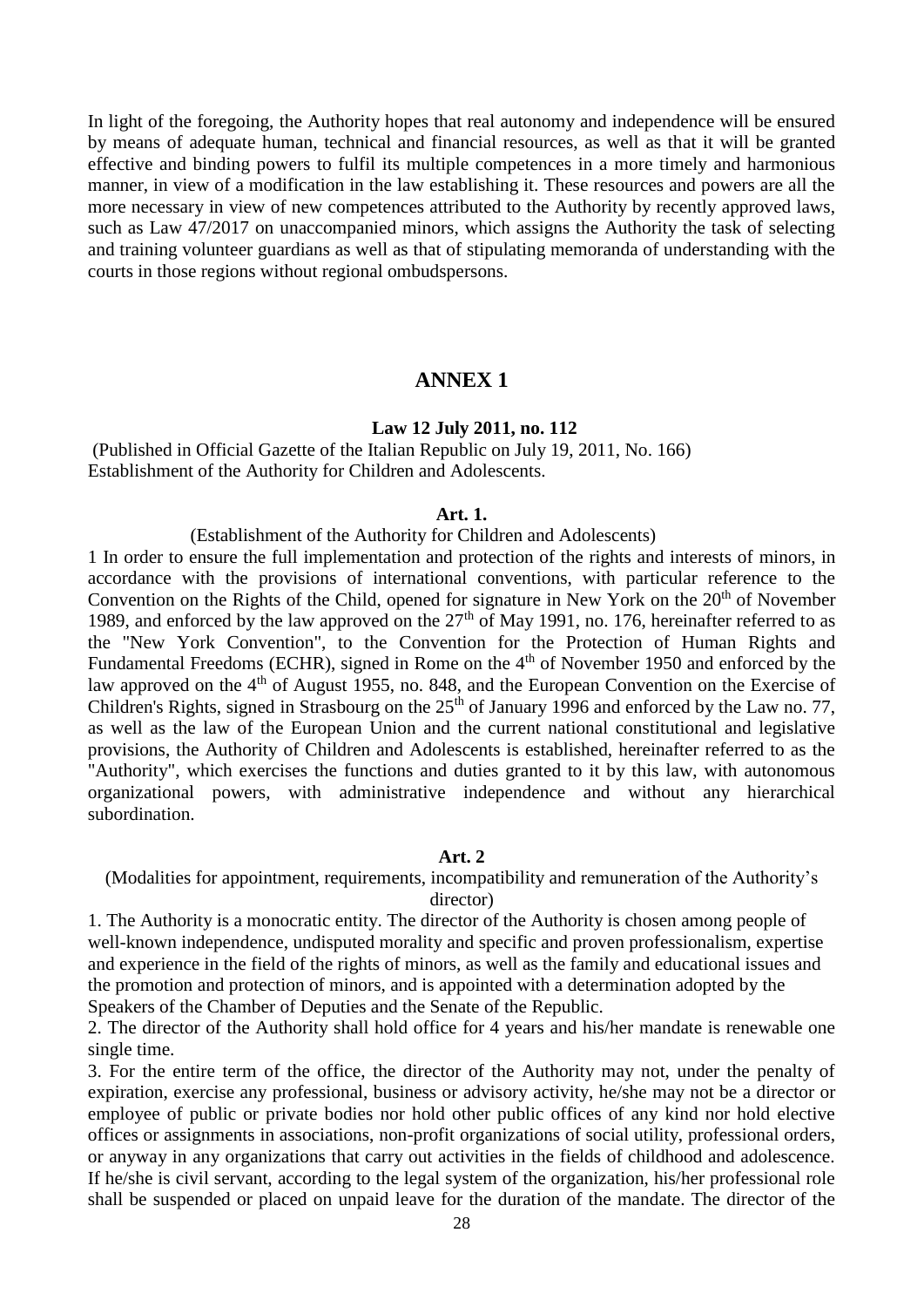In light of the foregoing, the Authority hopes that real autonomy and independence will be ensured by means of adequate human, technical and financial resources, as well as that it will be granted effective and binding powers to fulfil its multiple competences in a more timely and harmonious manner, in view of a modification in the law establishing it. These resources and powers are all the more necessary in view of new competences attributed to the Authority by recently approved laws, such as Law 47/2017 on unaccompanied minors, which assigns the Authority the task of selecting and training volunteer guardians as well as that of stipulating memoranda of understanding with the courts in those regions without regional ombudspersons.

## **ANNEX 1**

#### **Law 12 July 2011, no. 112**

(Published in Official Gazette of the Italian Republic on July 19, 2011, No. 166) Establishment of the Authority for Children and Adolescents.

#### **Art. 1.**

#### (Establishment of the Authority for Children and Adolescents)

1 In order to ensure the full implementation and protection of the rights and interests of minors, in accordance with the provisions of international conventions, with particular reference to the Convention on the Rights of the Child, opened for signature in New York on the 20<sup>th</sup> of November 1989, and enforced by the law approved on the  $27<sup>th</sup>$  of May 1991, no. 176, hereinafter referred to as the "New York Convention", to the Convention for the Protection of Human Rights and Fundamental Freedoms (ECHR), signed in Rome on the 4<sup>th</sup> of November 1950 and enforced by the law approved on the 4<sup>th</sup> of August 1955, no. 848, and the European Convention on the Exercise of Children's Rights, signed in Strasbourg on the  $25<sup>th</sup>$  of January 1996 and enforced by the Law no. 77, as well as the law of the European Union and the current national constitutional and legislative provisions, the Authority of Children and Adolescents is established, hereinafter referred to as the "Authority", which exercises the functions and duties granted to it by this law, with autonomous organizational powers, with administrative independence and without any hierarchical subordination.

#### **Art. 2**

(Modalities for appointment, requirements, incompatibility and remuneration of the Authority's director)

1. The Authority is a monocratic entity. The director of the Authority is chosen among people of well-known independence, undisputed morality and specific and proven professionalism, expertise and experience in the field of the rights of minors, as well as the family and educational issues and the promotion and protection of minors, and is appointed with a determination adopted by the Speakers of the Chamber of Deputies and the Senate of the Republic.

2. The director of the Authority shall hold office for 4 years and his/her mandate is renewable one single time.

3. For the entire term of the office, the director of the Authority may not, under the penalty of expiration, exercise any professional, business or advisory activity, he/she may not be a director or employee of public or private bodies nor hold other public offices of any kind nor hold elective offices or assignments in associations, non-profit organizations of social utility, professional orders, or anyway in any organizations that carry out activities in the fields of childhood and adolescence. If he/she is civil servant, according to the legal system of the organization, his/her professional role shall be suspended or placed on unpaid leave for the duration of the mandate. The director of the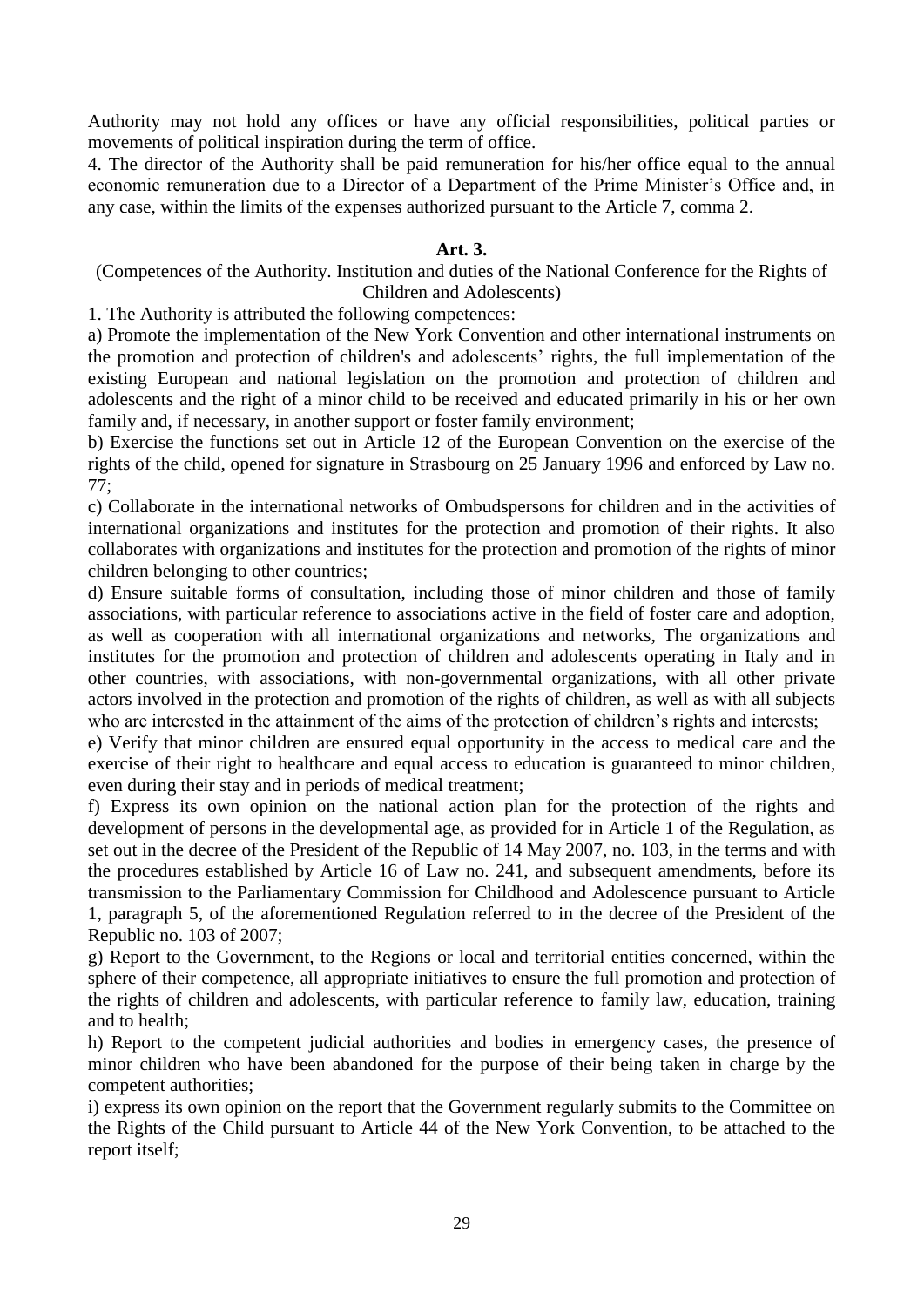Authority may not hold any offices or have any official responsibilities, political parties or movements of political inspiration during the term of office.

4. The director of the Authority shall be paid remuneration for his/her office equal to the annual economic remuneration due to a Director of a Department of the Prime Minister's Office and, in any case, within the limits of the expenses authorized pursuant to the Article 7, comma 2.

## **Art. 3.**

(Competences of the Authority. Institution and duties of the National Conference for the Rights of Children and Adolescents)

1. The Authority is attributed the following competences:

a) Promote the implementation of the New York Convention and other international instruments on the promotion and protection of children's and adolescents' rights, the full implementation of the existing European and national legislation on the promotion and protection of children and adolescents and the right of a minor child to be received and educated primarily in his or her own family and, if necessary, in another support or foster family environment;

b) Exercise the functions set out in Article 12 of the European Convention on the exercise of the rights of the child, opened for signature in Strasbourg on 25 January 1996 and enforced by Law no. 77;

c) Collaborate in the international networks of Ombudspersons for children and in the activities of international organizations and institutes for the protection and promotion of their rights. It also collaborates with organizations and institutes for the protection and promotion of the rights of minor children belonging to other countries;

d) Ensure suitable forms of consultation, including those of minor children and those of family associations, with particular reference to associations active in the field of foster care and adoption, as well as cooperation with all international organizations and networks, The organizations and institutes for the promotion and protection of children and adolescents operating in Italy and in other countries, with associations, with non-governmental organizations, with all other private actors involved in the protection and promotion of the rights of children, as well as with all subjects who are interested in the attainment of the aims of the protection of children's rights and interests;

e) Verify that minor children are ensured equal opportunity in the access to medical care and the exercise of their right to healthcare and equal access to education is guaranteed to minor children, even during their stay and in periods of medical treatment;

f) Express its own opinion on the national action plan for the protection of the rights and development of persons in the developmental age, as provided for in Article 1 of the Regulation, as set out in the decree of the President of the Republic of 14 May 2007, no. 103, in the terms and with the procedures established by Article 16 of Law no. 241, and subsequent amendments, before its transmission to the Parliamentary Commission for Childhood and Adolescence pursuant to Article 1, paragraph 5, of the aforementioned Regulation referred to in the decree of the President of the Republic no. 103 of 2007;

g) Report to the Government, to the Regions or local and territorial entities concerned, within the sphere of their competence, all appropriate initiatives to ensure the full promotion and protection of the rights of children and adolescents, with particular reference to family law, education, training and to health;

h) Report to the competent judicial authorities and bodies in emergency cases, the presence of minor children who have been abandoned for the purpose of their being taken in charge by the competent authorities;

i) express its own opinion on the report that the Government regularly submits to the Committee on the Rights of the Child pursuant to Article 44 of the New York Convention, to be attached to the report itself;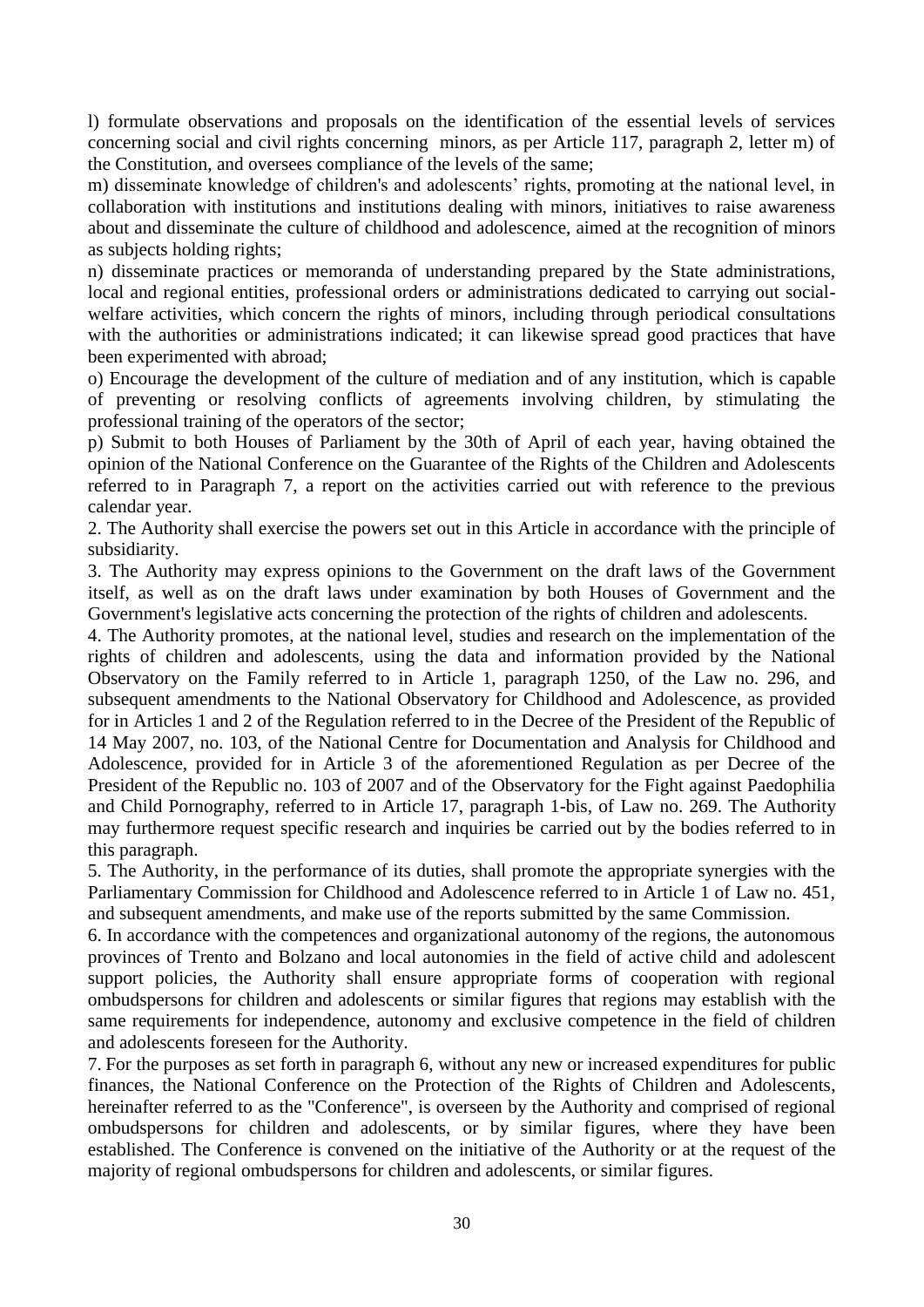l) formulate observations and proposals on the identification of the essential levels of services concerning social and civil rights concerning minors, as per Article 117, paragraph 2, letter m) of the Constitution, and oversees compliance of the levels of the same;

m) disseminate knowledge of children's and adolescents' rights, promoting at the national level, in collaboration with institutions and institutions dealing with minors, initiatives to raise awareness about and disseminate the culture of childhood and adolescence, aimed at the recognition of minors as subjects holding rights;

n) disseminate practices or memoranda of understanding prepared by the State administrations, local and regional entities, professional orders or administrations dedicated to carrying out socialwelfare activities, which concern the rights of minors, including through periodical consultations with the authorities or administrations indicated; it can likewise spread good practices that have been experimented with abroad;

o) Encourage the development of the culture of mediation and of any institution, which is capable of preventing or resolving conflicts of agreements involving children, by stimulating the professional training of the operators of the sector;

p) Submit to both Houses of Parliament by the 30th of April of each year, having obtained the opinion of the National Conference on the Guarantee of the Rights of the Children and Adolescents referred to in Paragraph 7, a report on the activities carried out with reference to the previous calendar year.

2. The Authority shall exercise the powers set out in this Article in accordance with the principle of subsidiarity.

3. The Authority may express opinions to the Government on the draft laws of the Government itself, as well as on the draft laws under examination by both Houses of Government and the Government's legislative acts concerning the protection of the rights of children and adolescents.

4. The Authority promotes, at the national level, studies and research on the implementation of the rights of children and adolescents, using the data and information provided by the National Observatory on the Family referred to in Article 1, paragraph 1250, of the Law no. 296, and subsequent amendments to the National Observatory for Childhood and Adolescence, as provided for in Articles 1 and 2 of the Regulation referred to in the Decree of the President of the Republic of 14 May 2007, no. 103, of the National Centre for Documentation and Analysis for Childhood and Adolescence, provided for in Article 3 of the aforementioned Regulation as per Decree of the President of the Republic no. 103 of 2007 and of the Observatory for the Fight against Paedophilia and Child Pornography, referred to in Article 17, paragraph 1-bis, of Law no. 269. The Authority may furthermore request specific research and inquiries be carried out by the bodies referred to in this paragraph.

5. The Authority, in the performance of its duties, shall promote the appropriate synergies with the Parliamentary Commission for Childhood and Adolescence referred to in Article 1 of Law no. 451, and subsequent amendments, and make use of the reports submitted by the same Commission.

6. In accordance with the competences and organizational autonomy of the regions, the autonomous provinces of Trento and Bolzano and local autonomies in the field of active child and adolescent support policies, the Authority shall ensure appropriate forms of cooperation with regional ombudspersons for children and adolescents or similar figures that regions may establish with the same requirements for independence, autonomy and exclusive competence in the field of children and adolescents foreseen for the Authority.

7. For the purposes as set forth in paragraph 6, without any new or increased expenditures for public finances, the National Conference on the Protection of the Rights of Children and Adolescents, hereinafter referred to as the "Conference", is overseen by the Authority and comprised of regional ombudspersons for children and adolescents, or by similar figures, where they have been established. The Conference is convened on the initiative of the Authority or at the request of the majority of regional ombudspersons for children and adolescents, or similar figures.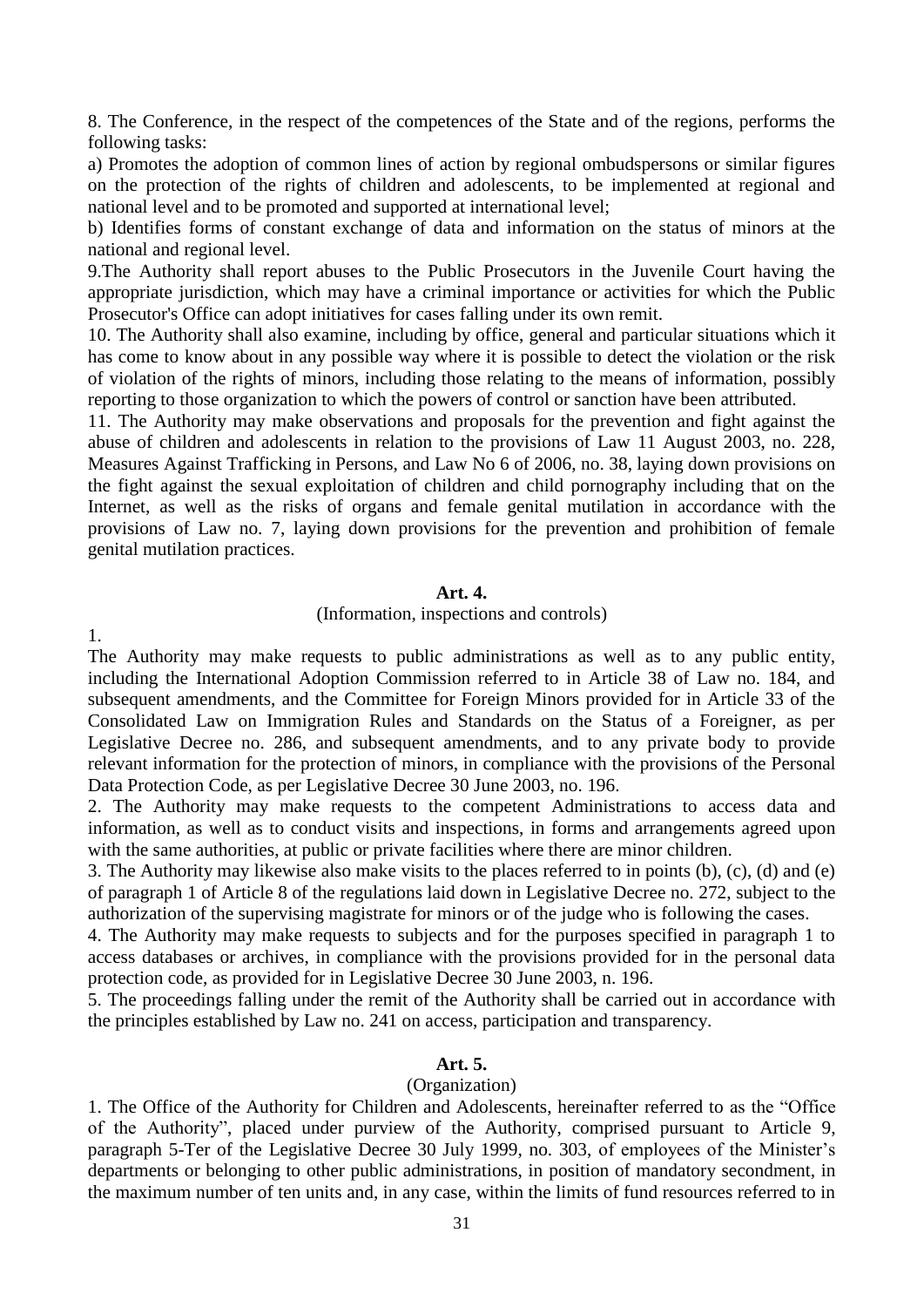8. The Conference, in the respect of the competences of the State and of the regions, performs the following tasks:

a) Promotes the adoption of common lines of action by regional ombudspersons or similar figures on the protection of the rights of children and adolescents, to be implemented at regional and national level and to be promoted and supported at international level;

b) Identifies forms of constant exchange of data and information on the status of minors at the national and regional level.

9.The Authority shall report abuses to the Public Prosecutors in the Juvenile Court having the appropriate jurisdiction, which may have a criminal importance or activities for which the Public Prosecutor's Office can adopt initiatives for cases falling under its own remit.

10. The Authority shall also examine, including by office, general and particular situations which it has come to know about in any possible way where it is possible to detect the violation or the risk of violation of the rights of minors, including those relating to the means of information, possibly reporting to those organization to which the powers of control or sanction have been attributed.

11. The Authority may make observations and proposals for the prevention and fight against the abuse of children and adolescents in relation to the provisions of Law 11 August 2003, no. 228, Measures Against Trafficking in Persons, and Law No 6 of 2006, no. 38, laying down provisions on the fight against the sexual exploitation of children and child pornography including that on the Internet, as well as the risks of organs and female genital mutilation in accordance with the provisions of Law no. 7, laying down provisions for the prevention and prohibition of female genital mutilation practices.

#### **Art. 4.**

#### (Information, inspections and controls)

1.

The Authority may make requests to public administrations as well as to any public entity, including the International Adoption Commission referred to in Article 38 of Law no. 184, and subsequent amendments, and the Committee for Foreign Minors provided for in Article 33 of the Consolidated Law on Immigration Rules and Standards on the Status of a Foreigner, as per Legislative Decree no. 286, and subsequent amendments, and to any private body to provide relevant information for the protection of minors, in compliance with the provisions of the Personal Data Protection Code, as per Legislative Decree 30 June 2003, no. 196.

2. The Authority may make requests to the competent Administrations to access data and information, as well as to conduct visits and inspections, in forms and arrangements agreed upon with the same authorities, at public or private facilities where there are minor children.

3. The Authority may likewise also make visits to the places referred to in points (b), (c), (d) and (e) of paragraph 1 of Article 8 of the regulations laid down in Legislative Decree no. 272, subject to the authorization of the supervising magistrate for minors or of the judge who is following the cases.

4. The Authority may make requests to subjects and for the purposes specified in paragraph 1 to access databases or archives, in compliance with the provisions provided for in the personal data protection code, as provided for in Legislative Decree 30 June 2003, n. 196.

5. The proceedings falling under the remit of the Authority shall be carried out in accordance with the principles established by Law no. 241 on access, participation and transparency.

## **Art. 5.**

#### (Organization)

1. The Office of the Authority for Children and Adolescents, hereinafter referred to as the "Office of the Authority", placed under purview of the Authority, comprised pursuant to Article 9, paragraph 5-Ter of the Legislative Decree 30 July 1999, no. 303, of employees of the Minister's departments or belonging to other public administrations, in position of mandatory secondment, in the maximum number of ten units and, in any case, within the limits of fund resources referred to in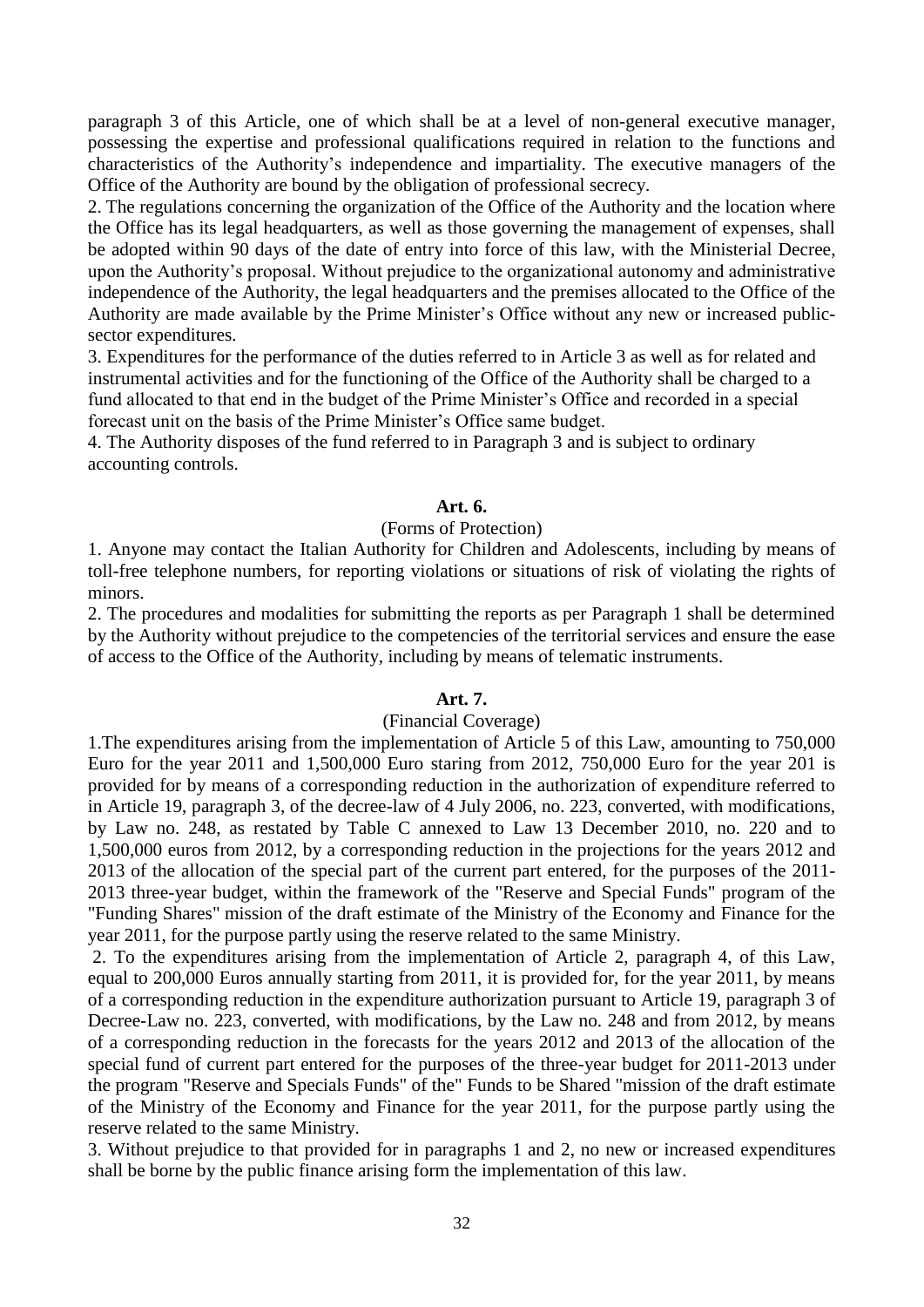paragraph 3 of this Article, one of which shall be at a level of non-general executive manager, possessing the expertise and professional qualifications required in relation to the functions and characteristics of the Authority's independence and impartiality. The executive managers of the Office of the Authority are bound by the obligation of professional secrecy.

2. The regulations concerning the organization of the Office of the Authority and the location where the Office has its legal headquarters, as well as those governing the management of expenses, shall be adopted within 90 days of the date of entry into force of this law, with the Ministerial Decree, upon the Authority's proposal. Without prejudice to the organizational autonomy and administrative independence of the Authority, the legal headquarters and the premises allocated to the Office of the Authority are made available by the Prime Minister's Office without any new or increased publicsector expenditures.

3. Expenditures for the performance of the duties referred to in Article 3 as well as for related and instrumental activities and for the functioning of the Office of the Authority shall be charged to a fund allocated to that end in the budget of the Prime Minister's Office and recorded in a special forecast unit on the basis of the Prime Minister's Office same budget.

4. The Authority disposes of the fund referred to in Paragraph 3 and is subject to ordinary accounting controls.

#### **Art. 6.**

#### (Forms of Protection)

1. Anyone may contact the Italian Authority for Children and Adolescents, including by means of toll-free telephone numbers, for reporting violations or situations of risk of violating the rights of minors.

2. The procedures and modalities for submitting the reports as per Paragraph 1 shall be determined by the Authority without prejudice to the competencies of the territorial services and ensure the ease of access to the Office of the Authority, including by means of telematic instruments.

## **Art. 7.**

#### (Financial Coverage)

1.The expenditures arising from the implementation of Article 5 of this Law, amounting to 750,000 Euro for the year 2011 and 1,500,000 Euro staring from 2012, 750,000 Euro for the year 201 is provided for by means of a corresponding reduction in the authorization of expenditure referred to in Article 19, paragraph 3, of the decree-law of 4 July 2006, no. 223, converted, with modifications, by Law no. 248, as restated by Table C annexed to Law 13 December 2010, no. 220 and to 1,500,000 euros from 2012, by a corresponding reduction in the projections for the years 2012 and 2013 of the allocation of the special part of the current part entered, for the purposes of the 2011- 2013 three-year budget, within the framework of the "Reserve and Special Funds" program of the "Funding Shares" mission of the draft estimate of the Ministry of the Economy and Finance for the year 2011, for the purpose partly using the reserve related to the same Ministry.

2. To the expenditures arising from the implementation of Article 2, paragraph 4, of this Law, equal to 200,000 Euros annually starting from 2011, it is provided for, for the year 2011, by means of a corresponding reduction in the expenditure authorization pursuant to Article 19, paragraph 3 of Decree-Law no. 223, converted, with modifications, by the Law no. 248 and from 2012, by means of a corresponding reduction in the forecasts for the years 2012 and 2013 of the allocation of the special fund of current part entered for the purposes of the three-year budget for 2011-2013 under the program "Reserve and Specials Funds" of the" Funds to be Shared "mission of the draft estimate of the Ministry of the Economy and Finance for the year 2011, for the purpose partly using the reserve related to the same Ministry.

3. Without prejudice to that provided for in paragraphs 1 and 2, no new or increased expenditures shall be borne by the public finance arising form the implementation of this law.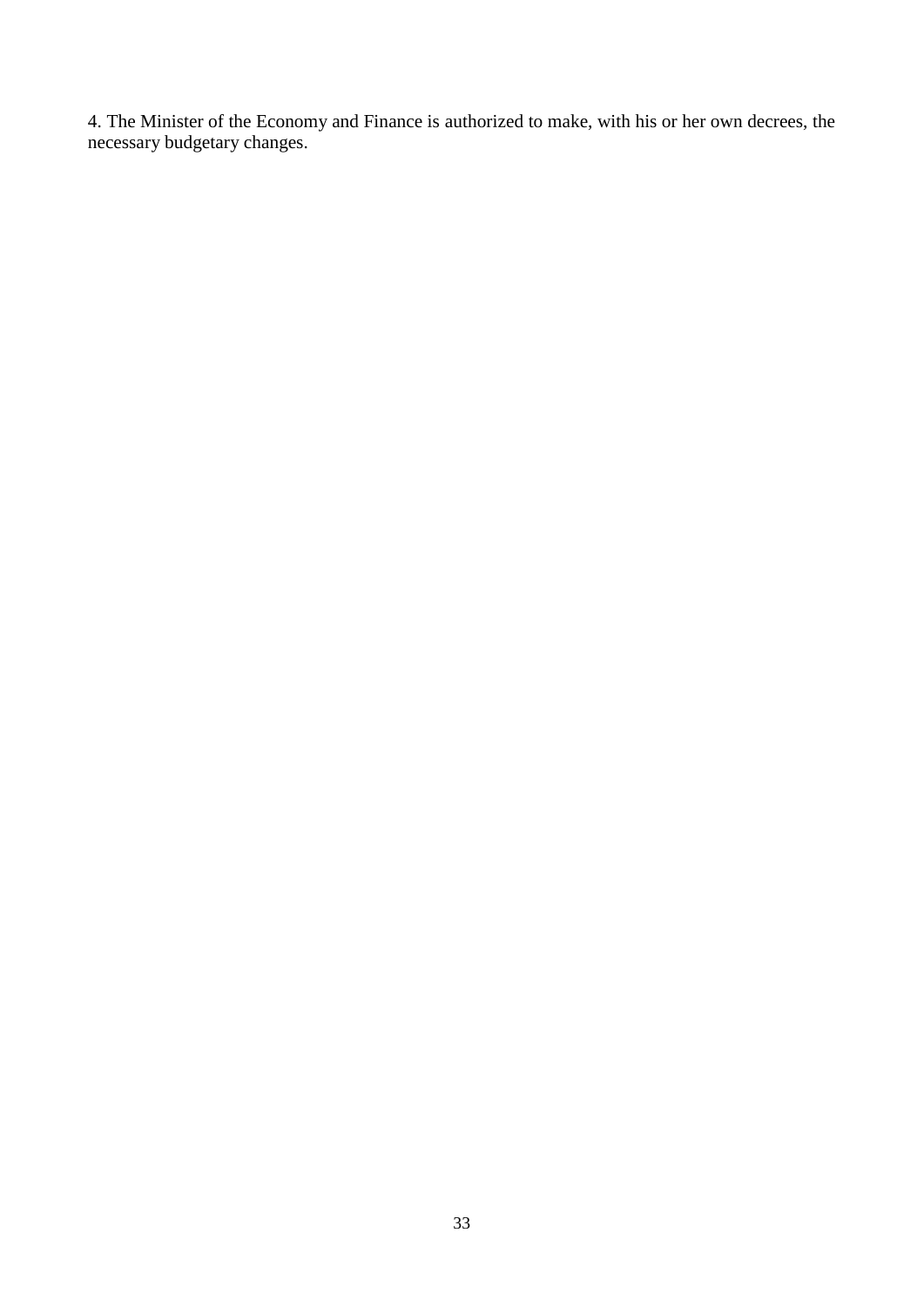4. The Minister of the Economy and Finance is authorized to make, with his or her own decrees, the necessary budgetary changes.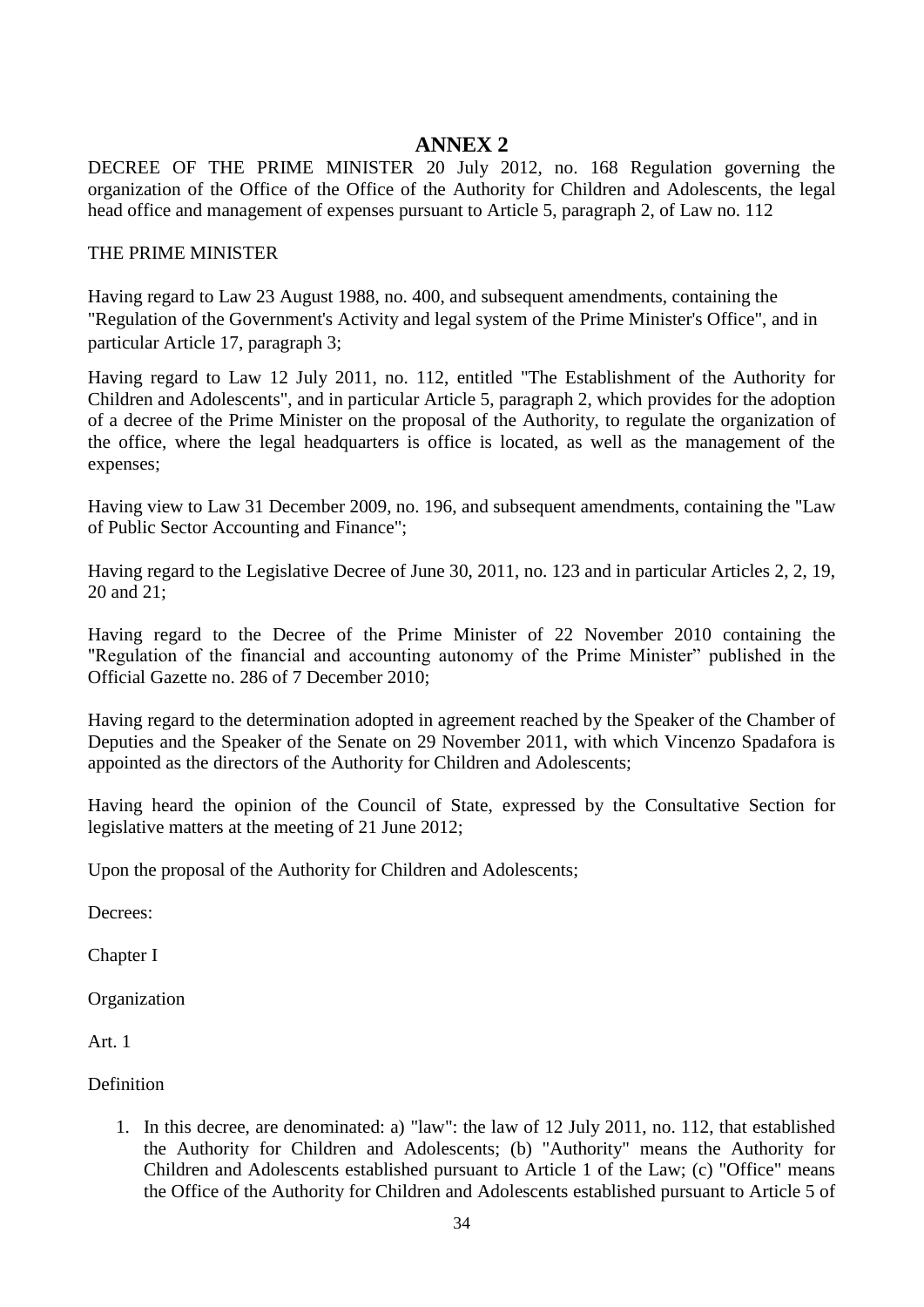# **ANNEX 2**

DECREE OF THE PRIME MINISTER 20 July 2012, no. 168 Regulation governing the organization of the Office of the Office of the Authority for Children and Adolescents, the legal head office and management of expenses pursuant to Article 5, paragraph 2, of Law no. 112

#### THE PRIME MINISTER

Having regard to Law 23 August 1988, no. 400, and subsequent amendments, containing the "Regulation of the Government's Activity and legal system of the Prime Minister's Office", and in particular Article 17, paragraph 3;

Having regard to Law 12 July 2011, no. 112, entitled "The Establishment of the Authority for Children and Adolescents", and in particular Article 5, paragraph 2, which provides for the adoption of a decree of the Prime Minister on the proposal of the Authority, to regulate the organization of the office, where the legal headquarters is office is located, as well as the management of the expenses;

Having view to Law 31 December 2009, no. 196, and subsequent amendments, containing the "Law of Public Sector Accounting and Finance";

Having regard to the Legislative Decree of June 30, 2011, no. 123 and in particular Articles 2, 2, 19, 20 and 21;

Having regard to the Decree of the Prime Minister of 22 November 2010 containing the "Regulation of the financial and accounting autonomy of the Prime Minister" published in the Official Gazette no. 286 of 7 December 2010;

Having regard to the determination adopted in agreement reached by the Speaker of the Chamber of Deputies and the Speaker of the Senate on 29 November 2011, with which Vincenzo Spadafora is appointed as the directors of the Authority for Children and Adolescents;

Having heard the opinion of the Council of State, expressed by the Consultative Section for legislative matters at the meeting of 21 June 2012;

Upon the proposal of the Authority for Children and Adolescents;

Decrees:

Chapter I

Organization

Art. 1

Definition

1. In this decree, are denominated: a) "law": the law of 12 July 2011, no. 112, that established the Authority for Children and Adolescents; (b) "Authority" means the Authority for Children and Adolescents established pursuant to Article 1 of the Law; (c) "Office" means the Office of the Authority for Children and Adolescents established pursuant to Article 5 of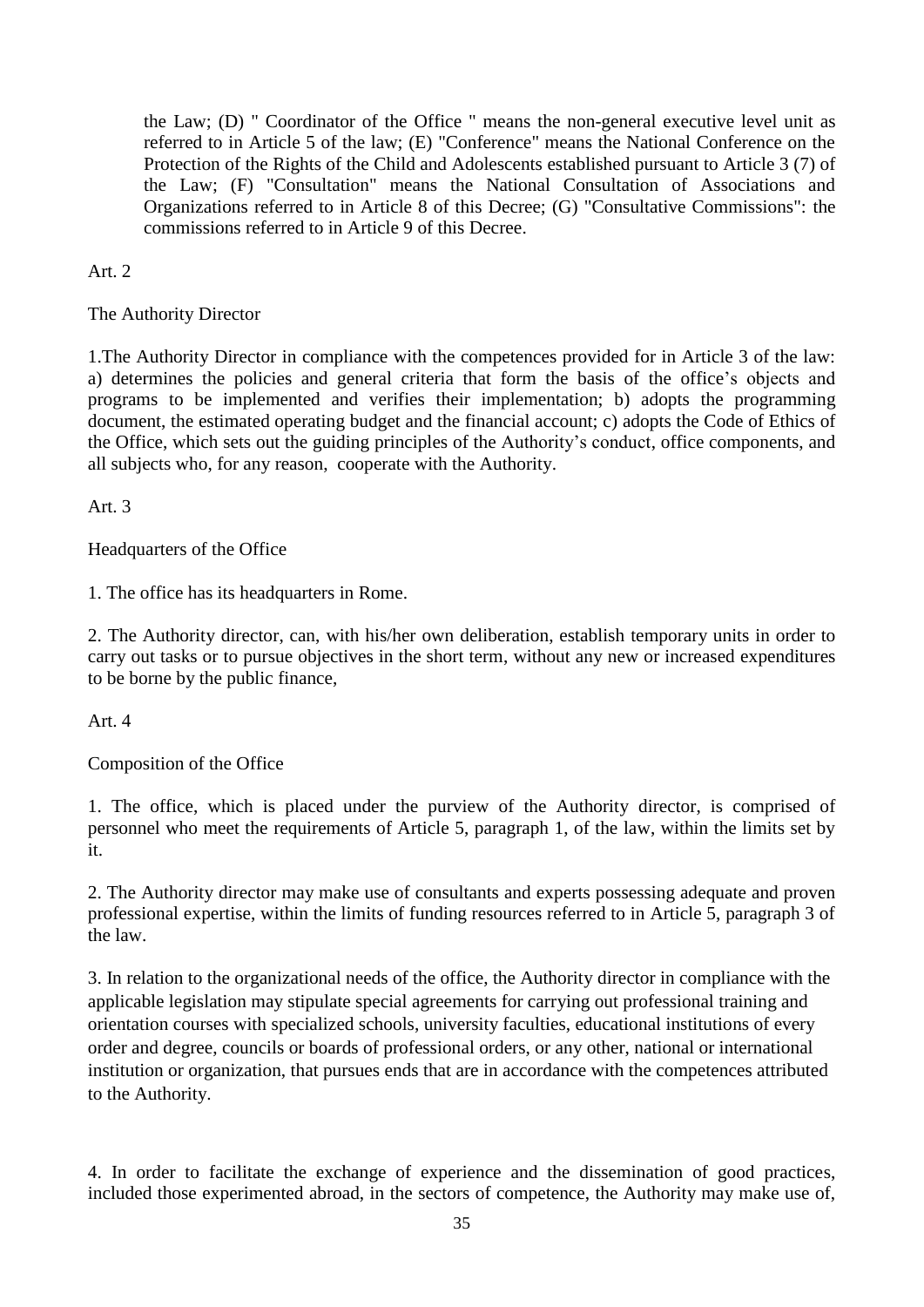the Law; (D) " Coordinator of the Office " means the non-general executive level unit as referred to in Article 5 of the law; (E) "Conference" means the National Conference on the Protection of the Rights of the Child and Adolescents established pursuant to Article 3 (7) of the Law; (F) "Consultation" means the National Consultation of Associations and Organizations referred to in Article 8 of this Decree; (G) "Consultative Commissions": the commissions referred to in Article 9 of this Decree.

Art. 2

The Authority Director

1.The Authority Director in compliance with the competences provided for in Article 3 of the law: a) determines the policies and general criteria that form the basis of the office's objects and programs to be implemented and verifies their implementation; b) adopts the programming document, the estimated operating budget and the financial account; c) adopts the Code of Ethics of the Office, which sets out the guiding principles of the Authority's conduct, office components, and all subjects who, for any reason, cooperate with the Authority.

Art. 3

Headquarters of the Office

1. The office has its headquarters in Rome.

2. The Authority director, can, with his/her own deliberation, establish temporary units in order to carry out tasks or to pursue objectives in the short term, without any new or increased expenditures to be borne by the public finance,

Art. 4

Composition of the Office

1. The office, which is placed under the purview of the Authority director, is comprised of personnel who meet the requirements of Article 5, paragraph 1, of the law, within the limits set by it.

2. The Authority director may make use of consultants and experts possessing adequate and proven professional expertise, within the limits of funding resources referred to in Article 5, paragraph 3 of the law.

3. In relation to the organizational needs of the office, the Authority director in compliance with the applicable legislation may stipulate special agreements for carrying out professional training and orientation courses with specialized schools, university faculties, educational institutions of every order and degree, councils or boards of professional orders, or any other, national or international institution or organization, that pursues ends that are in accordance with the competences attributed to the Authority.

4. In order to facilitate the exchange of experience and the dissemination of good practices, included those experimented abroad, in the sectors of competence, the Authority may make use of,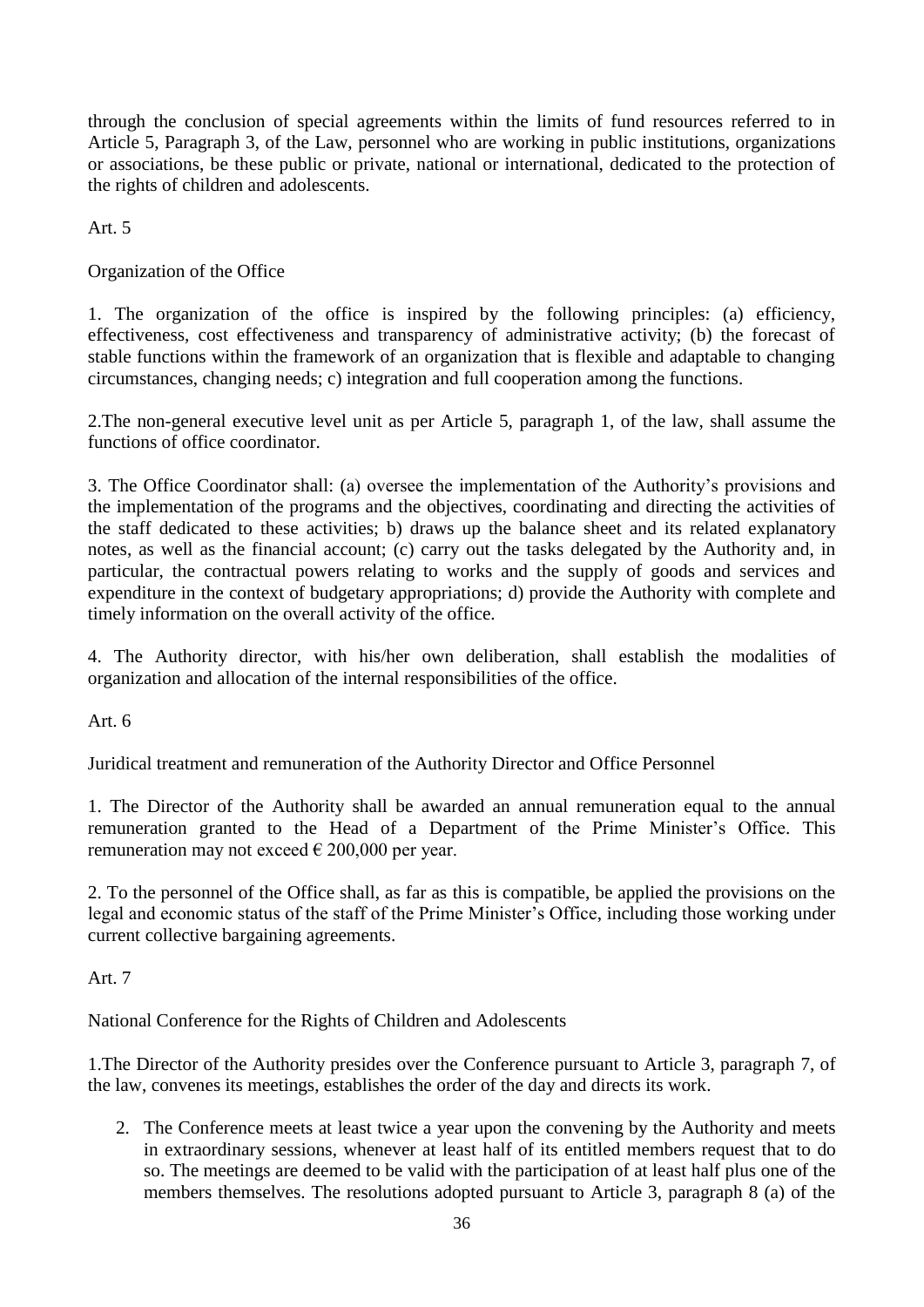through the conclusion of special agreements within the limits of fund resources referred to in Article 5, Paragraph 3, of the Law, personnel who are working in public institutions, organizations or associations, be these public or private, national or international, dedicated to the protection of the rights of children and adolescents.

Art  $5$ 

Organization of the Office

1. The organization of the office is inspired by the following principles: (a) efficiency, effectiveness, cost effectiveness and transparency of administrative activity; (b) the forecast of stable functions within the framework of an organization that is flexible and adaptable to changing circumstances, changing needs; c) integration and full cooperation among the functions.

2.The non-general executive level unit as per Article 5, paragraph 1, of the law, shall assume the functions of office coordinator.

3. The Office Coordinator shall: (a) oversee the implementation of the Authority's provisions and the implementation of the programs and the objectives, coordinating and directing the activities of the staff dedicated to these activities; b) draws up the balance sheet and its related explanatory notes, as well as the financial account; (c) carry out the tasks delegated by the Authority and, in particular, the contractual powers relating to works and the supply of goods and services and expenditure in the context of budgetary appropriations; d) provide the Authority with complete and timely information on the overall activity of the office.

4. The Authority director, with his/her own deliberation, shall establish the modalities of organization and allocation of the internal responsibilities of the office.

Art. 6

Juridical treatment and remuneration of the Authority Director and Office Personnel

1. The Director of the Authority shall be awarded an annual remuneration equal to the annual remuneration granted to the Head of a Department of the Prime Minister's Office. This remuneration may not exceed  $\epsilon$  200,000 per year.

2. To the personnel of the Office shall, as far as this is compatible, be applied the provisions on the legal and economic status of the staff of the Prime Minister's Office, including those working under current collective bargaining agreements.

Art. 7

National Conference for the Rights of Children and Adolescents

1.The Director of the Authority presides over the Conference pursuant to Article 3, paragraph 7, of the law, convenes its meetings, establishes the order of the day and directs its work.

2. The Conference meets at least twice a year upon the convening by the Authority and meets in extraordinary sessions, whenever at least half of its entitled members request that to do so. The meetings are deemed to be valid with the participation of at least half plus one of the members themselves. The resolutions adopted pursuant to Article 3, paragraph 8 (a) of the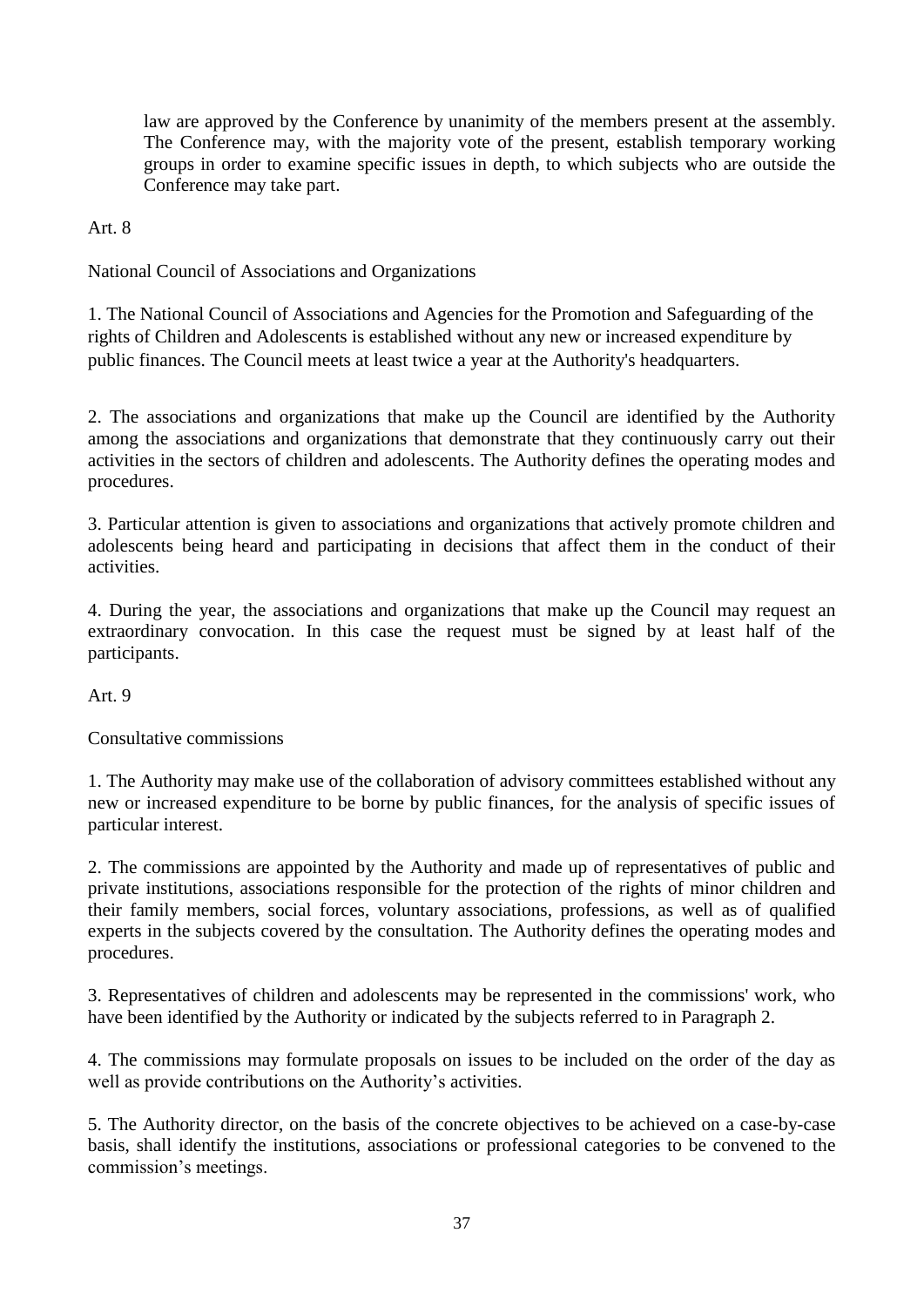law are approved by the Conference by unanimity of the members present at the assembly. The Conference may, with the majority vote of the present, establish temporary working groups in order to examine specific issues in depth, to which subjects who are outside the Conference may take part.

Art. 8

National Council of Associations and Organizations

1. The National Council of Associations and Agencies for the Promotion and Safeguarding of the rights of Children and Adolescents is established without any new or increased expenditure by public finances. The Council meets at least twice a year at the Authority's headquarters.

2. The associations and organizations that make up the Council are identified by the Authority among the associations and organizations that demonstrate that they continuously carry out their activities in the sectors of children and adolescents. The Authority defines the operating modes and procedures.

3. Particular attention is given to associations and organizations that actively promote children and adolescents being heard and participating in decisions that affect them in the conduct of their activities.

4. During the year, the associations and organizations that make up the Council may request an extraordinary convocation. In this case the request must be signed by at least half of the participants.

Art. 9

Consultative commissions

1. The Authority may make use of the collaboration of advisory committees established without any new or increased expenditure to be borne by public finances, for the analysis of specific issues of particular interest.

2. The commissions are appointed by the Authority and made up of representatives of public and private institutions, associations responsible for the protection of the rights of minor children and their family members, social forces, voluntary associations, professions, as well as of qualified experts in the subjects covered by the consultation. The Authority defines the operating modes and procedures.

3. Representatives of children and adolescents may be represented in the commissions' work, who have been identified by the Authority or indicated by the subjects referred to in Paragraph 2.

4. The commissions may formulate proposals on issues to be included on the order of the day as well as provide contributions on the Authority's activities.

5. The Authority director, on the basis of the concrete objectives to be achieved on a case-by-case basis, shall identify the institutions, associations or professional categories to be convened to the commission's meetings.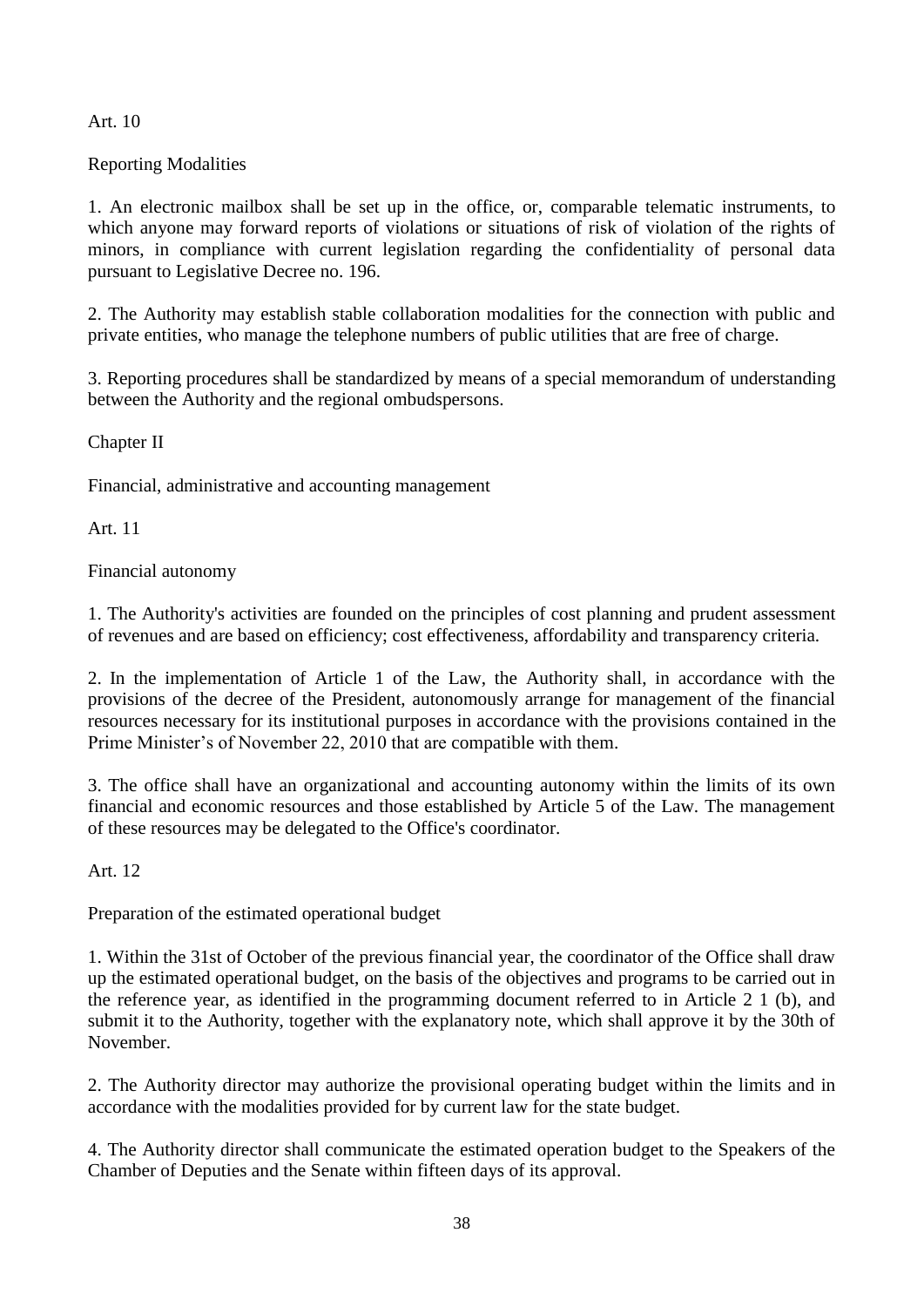Art. 10

Reporting Modalities

1. An electronic mailbox shall be set up in the office, or, comparable telematic instruments, to which anyone may forward reports of violations or situations of risk of violation of the rights of minors, in compliance with current legislation regarding the confidentiality of personal data pursuant to Legislative Decree no. 196.

2. The Authority may establish stable collaboration modalities for the connection with public and private entities, who manage the telephone numbers of public utilities that are free of charge.

3. Reporting procedures shall be standardized by means of a special memorandum of understanding between the Authority and the regional ombudspersons.

Chapter II

Financial, administrative and accounting management

Art. 11

Financial autonomy

1. The Authority's activities are founded on the principles of cost planning and prudent assessment of revenues and are based on efficiency; cost effectiveness, affordability and transparency criteria.

2. In the implementation of Article 1 of the Law, the Authority shall, in accordance with the provisions of the decree of the President, autonomously arrange for management of the financial resources necessary for its institutional purposes in accordance with the provisions contained in the Prime Minister's of November 22, 2010 that are compatible with them.

3. The office shall have an organizational and accounting autonomy within the limits of its own financial and economic resources and those established by Article 5 of the Law. The management of these resources may be delegated to the Office's coordinator.

Art. 12

Preparation of the estimated operational budget

1. Within the 31st of October of the previous financial year, the coordinator of the Office shall draw up the estimated operational budget, on the basis of the objectives and programs to be carried out in the reference year, as identified in the programming document referred to in Article 2 1 (b), and submit it to the Authority, together with the explanatory note, which shall approve it by the 30th of November.

2. The Authority director may authorize the provisional operating budget within the limits and in accordance with the modalities provided for by current law for the state budget.

4. The Authority director shall communicate the estimated operation budget to the Speakers of the Chamber of Deputies and the Senate within fifteen days of its approval.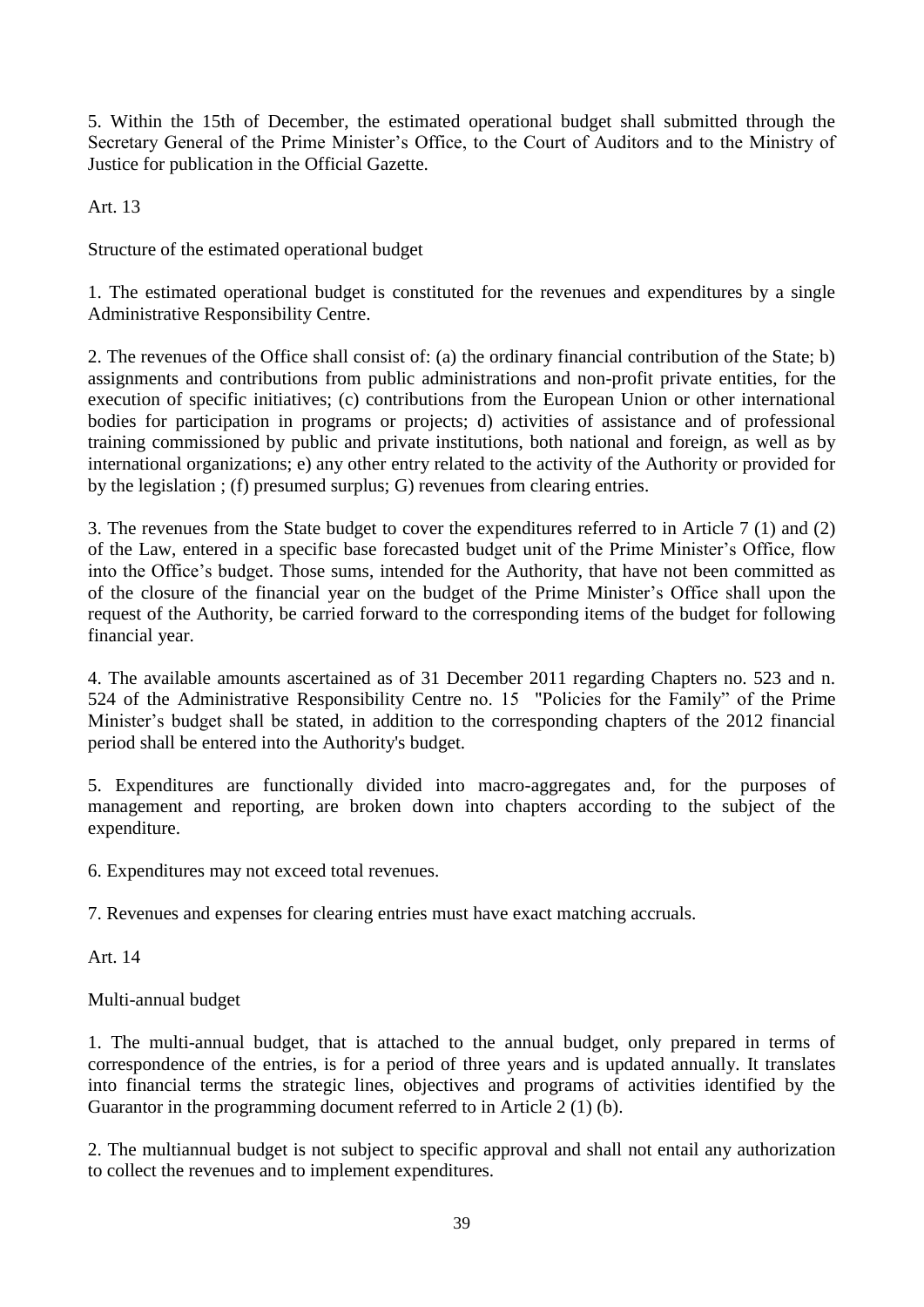5. Within the 15th of December, the estimated operational budget shall submitted through the Secretary General of the Prime Minister's Office, to the Court of Auditors and to the Ministry of Justice for publication in the Official Gazette.

Art. 13

Structure of the estimated operational budget

1. The estimated operational budget is constituted for the revenues and expenditures by a single Administrative Responsibility Centre.

2. The revenues of the Office shall consist of: (a) the ordinary financial contribution of the State; b) assignments and contributions from public administrations and non-profit private entities, for the execution of specific initiatives; (c) contributions from the European Union or other international bodies for participation in programs or projects; d) activities of assistance and of professional training commissioned by public and private institutions, both national and foreign, as well as by international organizations; e) any other entry related to the activity of the Authority or provided for by the legislation ; (f) presumed surplus; G) revenues from clearing entries.

3. The revenues from the State budget to cover the expenditures referred to in Article 7 (1) and (2) of the Law, entered in a specific base forecasted budget unit of the Prime Minister's Office, flow into the Office's budget. Those sums, intended for the Authority, that have not been committed as of the closure of the financial year on the budget of the Prime Minister's Office shall upon the request of the Authority, be carried forward to the corresponding items of the budget for following financial year.

4. The available amounts ascertained as of 31 December 2011 regarding Chapters no. 523 and n. 524 of the Administrative Responsibility Centre no. 15 "Policies for the Family" of the Prime Minister's budget shall be stated, in addition to the corresponding chapters of the 2012 financial period shall be entered into the Authority's budget.

5. Expenditures are functionally divided into macro-aggregates and, for the purposes of management and reporting, are broken down into chapters according to the subject of the expenditure.

6. Expenditures may not exceed total revenues.

7. Revenues and expenses for clearing entries must have exact matching accruals.

Art. 14

Multi-annual budget

1. The multi-annual budget, that is attached to the annual budget, only prepared in terms of correspondence of the entries, is for a period of three years and is updated annually. It translates into financial terms the strategic lines, objectives and programs of activities identified by the Guarantor in the programming document referred to in Article 2 (1) (b).

2. The multiannual budget is not subject to specific approval and shall not entail any authorization to collect the revenues and to implement expenditures.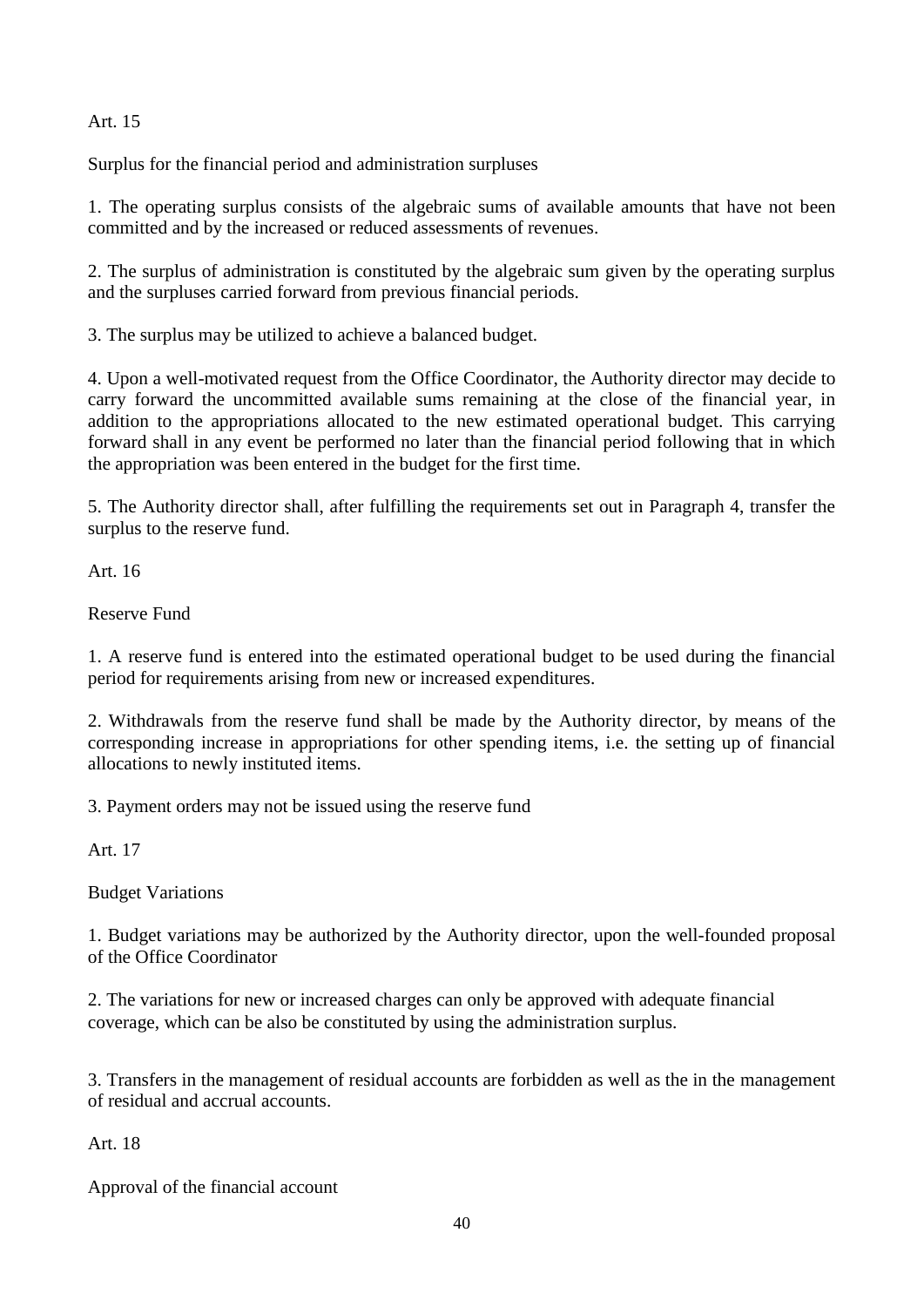# Art. 15

Surplus for the financial period and administration surpluses

1. The operating surplus consists of the algebraic sums of available amounts that have not been committed and by the increased or reduced assessments of revenues.

2. The surplus of administration is constituted by the algebraic sum given by the operating surplus and the surpluses carried forward from previous financial periods.

3. The surplus may be utilized to achieve a balanced budget.

4. Upon a well-motivated request from the Office Coordinator, the Authority director may decide to carry forward the uncommitted available sums remaining at the close of the financial year, in addition to the appropriations allocated to the new estimated operational budget. This carrying forward shall in any event be performed no later than the financial period following that in which the appropriation was been entered in the budget for the first time.

5. The Authority director shall, after fulfilling the requirements set out in Paragraph 4, transfer the surplus to the reserve fund.

Art. 16

Reserve Fund

1. A reserve fund is entered into the estimated operational budget to be used during the financial period for requirements arising from new or increased expenditures.

2. Withdrawals from the reserve fund shall be made by the Authority director, by means of the corresponding increase in appropriations for other spending items, i.e. the setting up of financial allocations to newly instituted items.

3. Payment orders may not be issued using the reserve fund

Art. 17

Budget Variations

1. Budget variations may be authorized by the Authority director, upon the well-founded proposal of the Office Coordinator

2. The variations for new or increased charges can only be approved with adequate financial coverage, which can be also be constituted by using the administration surplus.

3. Transfers in the management of residual accounts are forbidden as well as the in the management of residual and accrual accounts.

Art. 18

Approval of the financial account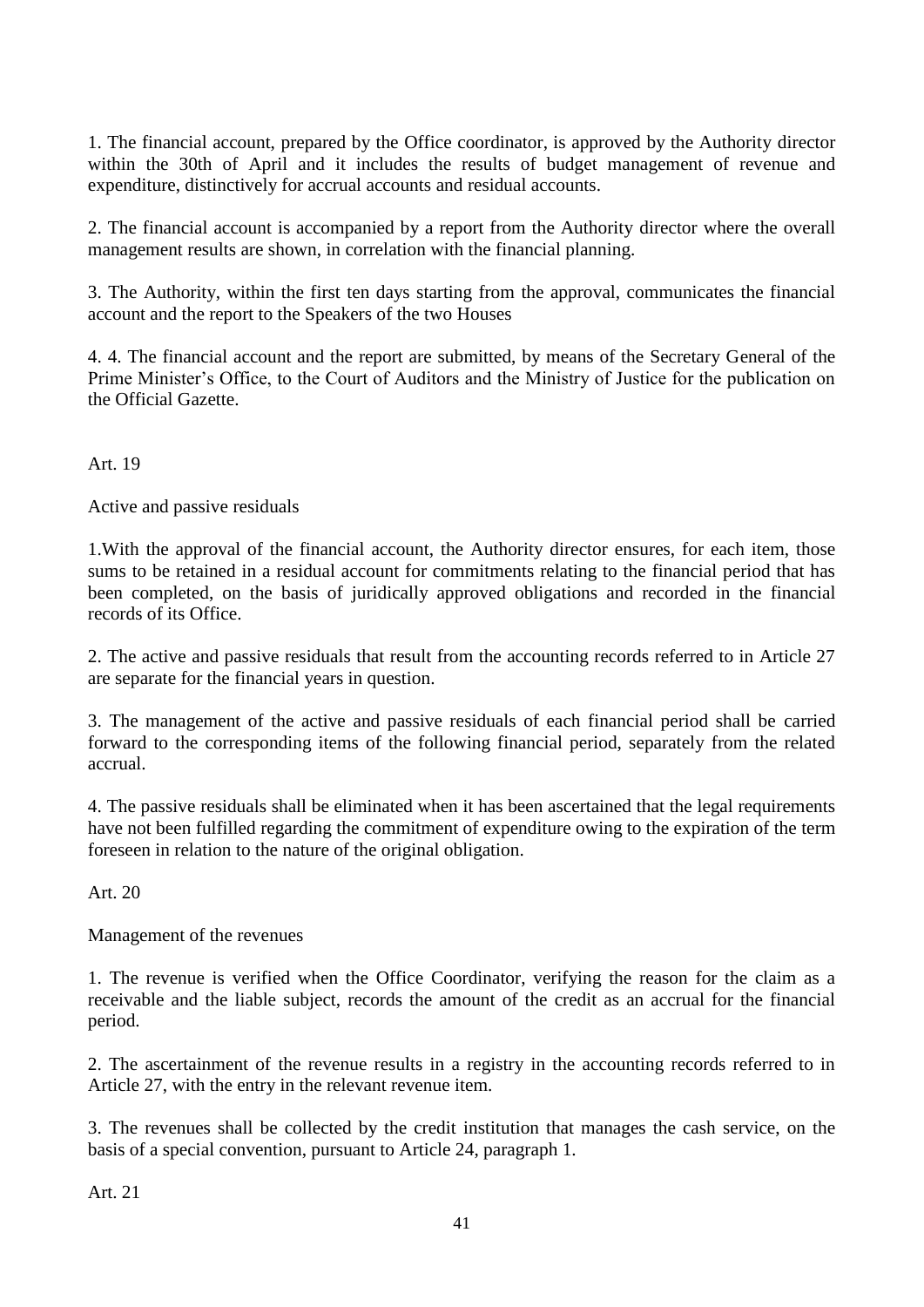1. The financial account, prepared by the Office coordinator, is approved by the Authority director within the 30th of April and it includes the results of budget management of revenue and expenditure, distinctively for accrual accounts and residual accounts.

2. The financial account is accompanied by a report from the Authority director where the overall management results are shown, in correlation with the financial planning.

3. The Authority, within the first ten days starting from the approval, communicates the financial account and the report to the Speakers of the two Houses

4. 4. The financial account and the report are submitted, by means of the Secretary General of the Prime Minister's Office, to the Court of Auditors and the Ministry of Justice for the publication on the Official Gazette.

Art. 19

Active and passive residuals

1.With the approval of the financial account, the Authority director ensures, for each item, those sums to be retained in a residual account for commitments relating to the financial period that has been completed, on the basis of juridically approved obligations and recorded in the financial records of its Office.

2. The active and passive residuals that result from the accounting records referred to in Article 27 are separate for the financial years in question.

3. The management of the active and passive residuals of each financial period shall be carried forward to the corresponding items of the following financial period, separately from the related accrual.

4. The passive residuals shall be eliminated when it has been ascertained that the legal requirements have not been fulfilled regarding the commitment of expenditure owing to the expiration of the term foreseen in relation to the nature of the original obligation.

Art. 20

Management of the revenues

1. The revenue is verified when the Office Coordinator, verifying the reason for the claim as a receivable and the liable subject, records the amount of the credit as an accrual for the financial period.

2. The ascertainment of the revenue results in a registry in the accounting records referred to in Article 27, with the entry in the relevant revenue item.

3. The revenues shall be collected by the credit institution that manages the cash service, on the basis of a special convention, pursuant to Article 24, paragraph 1.

Art. 21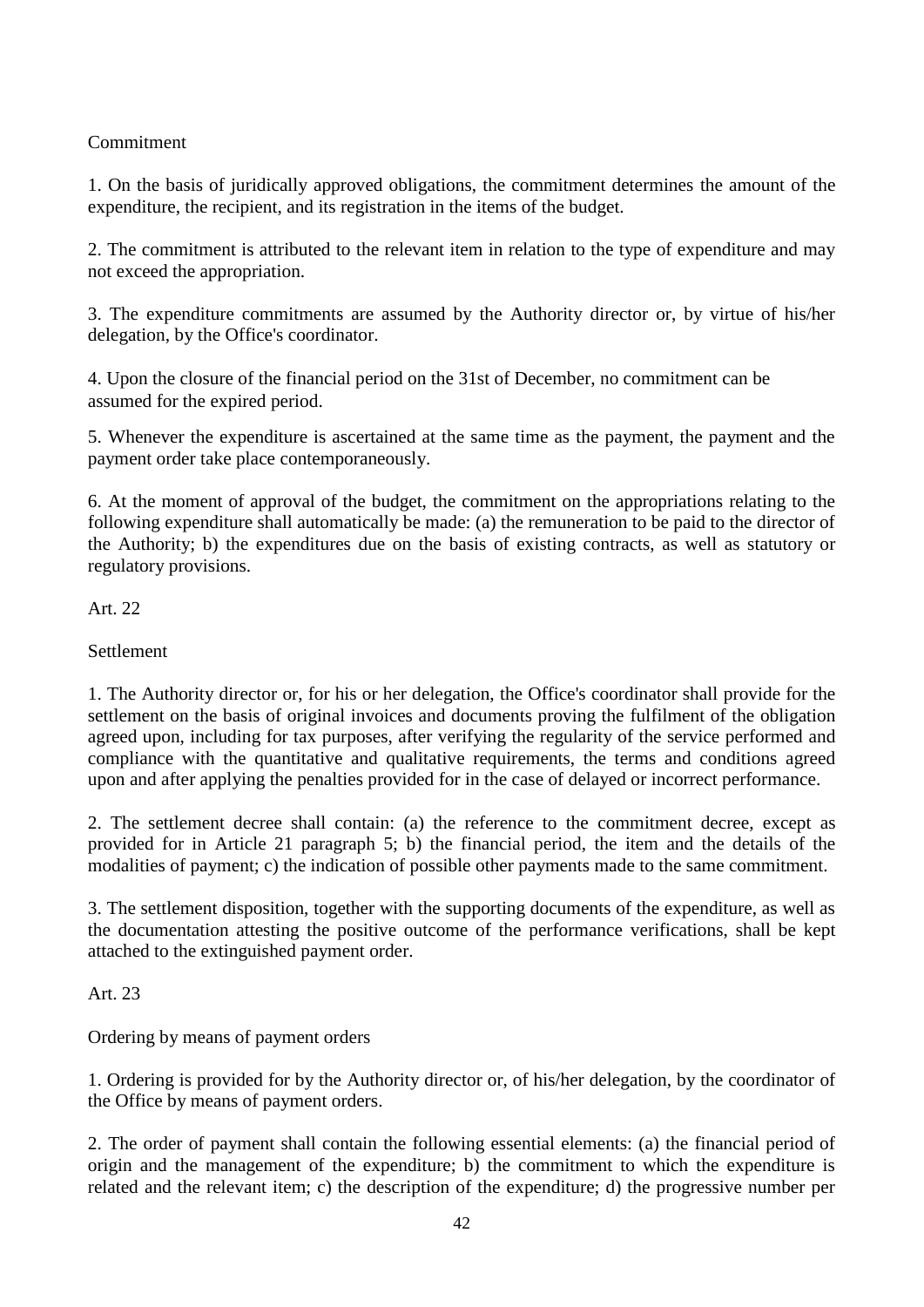# Commitment

1. On the basis of juridically approved obligations, the commitment determines the amount of the expenditure, the recipient, and its registration in the items of the budget.

2. The commitment is attributed to the relevant item in relation to the type of expenditure and may not exceed the appropriation.

3. The expenditure commitments are assumed by the Authority director or, by virtue of his/her delegation, by the Office's coordinator.

4. Upon the closure of the financial period on the 31st of December, no commitment can be assumed for the expired period.

5. Whenever the expenditure is ascertained at the same time as the payment, the payment and the payment order take place contemporaneously.

6. At the moment of approval of the budget, the commitment on the appropriations relating to the following expenditure shall automatically be made: (a) the remuneration to be paid to the director of the Authority; b) the expenditures due on the basis of existing contracts, as well as statutory or regulatory provisions.

Art. 22

**Settlement** 

1. The Authority director or, for his or her delegation, the Office's coordinator shall provide for the settlement on the basis of original invoices and documents proving the fulfilment of the obligation agreed upon, including for tax purposes, after verifying the regularity of the service performed and compliance with the quantitative and qualitative requirements, the terms and conditions agreed upon and after applying the penalties provided for in the case of delayed or incorrect performance.

2. The settlement decree shall contain: (a) the reference to the commitment decree, except as provided for in Article 21 paragraph 5; b) the financial period, the item and the details of the modalities of payment; c) the indication of possible other payments made to the same commitment.

3. The settlement disposition, together with the supporting documents of the expenditure, as well as the documentation attesting the positive outcome of the performance verifications, shall be kept attached to the extinguished payment order.

Art. 23

Ordering by means of payment orders

1. Ordering is provided for by the Authority director or, of his/her delegation, by the coordinator of the Office by means of payment orders.

2. The order of payment shall contain the following essential elements: (a) the financial period of origin and the management of the expenditure; b) the commitment to which the expenditure is related and the relevant item; c) the description of the expenditure; d) the progressive number per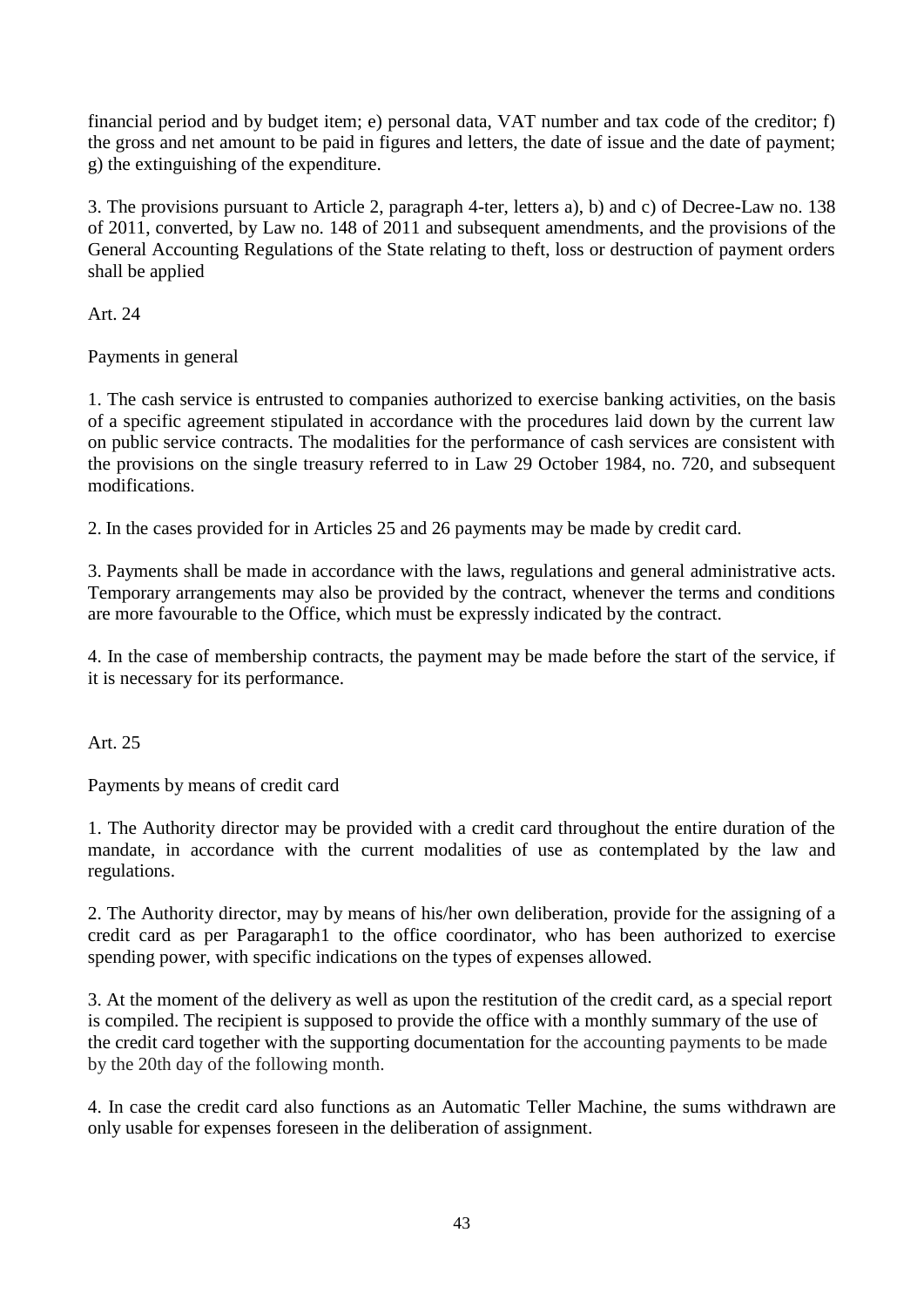financial period and by budget item; e) personal data, VAT number and tax code of the creditor; f) the gross and net amount to be paid in figures and letters, the date of issue and the date of payment; g) the extinguishing of the expenditure.

3. The provisions pursuant to Article 2, paragraph 4-ter, letters a), b) and c) of Decree-Law no. 138 of 2011, converted, by Law no. 148 of 2011 and subsequent amendments, and the provisions of the General Accounting Regulations of the State relating to theft, loss or destruction of payment orders shall be applied

Art. 24

Payments in general

1. The cash service is entrusted to companies authorized to exercise banking activities, on the basis of a specific agreement stipulated in accordance with the procedures laid down by the current law on public service contracts. The modalities for the performance of cash services are consistent with the provisions on the single treasury referred to in Law 29 October 1984, no. 720, and subsequent modifications.

2. In the cases provided for in Articles 25 and 26 payments may be made by credit card.

3. Payments shall be made in accordance with the laws, regulations and general administrative acts. Temporary arrangements may also be provided by the contract, whenever the terms and conditions are more favourable to the Office, which must be expressly indicated by the contract.

4. In the case of membership contracts, the payment may be made before the start of the service, if it is necessary for its performance.

Art.  $25$ 

Payments by means of credit card

1. The Authority director may be provided with a credit card throughout the entire duration of the mandate, in accordance with the current modalities of use as contemplated by the law and regulations.

2. The Authority director, may by means of his/her own deliberation, provide for the assigning of a credit card as per Paragaraph1 to the office coordinator, who has been authorized to exercise spending power, with specific indications on the types of expenses allowed.

3. At the moment of the delivery as well as upon the restitution of the credit card, as a special report is compiled. The recipient is supposed to provide the office with a monthly summary of the use of the credit card together with the supporting documentation for the accounting payments to be made by the 20th day of the following month.

4. In case the credit card also functions as an Automatic Teller Machine, the sums withdrawn are only usable for expenses foreseen in the deliberation of assignment.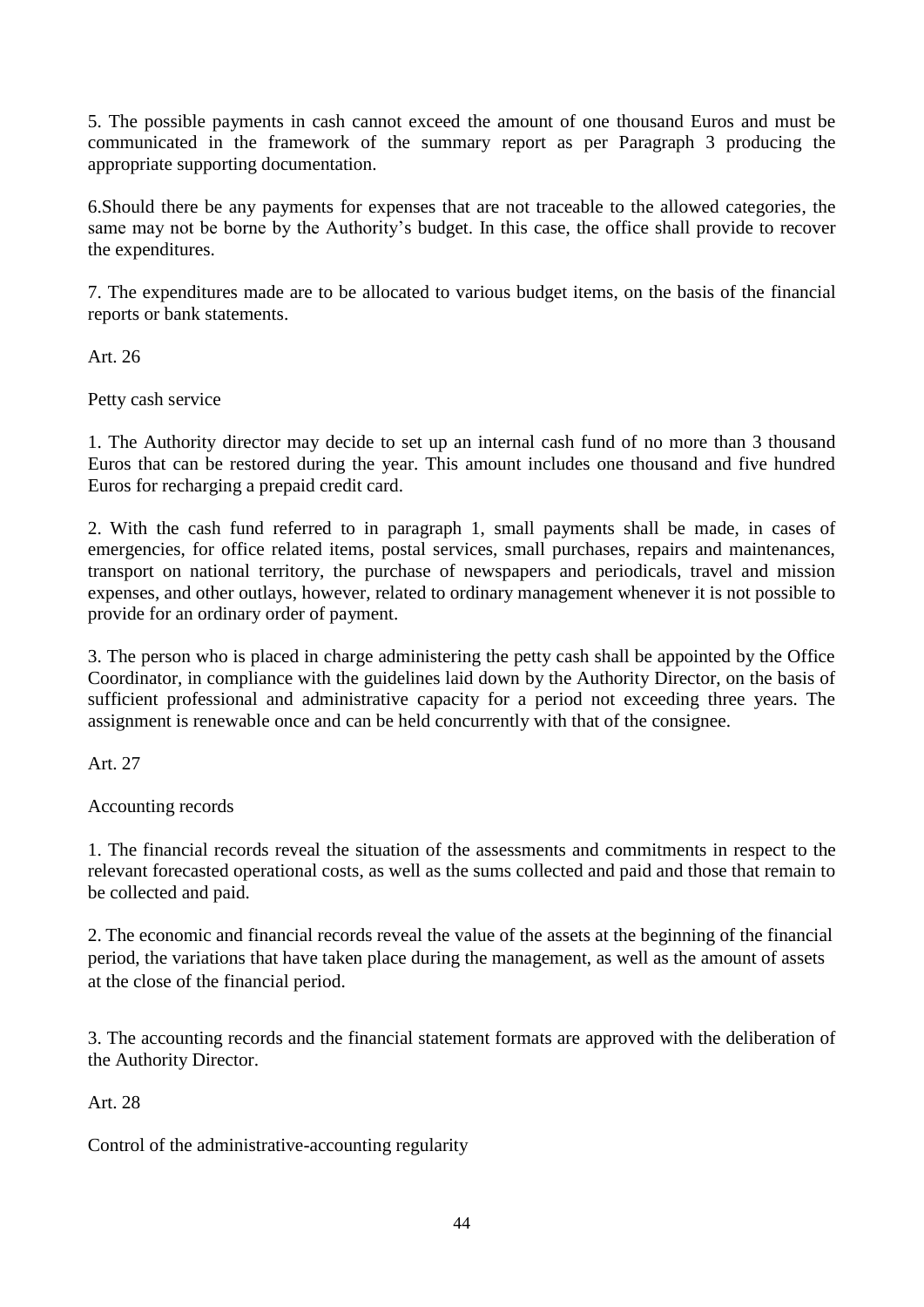5. The possible payments in cash cannot exceed the amount of one thousand Euros and must be communicated in the framework of the summary report as per Paragraph 3 producing the appropriate supporting documentation.

6.Should there be any payments for expenses that are not traceable to the allowed categories, the same may not be borne by the Authority's budget. In this case, the office shall provide to recover the expenditures.

7. The expenditures made are to be allocated to various budget items, on the basis of the financial reports or bank statements.

Art. 26

Petty cash service

1. The Authority director may decide to set up an internal cash fund of no more than 3 thousand Euros that can be restored during the year. This amount includes one thousand and five hundred Euros for recharging a prepaid credit card.

2. With the cash fund referred to in paragraph 1, small payments shall be made, in cases of emergencies, for office related items, postal services, small purchases, repairs and maintenances, transport on national territory, the purchase of newspapers and periodicals, travel and mission expenses, and other outlays, however, related to ordinary management whenever it is not possible to provide for an ordinary order of payment.

3. The person who is placed in charge administering the petty cash shall be appointed by the Office Coordinator, in compliance with the guidelines laid down by the Authority Director, on the basis of sufficient professional and administrative capacity for a period not exceeding three years. The assignment is renewable once and can be held concurrently with that of the consignee.

Art. 27

Accounting records

1. The financial records reveal the situation of the assessments and commitments in respect to the relevant forecasted operational costs, as well as the sums collected and paid and those that remain to be collected and paid.

2. The economic and financial records reveal the value of the assets at the beginning of the financial period, the variations that have taken place during the management, as well as the amount of assets at the close of the financial period.

3. The accounting records and the financial statement formats are approved with the deliberation of the Authority Director.

Art. 28

Control of the administrative-accounting regularity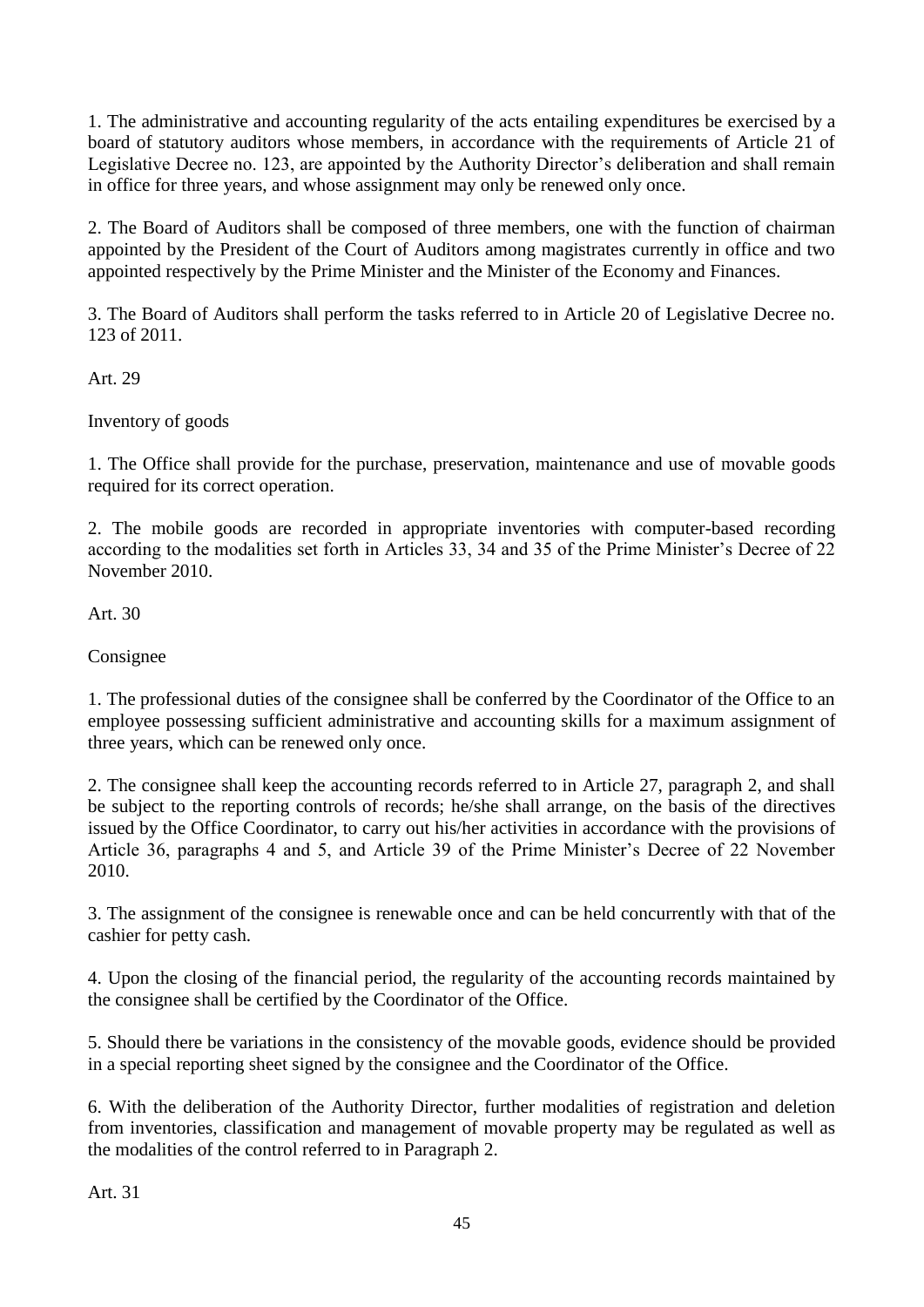1. The administrative and accounting regularity of the acts entailing expenditures be exercised by a board of statutory auditors whose members, in accordance with the requirements of Article 21 of Legislative Decree no. 123, are appointed by the Authority Director's deliberation and shall remain in office for three years, and whose assignment may only be renewed only once.

2. The Board of Auditors shall be composed of three members, one with the function of chairman appointed by the President of the Court of Auditors among magistrates currently in office and two appointed respectively by the Prime Minister and the Minister of the Economy and Finances.

3. The Board of Auditors shall perform the tasks referred to in Article 20 of Legislative Decree no. 123 of 2011.

Art. 29

Inventory of goods

1. The Office shall provide for the purchase, preservation, maintenance and use of movable goods required for its correct operation.

2. The mobile goods are recorded in appropriate inventories with computer-based recording according to the modalities set forth in Articles 33, 34 and 35 of the Prime Minister's Decree of 22 November 2010.

Art. 30

Consignee

1. The professional duties of the consignee shall be conferred by the Coordinator of the Office to an employee possessing sufficient administrative and accounting skills for a maximum assignment of three years, which can be renewed only once.

2. The consignee shall keep the accounting records referred to in Article 27, paragraph 2, and shall be subject to the reporting controls of records; he/she shall arrange, on the basis of the directives issued by the Office Coordinator, to carry out his/her activities in accordance with the provisions of Article 36, paragraphs 4 and 5, and Article 39 of the Prime Minister's Decree of 22 November 2010.

3. The assignment of the consignee is renewable once and can be held concurrently with that of the cashier for petty cash.

4. Upon the closing of the financial period, the regularity of the accounting records maintained by the consignee shall be certified by the Coordinator of the Office.

5. Should there be variations in the consistency of the movable goods, evidence should be provided in a special reporting sheet signed by the consignee and the Coordinator of the Office.

6. With the deliberation of the Authority Director, further modalities of registration and deletion from inventories, classification and management of movable property may be regulated as well as the modalities of the control referred to in Paragraph 2.

Art. 31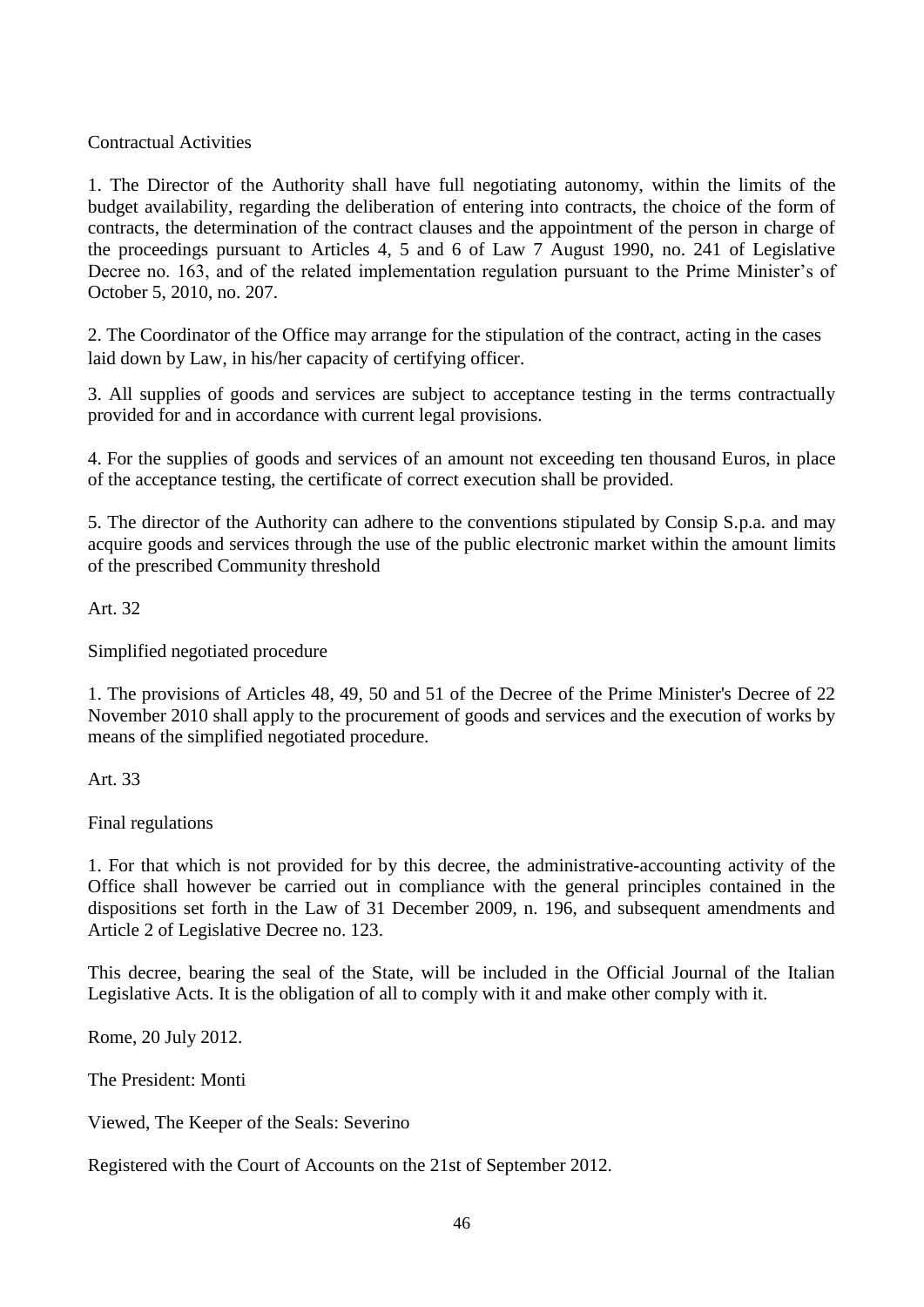## Contractual Activities

1. The Director of the Authority shall have full negotiating autonomy, within the limits of the budget availability, regarding the deliberation of entering into contracts, the choice of the form of contracts, the determination of the contract clauses and the appointment of the person in charge of the proceedings pursuant to Articles 4, 5 and 6 of Law 7 August 1990, no. 241 of Legislative Decree no. 163, and of the related implementation regulation pursuant to the Prime Minister's of October 5, 2010, no. 207.

2. The Coordinator of the Office may arrange for the stipulation of the contract, acting in the cases laid down by Law, in his/her capacity of certifying officer.

3. All supplies of goods and services are subject to acceptance testing in the terms contractually provided for and in accordance with current legal provisions.

4. For the supplies of goods and services of an amount not exceeding ten thousand Euros, in place of the acceptance testing, the certificate of correct execution shall be provided.

5. The director of the Authority can adhere to the conventions stipulated by Consip S.p.a. and may acquire goods and services through the use of the public electronic market within the amount limits of the prescribed Community threshold

Art. 32

Simplified negotiated procedure

1. The provisions of Articles 48, 49, 50 and 51 of the Decree of the Prime Minister's Decree of 22 November 2010 shall apply to the procurement of goods and services and the execution of works by means of the simplified negotiated procedure.

Art. 33

Final regulations

1. For that which is not provided for by this decree, the administrative-accounting activity of the Office shall however be carried out in compliance with the general principles contained in the dispositions set forth in the Law of 31 December 2009, n. 196, and subsequent amendments and Article 2 of Legislative Decree no. 123.

This decree, bearing the seal of the State, will be included in the Official Journal of the Italian Legislative Acts. It is the obligation of all to comply with it and make other comply with it.

Rome, 20 July 2012.

The President: Monti

Viewed, The Keeper of the Seals: Severino

Registered with the Court of Accounts on the 21st of September 2012.